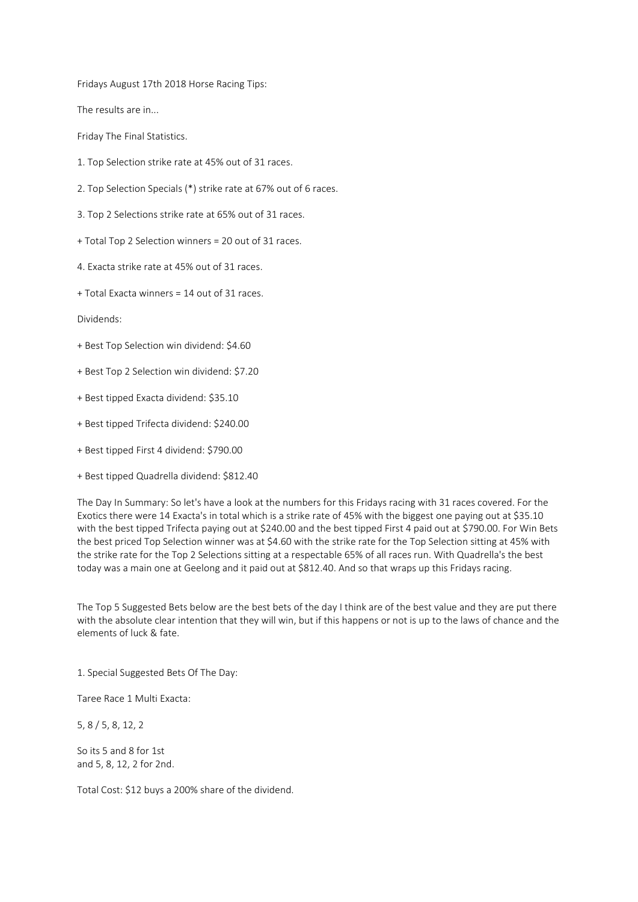Fridays August 17th 2018 Horse Racing Tips:

The results are in...

Friday The Final Statistics.

- 1. Top Selection strike rate at 45% out of 31 races.
- 2. Top Selection Specials (\*) strike rate at 67% out of 6 races.
- 3. Top 2 Selections strike rate at 65% out of 31 races.
- + Total Top 2 Selection winners = 20 out of 31 races.
- 4. Exacta strike rate at 45% out of 31 races.
- + Total Exacta winners = 14 out of 31 races.

Dividends:

- + Best Top Selection win dividend: \$4.60
- + Best Top 2 Selection win dividend: \$7.20
- + Best tipped Exacta dividend: \$35.10
- + Best tipped Trifecta dividend: \$240.00
- + Best tipped First 4 dividend: \$790.00
- + Best tipped Quadrella dividend: \$812.40

The Day In Summary: So let's have a look at the numbers for this Fridays racing with 31 races covered. For the Exotics there were 14 Exacta's in total which is a strike rate of 45% with the biggest one paying out at \$35.10 with the best tipped Trifecta paying out at \$240.00 and the best tipped First 4 paid out at \$790.00. For Win Bets the best priced Top Selection winner was at \$4.60 with the strike rate for the Top Selection sitting at 45% with the strike rate for the Top 2 Selections sitting at a respectable 65% of all races run. With Quadrella's the best today was a main one at Geelong and it paid out at \$812.40. And so that wraps up this Fridays racing.

The Top 5 Suggested Bets below are the best bets of the day I think are of the best value and they are put there with the absolute clear intention that they will win, but if this happens or not is up to the laws of chance and the elements of luck & fate.

1. Special Suggested Bets Of The Day:

Taree Race 1 Multi Exacta:

5, 8 / 5, 8, 12, 2

So its 5 and 8 for 1st and 5, 8, 12, 2 for 2nd.

Total Cost: \$12 buys a 200% share of the dividend.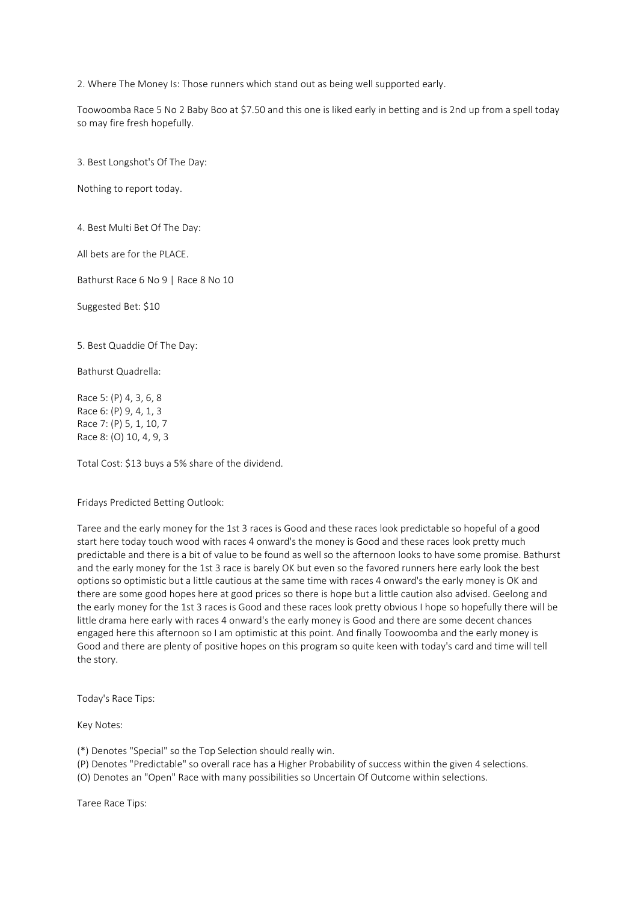2. Where The Money Is: Those runners which stand out as being well supported early.

Toowoomba Race 5 No 2 Baby Boo at \$7.50 and this one is liked early in betting and is 2nd up from a spell today so may fire fresh hopefully.

3. Best Longshot's Of The Day:

Nothing to report today.

4. Best Multi Bet Of The Day:

All bets are for the PLACE.

Bathurst Race 6 No 9 | Race 8 No 10

Suggested Bet: \$10

5. Best Quaddie Of The Day:

Bathurst Quadrella:

Race 5: (P) 4, 3, 6, 8 Race 6: (P) 9, 4, 1, 3 Race 7: (P) 5, 1, 10, 7 Race 8: (O) 10, 4, 9, 3

Total Cost: \$13 buys a 5% share of the dividend.

## Fridays Predicted Betting Outlook:

Taree and the early money for the 1st 3 races is Good and these races look predictable so hopeful of a good start here today touch wood with races 4 onward's the money is Good and these races look pretty much predictable and there is a bit of value to be found as well so the afternoon looks to have some promise. Bathurst and the early money for the 1st 3 race is barely OK but even so the favored runners here early look the best options so optimistic but a little cautious at the same time with races 4 onward's the early money is OK and there are some good hopes here at good prices so there is hope but a little caution also advised. Geelong and the early money for the 1st 3 races is Good and these races look pretty obvious I hope so hopefully there will be little drama here early with races 4 onward's the early money is Good and there are some decent chances engaged here this afternoon so I am optimistic at this point. And finally Toowoomba and the early money is Good and there are plenty of positive hopes on this program so quite keen with today's card and time will tell the story.

Today's Race Tips:

Key Notes:

(\*) Denotes "Special" so the Top Selection should really win.

(P) Denotes "Predictable" so overall race has a Higher Probability of success within the given 4 selections.

(O) Denotes an "Open" Race with many possibilities so Uncertain Of Outcome within selections.

Taree Race Tips: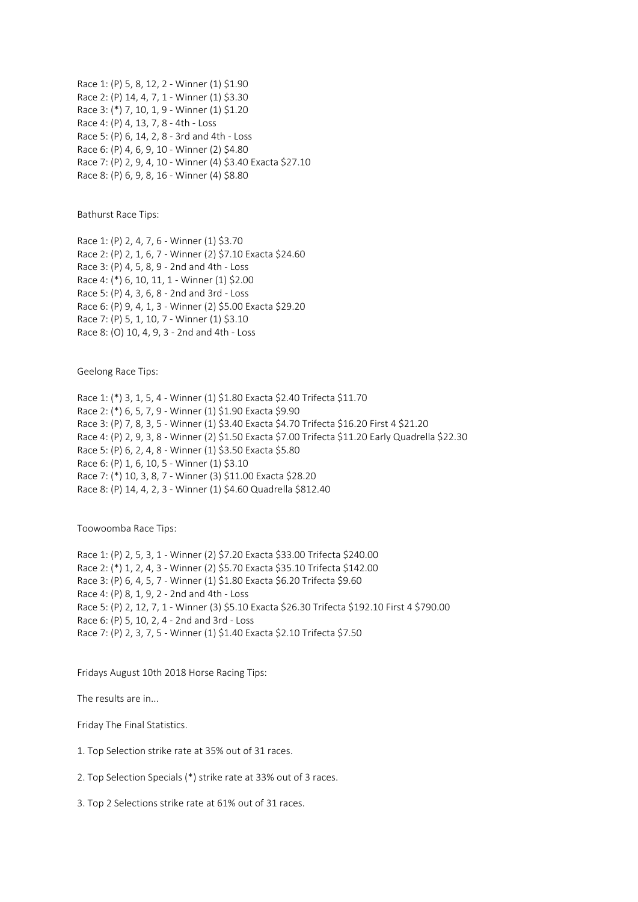Race 1: (P) 5, 8, 12, 2 - Winner (1) \$1.90 Race 2: (P) 14, 4, 7, 1 - Winner (1) \$3.30 Race 3: (\*) 7, 10, 1, 9 - Winner (1) \$1.20 Race 4: (P) 4, 13, 7, 8 - 4th - Loss Race 5: (P) 6, 14, 2, 8 - 3rd and 4th - Loss Race 6: (P) 4, 6, 9, 10 - Winner (2) \$4.80 Race 7: (P) 2, 9, 4, 10 - Winner (4) \$3.40 Exacta \$27.10 Race 8: (P) 6, 9, 8, 16 - Winner (4) \$8.80

Bathurst Race Tips:

Race 1: (P) 2, 4, 7, 6 - Winner (1) \$3.70 Race 2: (P) 2, 1, 6, 7 - Winner (2) \$7.10 Exacta \$24.60 Race 3: (P) 4, 5, 8, 9 - 2nd and 4th - Loss Race 4: (\*) 6, 10, 11, 1 - Winner (1) \$2.00 Race 5: (P) 4, 3, 6, 8 - 2nd and 3rd - Loss Race 6: (P) 9, 4, 1, 3 - Winner (2) \$5.00 Exacta \$29.20 Race 7: (P) 5, 1, 10, 7 - Winner (1) \$3.10 Race 8: (O) 10, 4, 9, 3 - 2nd and 4th - Loss

Geelong Race Tips:

Race 1: (\*) 3, 1, 5, 4 - Winner (1) \$1.80 Exacta \$2.40 Trifecta \$11.70 Race 2: (\*) 6, 5, 7, 9 - Winner (1) \$1.90 Exacta \$9.90 Race 3: (P) 7, 8, 3, 5 - Winner (1) \$3.40 Exacta \$4.70 Trifecta \$16.20 First 4 \$21.20 Race 4: (P) 2, 9, 3, 8 - Winner (2) \$1.50 Exacta \$7.00 Trifecta \$11.20 Early Quadrella \$22.30 Race 5: (P) 6, 2, 4, 8 - Winner (1) \$3.50 Exacta \$5.80 Race 6: (P) 1, 6, 10, 5 - Winner (1) \$3.10 Race 7: (\*) 10, 3, 8, 7 - Winner (3) \$11.00 Exacta \$28.20 Race 8: (P) 14, 4, 2, 3 - Winner (1) \$4.60 Quadrella \$812.40

Toowoomba Race Tips:

Race 1: (P) 2, 5, 3, 1 - Winner (2) \$7.20 Exacta \$33.00 Trifecta \$240.00 Race 2: (\*) 1, 2, 4, 3 - Winner (2) \$5.70 Exacta \$35.10 Trifecta \$142.00 Race 3: (P) 6, 4, 5, 7 - Winner (1) \$1.80 Exacta \$6.20 Trifecta \$9.60 Race 4: (P) 8, 1, 9, 2 - 2nd and 4th - Loss Race 5: (P) 2, 12, 7, 1 - Winner (3) \$5.10 Exacta \$26.30 Trifecta \$192.10 First 4 \$790.00 Race 6: (P) 5, 10, 2, 4 - 2nd and 3rd - Loss Race 7: (P) 2, 3, 7, 5 - Winner (1) \$1.40 Exacta \$2.10 Trifecta \$7.50

Fridays August 10th 2018 Horse Racing Tips:

The results are in...

Friday The Final Statistics.

- 1. Top Selection strike rate at 35% out of 31 races.
- 2. Top Selection Specials (\*) strike rate at 33% out of 3 races.

3. Top 2 Selections strike rate at 61% out of 31 races.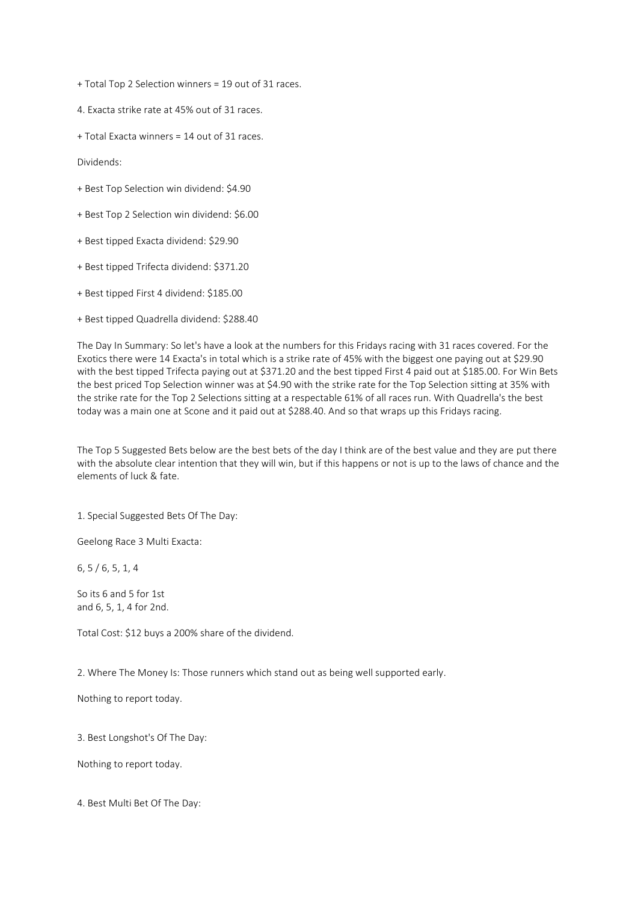+ Total Top 2 Selection winners = 19 out of 31 races.

4. Exacta strike rate at 45% out of 31 races.

+ Total Exacta winners = 14 out of 31 races.

Dividends:

- + Best Top Selection win dividend: \$4.90
- + Best Top 2 Selection win dividend: \$6.00
- + Best tipped Exacta dividend: \$29.90
- + Best tipped Trifecta dividend: \$371.20
- + Best tipped First 4 dividend: \$185.00
- + Best tipped Quadrella dividend: \$288.40

The Day In Summary: So let's have a look at the numbers for this Fridays racing with 31 races covered. For the Exotics there were 14 Exacta's in total which is a strike rate of 45% with the biggest one paying out at \$29.90 with the best tipped Trifecta paying out at \$371.20 and the best tipped First 4 paid out at \$185.00. For Win Bets the best priced Top Selection winner was at \$4.90 with the strike rate for the Top Selection sitting at 35% with the strike rate for the Top 2 Selections sitting at a respectable 61% of all races run. With Quadrella's the best today was a main one at Scone and it paid out at \$288.40. And so that wraps up this Fridays racing.

The Top 5 Suggested Bets below are the best bets of the day I think are of the best value and they are put there with the absolute clear intention that they will win, but if this happens or not is up to the laws of chance and the elements of luck & fate.

1. Special Suggested Bets Of The Day:

Geelong Race 3 Multi Exacta:

6, 5 / 6, 5, 1, 4

So its 6 and 5 for 1st and 6, 5, 1, 4 for 2nd.

Total Cost: \$12 buys a 200% share of the dividend.

2. Where The Money Is: Those runners which stand out as being well supported early.

Nothing to report today.

3. Best Longshot's Of The Day:

Nothing to report today.

4. Best Multi Bet Of The Day: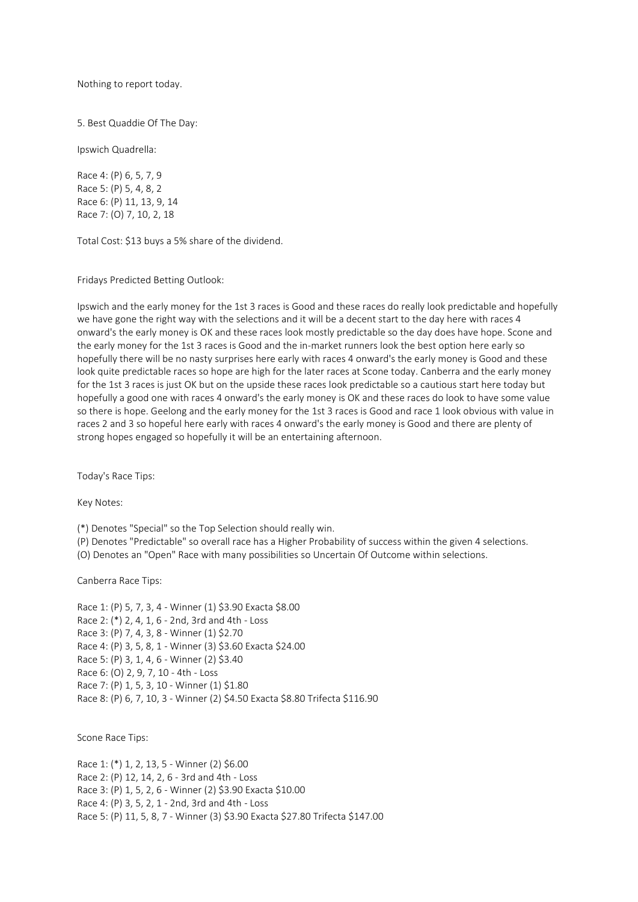Nothing to report today.

5. Best Quaddie Of The Day:

Ipswich Quadrella:

Race 4: (P) 6, 5, 7, 9 Race 5: (P) 5, 4, 8, 2 Race 6: (P) 11, 13, 9, 14 Race 7: (O) 7, 10, 2, 18

Total Cost: \$13 buys a 5% share of the dividend.

Fridays Predicted Betting Outlook:

Ipswich and the early money for the 1st 3 races is Good and these races do really look predictable and hopefully we have gone the right way with the selections and it will be a decent start to the day here with races 4 onward's the early money is OK and these races look mostly predictable so the day does have hope. Scone and the early money for the 1st 3 races is Good and the in-market runners look the best option here early so hopefully there will be no nasty surprises here early with races 4 onward's the early money is Good and these look quite predictable races so hope are high for the later races at Scone today. Canberra and the early money for the 1st 3 races is just OK but on the upside these races look predictable so a cautious start here today but hopefully a good one with races 4 onward's the early money is OK and these races do look to have some value so there is hope. Geelong and the early money for the 1st 3 races is Good and race 1 look obvious with value in races 2 and 3 so hopeful here early with races 4 onward's the early money is Good and there are plenty of strong hopes engaged so hopefully it will be an entertaining afternoon.

Today's Race Tips:

Key Notes:

(\*) Denotes "Special" so the Top Selection should really win.

(P) Denotes "Predictable" so overall race has a Higher Probability of success within the given 4 selections.

(O) Denotes an "Open" Race with many possibilities so Uncertain Of Outcome within selections.

Canberra Race Tips:

Race 1: (P) 5, 7, 3, 4 - Winner (1) \$3.90 Exacta \$8.00 Race 2: (\*) 2, 4, 1, 6 - 2nd, 3rd and 4th - Loss Race 3: (P) 7, 4, 3, 8 - Winner (1) \$2.70 Race 4: (P) 3, 5, 8, 1 - Winner (3) \$3.60 Exacta \$24.00 Race 5: (P) 3, 1, 4, 6 - Winner (2) \$3.40 Race 6: (O) 2, 9, 7, 10 - 4th - Loss Race 7: (P) 1, 5, 3, 10 - Winner (1) \$1.80 Race 8: (P) 6, 7, 10, 3 - Winner (2) \$4.50 Exacta \$8.80 Trifecta \$116.90

Scone Race Tips:

Race 1: (\*) 1, 2, 13, 5 - Winner (2) \$6.00 Race 2: (P) 12, 14, 2, 6 - 3rd and 4th - Loss Race 3: (P) 1, 5, 2, 6 - Winner (2) \$3.90 Exacta \$10.00 Race 4: (P) 3, 5, 2, 1 - 2nd, 3rd and 4th - Loss Race 5: (P) 11, 5, 8, 7 - Winner (3) \$3.90 Exacta \$27.80 Trifecta \$147.00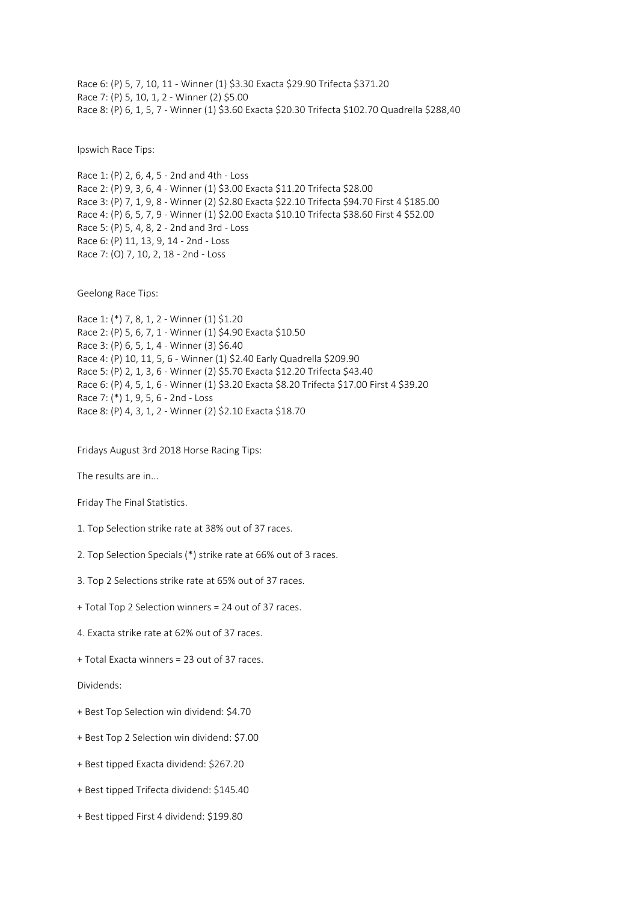Race 6: (P) 5, 7, 10, 11 - Winner (1) \$3.30 Exacta \$29.90 Trifecta \$371.20 Race 7: (P) 5, 10, 1, 2 - Winner (2) \$5.00 Race 8: (P) 6, 1, 5, 7 - Winner (1) \$3.60 Exacta \$20.30 Trifecta \$102.70 Quadrella \$288,40

Ipswich Race Tips:

Race 1: (P) 2, 6, 4, 5 - 2nd and 4th - Loss Race 2: (P) 9, 3, 6, 4 - Winner (1) \$3.00 Exacta \$11.20 Trifecta \$28.00 Race 3: (P) 7, 1, 9, 8 - Winner (2) \$2.80 Exacta \$22.10 Trifecta \$94.70 First 4 \$185.00 Race 4: (P) 6, 5, 7, 9 - Winner (1) \$2.00 Exacta \$10.10 Trifecta \$38.60 First 4 \$52.00 Race 5: (P) 5, 4, 8, 2 - 2nd and 3rd - Loss Race 6: (P) 11, 13, 9, 14 - 2nd - Loss Race 7: (O) 7, 10, 2, 18 - 2nd - Loss

Geelong Race Tips:

```
Race 1: (*) 7, 8, 1, 2 - Winner (1) $1.20
Race 2: (P) 5, 6, 7, 1 - Winner (1) $4.90 Exacta $10.50
Race 3: (P) 6, 5, 1, 4 - Winner (3) $6.40
Race 4: (P) 10, 11, 5, 6 - Winner (1) $2.40 Early Quadrella $209.90
Race 5: (P) 2, 1, 3, 6 - Winner (2) $5.70 Exacta $12.20 Trifecta $43.40
Race 6: (P) 4, 5, 1, 6 - Winner (1) $3.20 Exacta $8.20 Trifecta $17.00 First 4 $39.20
Race 7: (*) 1, 9, 5, 6 - 2nd - Loss
Race 8: (P) 4, 3, 1, 2 - Winner (2) $2.10 Exacta $18.70
```
Fridays August 3rd 2018 Horse Racing Tips:

The results are in...

Friday The Final Statistics.

- 1. Top Selection strike rate at 38% out of 37 races.
- 2. Top Selection Specials (\*) strike rate at 66% out of 3 races.
- 3. Top 2 Selections strike rate at 65% out of 37 races.
- + Total Top 2 Selection winners = 24 out of 37 races.
- 4. Exacta strike rate at 62% out of 37 races.
- + Total Exacta winners = 23 out of 37 races.

Dividends:

- + Best Top Selection win dividend: \$4.70
- + Best Top 2 Selection win dividend: \$7.00
- + Best tipped Exacta dividend: \$267.20
- + Best tipped Trifecta dividend: \$145.40
- + Best tipped First 4 dividend: \$199.80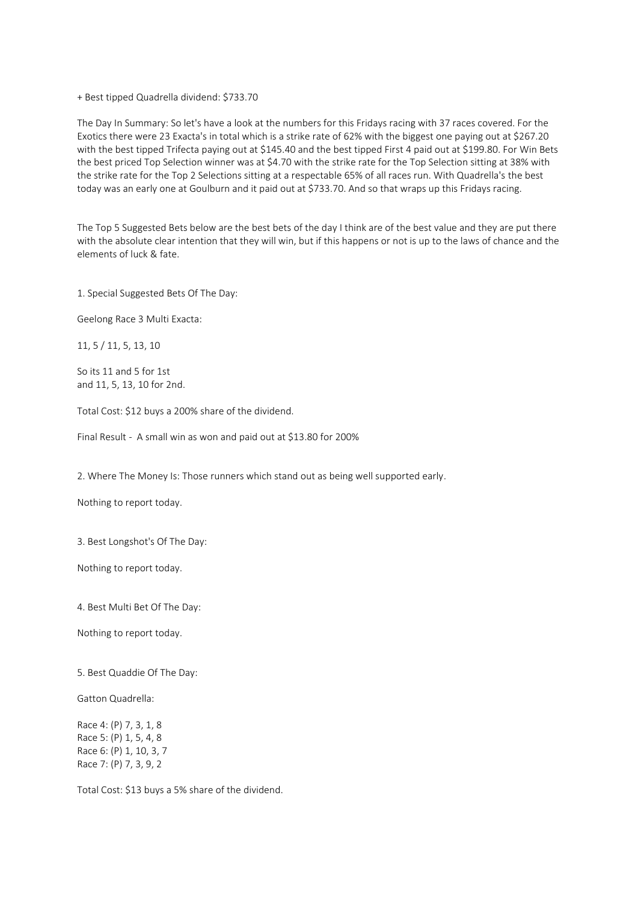+ Best tipped Quadrella dividend: \$733.70

The Day In Summary: So let's have a look at the numbers for this Fridays racing with 37 races covered. For the Exotics there were 23 Exacta's in total which is a strike rate of 62% with the biggest one paying out at \$267.20 with the best tipped Trifecta paying out at \$145.40 and the best tipped First 4 paid out at \$199.80. For Win Bets the best priced Top Selection winner was at \$4.70 with the strike rate for the Top Selection sitting at 38% with the strike rate for the Top 2 Selections sitting at a respectable 65% of all races run. With Quadrella's the best today was an early one at Goulburn and it paid out at \$733.70. And so that wraps up this Fridays racing.

The Top 5 Suggested Bets below are the best bets of the day I think are of the best value and they are put there with the absolute clear intention that they will win, but if this happens or not is up to the laws of chance and the elements of luck & fate.

1. Special Suggested Bets Of The Day:

Geelong Race 3 Multi Exacta:

11, 5 / 11, 5, 13, 10

So its 11 and 5 for 1st and 11, 5, 13, 10 for 2nd.

Total Cost: \$12 buys a 200% share of the dividend.

Final Result - A small win as won and paid out at \$13.80 for 200%

2. Where The Money Is: Those runners which stand out as being well supported early.

Nothing to report today.

3. Best Longshot's Of The Day:

Nothing to report today.

4. Best Multi Bet Of The Day:

Nothing to report today.

5. Best Quaddie Of The Day:

Gatton Quadrella:

Race 4: (P) 7, 3, 1, 8 Race 5: (P) 1, 5, 4, 8 Race 6: (P) 1, 10, 3, 7 Race 7: (P) 7, 3, 9, 2

Total Cost: \$13 buys a 5% share of the dividend.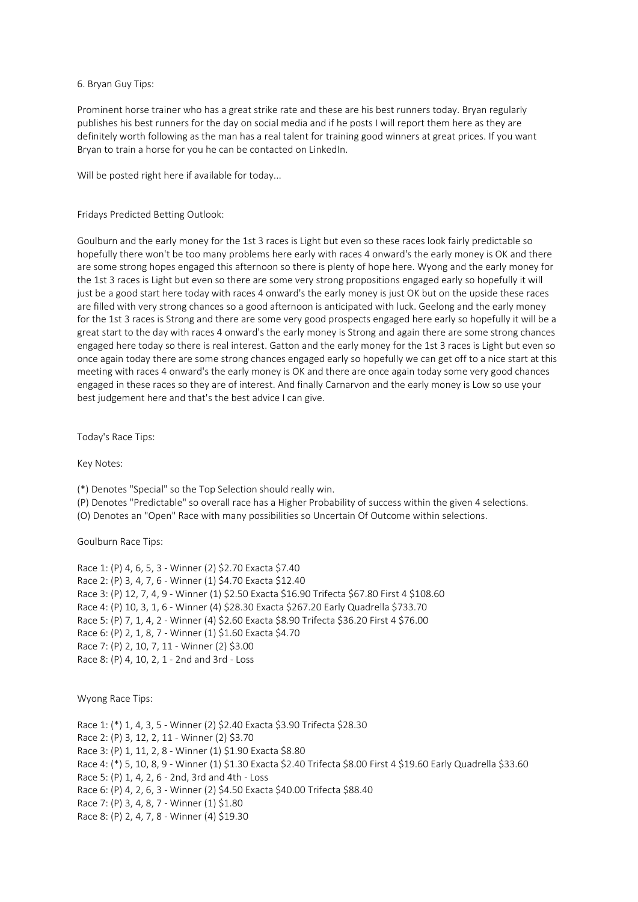## 6. Bryan Guy Tips:

Prominent horse trainer who has a great strike rate and these are his best runners today. Bryan regularly publishes his best runners for the day on social media and if he posts I will report them here as they are definitely worth following as the man has a real talent for training good winners at great prices. If you want Bryan to train a horse for you he can be contacted on LinkedIn.

Will be posted right here if available for today...

# Fridays Predicted Betting Outlook:

Goulburn and the early money for the 1st 3 races is Light but even so these races look fairly predictable so hopefully there won't be too many problems here early with races 4 onward's the early money is OK and there are some strong hopes engaged this afternoon so there is plenty of hope here. Wyong and the early money for the 1st 3 races is Light but even so there are some very strong propositions engaged early so hopefully it will just be a good start here today with races 4 onward's the early money is just OK but on the upside these races are filled with very strong chances so a good afternoon is anticipated with luck. Geelong and the early money for the 1st 3 races is Strong and there are some very good prospects engaged here early so hopefully it will be a great start to the day with races 4 onward's the early money is Strong and again there are some strong chances engaged here today so there is real interest. Gatton and the early money for the 1st 3 races is Light but even so once again today there are some strong chances engaged early so hopefully we can get off to a nice start at this meeting with races 4 onward's the early money is OK and there are once again today some very good chances engaged in these races so they are of interest. And finally Carnarvon and the early money is Low so use your best judgement here and that's the best advice I can give.

Today's Race Tips:

Key Notes:

(\*) Denotes "Special" so the Top Selection should really win.

- (P) Denotes "Predictable" so overall race has a Higher Probability of success within the given 4 selections.
- (O) Denotes an "Open" Race with many possibilities so Uncertain Of Outcome within selections.

Goulburn Race Tips:

```
Race 1: (P) 4, 6, 5, 3 - Winner (2) $2.70 Exacta $7.40
Race 2: (P) 3, 4, 7, 6 - Winner (1) $4.70 Exacta $12.40
Race 3: (P) 12, 7, 4, 9 - Winner (1) $2.50 Exacta $16.90 Trifecta $67.80 First 4 $108.60
Race 4: (P) 10, 3, 1, 6 - Winner (4) $28.30 Exacta $267.20 Early Quadrella $733.70
Race 5: (P) 7, 1, 4, 2 - Winner (4) $2.60 Exacta $8.90 Trifecta $36.20 First 4 $76.00
Race 6: (P) 2, 1, 8, 7 - Winner (1) $1.60 Exacta $4.70
Race 7: (P) 2, 10, 7, 11 - Winner (2) $3.00
Race 8: (P) 4, 10, 2, 1 - 2nd and 3rd - Loss
```
Wyong Race Tips:

Race 1: (\*) 1, 4, 3, 5 - Winner (2) \$2.40 Exacta \$3.90 Trifecta \$28.30 Race 2: (P) 3, 12, 2, 11 - Winner (2) \$3.70 Race 3: (P) 1, 11, 2, 8 - Winner (1) \$1.90 Exacta \$8.80 Race 4: (\*) 5, 10, 8, 9 - Winner (1) \$1.30 Exacta \$2.40 Trifecta \$8.00 First 4 \$19.60 Early Quadrella \$33.60 Race 5: (P) 1, 4, 2, 6 - 2nd, 3rd and 4th - Loss Race 6: (P) 4, 2, 6, 3 - Winner (2) \$4.50 Exacta \$40.00 Trifecta \$88.40 Race 7: (P) 3, 4, 8, 7 - Winner (1) \$1.80 Race 8: (P) 2, 4, 7, 8 - Winner (4) \$19.30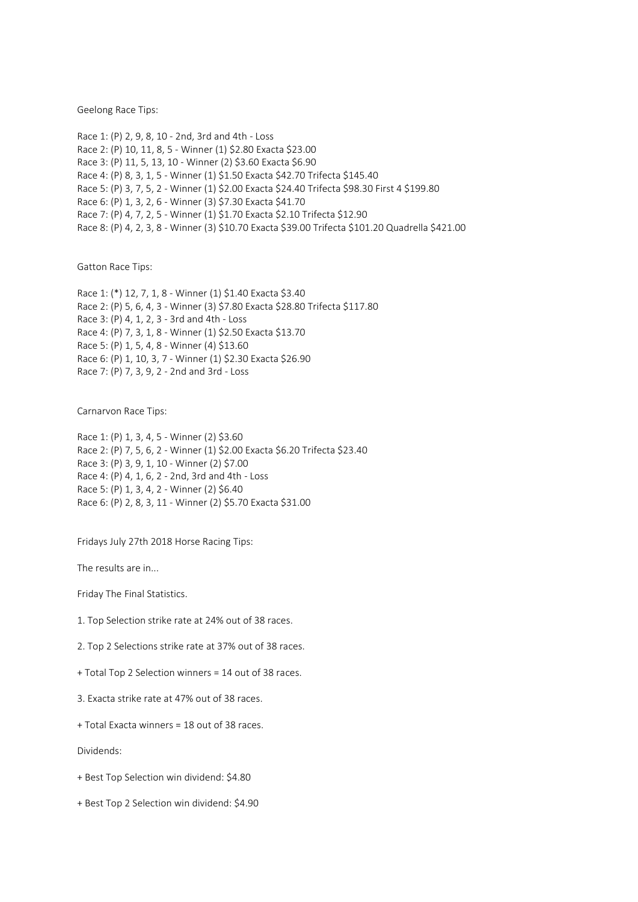Geelong Race Tips:

Race 1: (P) 2, 9, 8, 10 - 2nd, 3rd and 4th - Loss Race 2: (P) 10, 11, 8, 5 - Winner (1) \$2.80 Exacta \$23.00 Race 3: (P) 11, 5, 13, 10 - Winner (2) \$3.60 Exacta \$6.90 Race 4: (P) 8, 3, 1, 5 - Winner (1) \$1.50 Exacta \$42.70 Trifecta \$145.40 Race 5: (P) 3, 7, 5, 2 - Winner (1) \$2.00 Exacta \$24.40 Trifecta \$98.30 First 4 \$199.80 Race 6: (P) 1, 3, 2, 6 - Winner (3) \$7.30 Exacta \$41.70 Race 7: (P) 4, 7, 2, 5 - Winner (1) \$1.70 Exacta \$2.10 Trifecta \$12.90 Race 8: (P) 4, 2, 3, 8 - Winner (3) \$10.70 Exacta \$39.00 Trifecta \$101.20 Quadrella \$421.00

Gatton Race Tips:

Race 1: (\*) 12, 7, 1, 8 - Winner (1) \$1.40 Exacta \$3.40 Race 2: (P) 5, 6, 4, 3 - Winner (3) \$7.80 Exacta \$28.80 Trifecta \$117.80 Race 3: (P) 4, 1, 2, 3 - 3rd and 4th - Loss Race 4: (P) 7, 3, 1, 8 - Winner (1) \$2.50 Exacta \$13.70 Race 5: (P) 1, 5, 4, 8 - Winner (4) \$13.60 Race 6: (P) 1, 10, 3, 7 - Winner (1) \$2.30 Exacta \$26.90 Race 7: (P) 7, 3, 9, 2 - 2nd and 3rd - Loss

Carnarvon Race Tips:

Race 1: (P) 1, 3, 4, 5 - Winner (2) \$3.60 Race 2: (P) 7, 5, 6, 2 - Winner (1) \$2.00 Exacta \$6.20 Trifecta \$23.40 Race 3: (P) 3, 9, 1, 10 - Winner (2) \$7.00 Race 4: (P) 4, 1, 6, 2 - 2nd, 3rd and 4th - Loss Race 5: (P) 1, 3, 4, 2 - Winner (2) \$6.40 Race 6: (P) 2, 8, 3, 11 - Winner (2) \$5.70 Exacta \$31.00

Fridays July 27th 2018 Horse Racing Tips:

The results are in...

Friday The Final Statistics.

1. Top Selection strike rate at 24% out of 38 races.

2. Top 2 Selections strike rate at 37% out of 38 races.

+ Total Top 2 Selection winners = 14 out of 38 races.

3. Exacta strike rate at 47% out of 38 races.

+ Total Exacta winners = 18 out of 38 races.

Dividends:

- + Best Top Selection win dividend: \$4.80
- + Best Top 2 Selection win dividend: \$4.90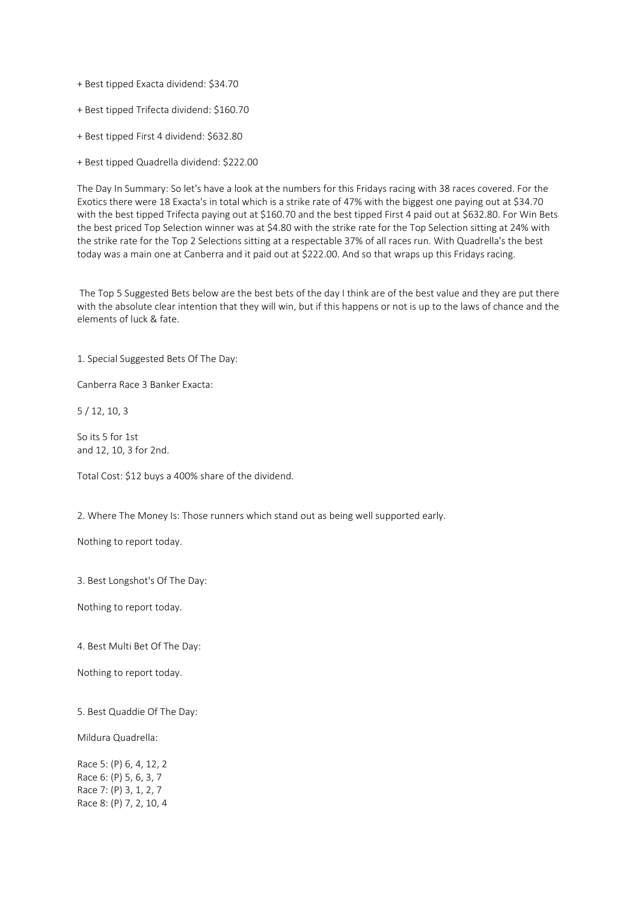+ Best tipped Exacta dividend: \$34.70

+ Best tipped Trifecta dividend: \$160.70

+ Best tipped First 4 dividend: \$632.80

+ Best tipped Quadrella dividend: \$222.00

The Day In Summary: So let's have a look at the numbers for this Fridays racing with 38 races covered. For the Exotics there were 18 Exacta's in total which is a strike rate of 47% with the biggest one paying out at \$34.70 with the best tipped Trifecta paying out at \$160.70 and the best tipped First 4 paid out at \$632.80. For Win Bets the best priced Top Selection winner was at \$4.80 with the strike rate for the Top Selection sitting at 24% with the strike rate for the Top 2 Selections sitting at a respectable 37% of all races run. With Quadrella's the best today was a main one at Canberra and it paid out at \$222.00. And so that wraps up this Fridays racing.

The Top 5 Suggested Bets below are the best bets of the day I think are of the best value and they are put there with the absolute clear intention that they will win, but if this happens or not is up to the laws of chance and the elements of luck & fate.

1. Special Suggested Bets Of The Day:

Canberra Race 3 Banker Exacta:

5 / 12, 10, 3

So its 5 for 1st and 12, 10, 3 for 2nd.

Total Cost: \$12 buys a 400% share of the dividend.

2. Where The Money Is: Those runners which stand out as being well supported early.

Nothing to report today.

3. Best Longshot's Of The Day:

Nothing to report today.

4. Best Multi Bet Of The Day:

Nothing to report today.

5. Best Quaddie Of The Day:

Mildura Quadrella:

Race 5: (P) 6, 4, 12, 2 Race 6: (P) 5, 6, 3, 7 Race 7: (P) 3, 1, 2, 7 Race 8: (P) 7, 2, 10, 4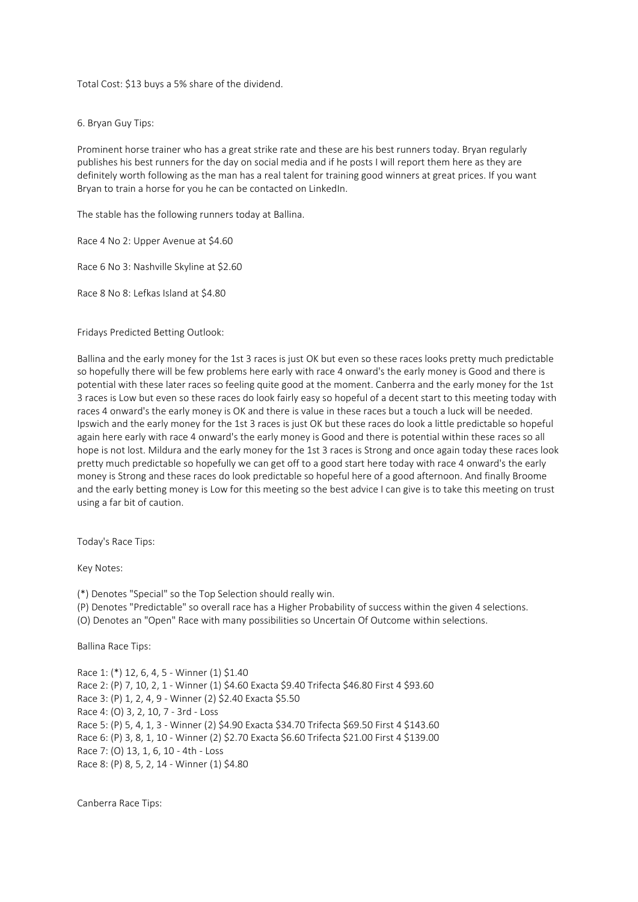Total Cost: \$13 buys a 5% share of the dividend.

6. Bryan Guy Tips:

Prominent horse trainer who has a great strike rate and these are his best runners today. Bryan regularly publishes his best runners for the day on social media and if he posts I will report them here as they are definitely worth following as the man has a real talent for training good winners at great prices. If you want Bryan to train a horse for you he can be contacted on LinkedIn.

The stable has the following runners today at Ballina.

Race 4 No 2: Upper Avenue at \$4.60

Race 6 No 3: Nashville Skyline at \$2.60

Race 8 No 8: Lefkas Island at \$4.80

Fridays Predicted Betting Outlook:

Ballina and the early money for the 1st 3 races is just OK but even so these races looks pretty much predictable so hopefully there will be few problems here early with race 4 onward's the early money is Good and there is potential with these later races so feeling quite good at the moment. Canberra and the early money for the 1st 3 races is Low but even so these races do look fairly easy so hopeful of a decent start to this meeting today with races 4 onward's the early money is OK and there is value in these races but a touch a luck will be needed. Ipswich and the early money for the 1st 3 races is just OK but these races do look a little predictable so hopeful again here early with race 4 onward's the early money is Good and there is potential within these races so all hope is not lost. Mildura and the early money for the 1st 3 races is Strong and once again today these races look pretty much predictable so hopefully we can get off to a good start here today with race 4 onward's the early money is Strong and these races do look predictable so hopeful here of a good afternoon. And finally Broome and the early betting money is Low for this meeting so the best advice I can give is to take this meeting on trust using a far bit of caution.

Today's Race Tips:

Key Notes:

(\*) Denotes "Special" so the Top Selection should really win.

(P) Denotes "Predictable" so overall race has a Higher Probability of success within the given 4 selections.

(O) Denotes an "Open" Race with many possibilities so Uncertain Of Outcome within selections.

Ballina Race Tips:

Race 1: (\*) 12, 6, 4, 5 - Winner (1) \$1.40 Race 2: (P) 7, 10, 2, 1 - Winner (1) \$4.60 Exacta \$9.40 Trifecta \$46.80 First 4 \$93.60 Race 3: (P) 1, 2, 4, 9 - Winner (2) \$2.40 Exacta \$5.50 Race 4: (O) 3, 2, 10, 7 - 3rd - Loss Race 5: (P) 5, 4, 1, 3 - Winner (2) \$4.90 Exacta \$34.70 Trifecta \$69.50 First 4 \$143.60 Race 6: (P) 3, 8, 1, 10 - Winner (2) \$2.70 Exacta \$6.60 Trifecta \$21.00 First 4 \$139.00 Race 7: (O) 13, 1, 6, 10 - 4th - Loss Race 8: (P) 8, 5, 2, 14 - Winner (1) \$4.80

Canberra Race Tips: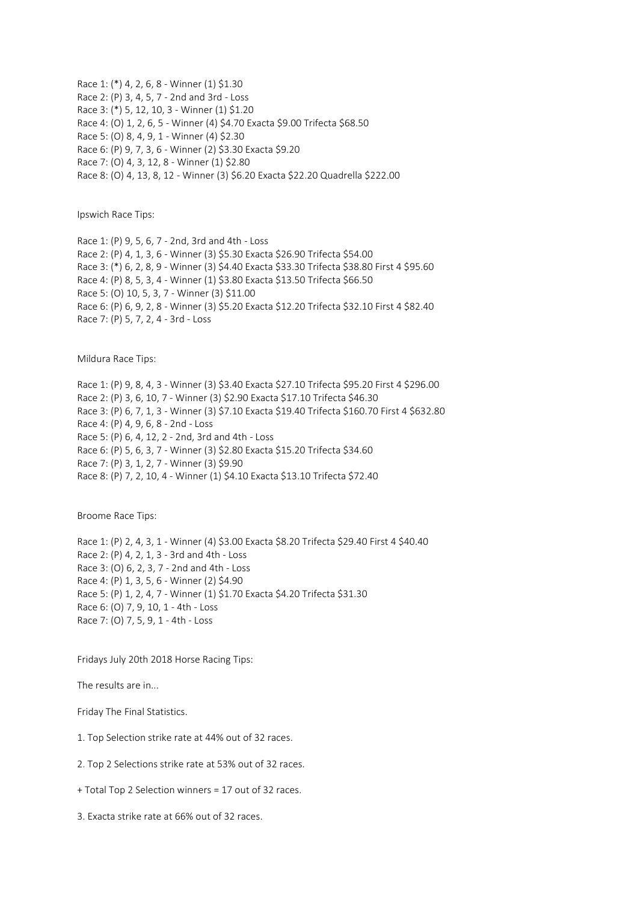Race 1: (\*) 4, 2, 6, 8 - Winner (1) \$1.30 Race 2: (P) 3, 4, 5, 7 - 2nd and 3rd - Loss Race 3: (\*) 5, 12, 10, 3 - Winner (1) \$1.20 Race 4: (O) 1, 2, 6, 5 - Winner (4) \$4.70 Exacta \$9.00 Trifecta \$68.50 Race 5: (O) 8, 4, 9, 1 - Winner (4) \$2.30 Race 6: (P) 9, 7, 3, 6 - Winner (2) \$3.30 Exacta \$9.20 Race 7: (O) 4, 3, 12, 8 - Winner (1) \$2.80 Race 8: (O) 4, 13, 8, 12 - Winner (3) \$6.20 Exacta \$22.20 Quadrella \$222.00

Ipswich Race Tips:

Race 1: (P) 9, 5, 6, 7 - 2nd, 3rd and 4th - Loss Race 2: (P) 4, 1, 3, 6 - Winner (3) \$5.30 Exacta \$26.90 Trifecta \$54.00 Race 3: (\*) 6, 2, 8, 9 - Winner (3) \$4.40 Exacta \$33.30 Trifecta \$38.80 First 4 \$95.60 Race 4: (P) 8, 5, 3, 4 - Winner (1) \$3.80 Exacta \$13.50 Trifecta \$66.50 Race 5: (O) 10, 5, 3, 7 - Winner (3) \$11.00 Race 6: (P) 6, 9, 2, 8 - Winner (3) \$5.20 Exacta \$12.20 Trifecta \$32.10 First 4 \$82.40 Race 7: (P) 5, 7, 2, 4 - 3rd - Loss

Mildura Race Tips:

Race 1: (P) 9, 8, 4, 3 - Winner (3) \$3.40 Exacta \$27.10 Trifecta \$95.20 First 4 \$296.00 Race 2: (P) 3, 6, 10, 7 - Winner (3) \$2.90 Exacta \$17.10 Trifecta \$46.30 Race 3: (P) 6, 7, 1, 3 - Winner (3) \$7.10 Exacta \$19.40 Trifecta \$160.70 First 4 \$632.80 Race 4: (P) 4, 9, 6, 8 - 2nd - Loss Race 5: (P) 6, 4, 12, 2 - 2nd, 3rd and 4th - Loss Race 6: (P) 5, 6, 3, 7 - Winner (3) \$2.80 Exacta \$15.20 Trifecta \$34.60 Race 7: (P) 3, 1, 2, 7 - Winner (3) \$9.90 Race 8: (P) 7, 2, 10, 4 - Winner (1) \$4.10 Exacta \$13.10 Trifecta \$72.40

Broome Race Tips:

Race 1: (P) 2, 4, 3, 1 - Winner (4) \$3.00 Exacta \$8.20 Trifecta \$29.40 First 4 \$40.40 Race 2: (P) 4, 2, 1, 3 - 3rd and 4th - Loss Race 3: (O) 6, 2, 3, 7 - 2nd and 4th - Loss Race 4: (P) 1, 3, 5, 6 - Winner (2) \$4.90 Race 5: (P) 1, 2, 4, 7 - Winner (1) \$1.70 Exacta \$4.20 Trifecta \$31.30 Race 6: (O) 7, 9, 10, 1 - 4th - Loss Race 7: (O) 7, 5, 9, 1 - 4th - Loss

Fridays July 20th 2018 Horse Racing Tips:

The results are in...

Friday The Final Statistics.

1. Top Selection strike rate at 44% out of 32 races.

2. Top 2 Selections strike rate at 53% out of 32 races.

+ Total Top 2 Selection winners = 17 out of 32 races.

3. Exacta strike rate at 66% out of 32 races.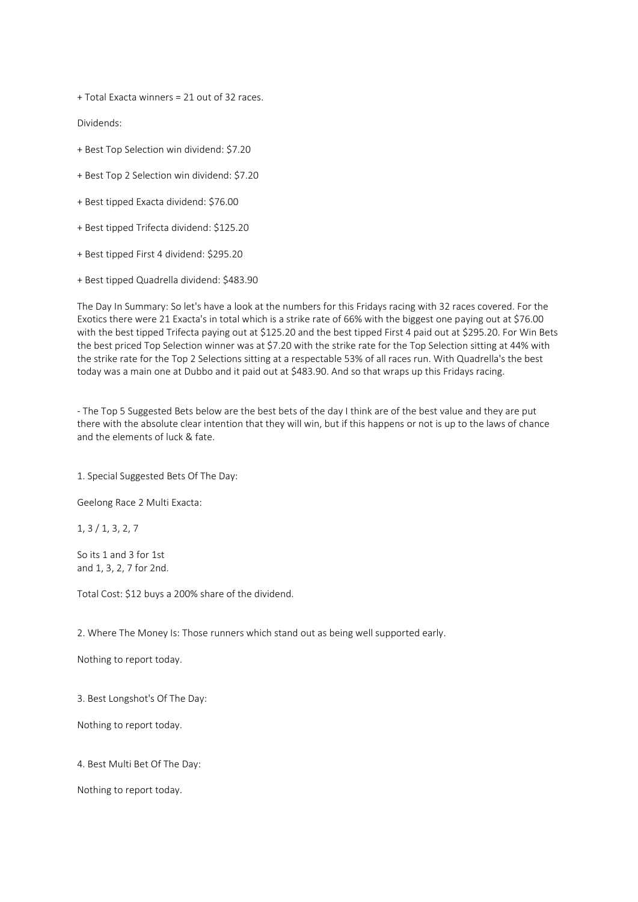+ Total Exacta winners = 21 out of 32 races.

Dividends:

- + Best Top Selection win dividend: \$7.20
- + Best Top 2 Selection win dividend: \$7.20
- + Best tipped Exacta dividend: \$76.00
- + Best tipped Trifecta dividend: \$125.20
- + Best tipped First 4 dividend: \$295.20
- + Best tipped Quadrella dividend: \$483.90

The Day In Summary: So let's have a look at the numbers for this Fridays racing with 32 races covered. For the Exotics there were 21 Exacta's in total which is a strike rate of 66% with the biggest one paying out at \$76.00 with the best tipped Trifecta paying out at \$125.20 and the best tipped First 4 paid out at \$295.20. For Win Bets the best priced Top Selection winner was at \$7.20 with the strike rate for the Top Selection sitting at 44% with the strike rate for the Top 2 Selections sitting at a respectable 53% of all races run. With Quadrella's the best today was a main one at Dubbo and it paid out at \$483.90. And so that wraps up this Fridays racing.

- The Top 5 Suggested Bets below are the best bets of the day I think are of the best value and they are put there with the absolute clear intention that they will win, but if this happens or not is up to the laws of chance and the elements of luck & fate.

1. Special Suggested Bets Of The Day:

Geelong Race 2 Multi Exacta:

1, 3 / 1, 3, 2, 7

So its 1 and 3 for 1st and 1, 3, 2, 7 for 2nd.

Total Cost: \$12 buys a 200% share of the dividend.

2. Where The Money Is: Those runners which stand out as being well supported early.

Nothing to report today.

3. Best Longshot's Of The Day:

Nothing to report today.

4. Best Multi Bet Of The Day:

Nothing to report today.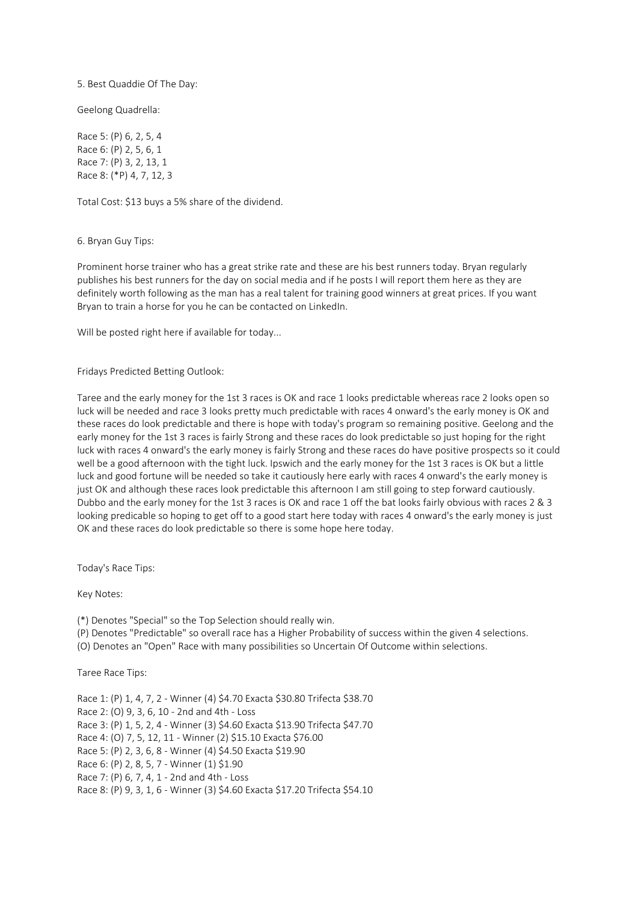5. Best Quaddie Of The Day:

Geelong Quadrella:

Race 5: (P) 6, 2, 5, 4 Race 6: (P) 2, 5, 6, 1 Race 7: (P) 3, 2, 13, 1 Race 8: (\*P) 4, 7, 12, 3

Total Cost: \$13 buys a 5% share of the dividend.

6. Bryan Guy Tips:

Prominent horse trainer who has a great strike rate and these are his best runners today. Bryan regularly publishes his best runners for the day on social media and if he posts I will report them here as they are definitely worth following as the man has a real talent for training good winners at great prices. If you want Bryan to train a horse for you he can be contacted on LinkedIn.

Will be posted right here if available for today...

#### Fridays Predicted Betting Outlook:

Taree and the early money for the 1st 3 races is OK and race 1 looks predictable whereas race 2 looks open so luck will be needed and race 3 looks pretty much predictable with races 4 onward's the early money is OK and these races do look predictable and there is hope with today's program so remaining positive. Geelong and the early money for the 1st 3 races is fairly Strong and these races do look predictable so just hoping for the right luck with races 4 onward's the early money is fairly Strong and these races do have positive prospects so it could well be a good afternoon with the tight luck. Ipswich and the early money for the 1st 3 races is OK but a little luck and good fortune will be needed so take it cautiously here early with races 4 onward's the early money is just OK and although these races look predictable this afternoon I am still going to step forward cautiously. Dubbo and the early money for the 1st 3 races is OK and race 1 off the bat looks fairly obvious with races 2 & 3 looking predicable so hoping to get off to a good start here today with races 4 onward's the early money is just OK and these races do look predictable so there is some hope here today.

Today's Race Tips:

Key Notes:

(\*) Denotes "Special" so the Top Selection should really win.

(P) Denotes "Predictable" so overall race has a Higher Probability of success within the given 4 selections.

(O) Denotes an "Open" Race with many possibilities so Uncertain Of Outcome within selections.

Taree Race Tips:

Race 1: (P) 1, 4, 7, 2 - Winner (4) \$4.70 Exacta \$30.80 Trifecta \$38.70 Race 2: (O) 9, 3, 6, 10 - 2nd and 4th - Loss Race 3: (P) 1, 5, 2, 4 - Winner (3) \$4.60 Exacta \$13.90 Trifecta \$47.70 Race 4: (O) 7, 5, 12, 11 - Winner (2) \$15.10 Exacta \$76.00 Race 5: (P) 2, 3, 6, 8 - Winner (4) \$4.50 Exacta \$19.90 Race 6: (P) 2, 8, 5, 7 - Winner (1) \$1.90 Race 7: (P) 6, 7, 4, 1 - 2nd and 4th - Loss Race 8: (P) 9, 3, 1, 6 - Winner (3) \$4.60 Exacta \$17.20 Trifecta \$54.10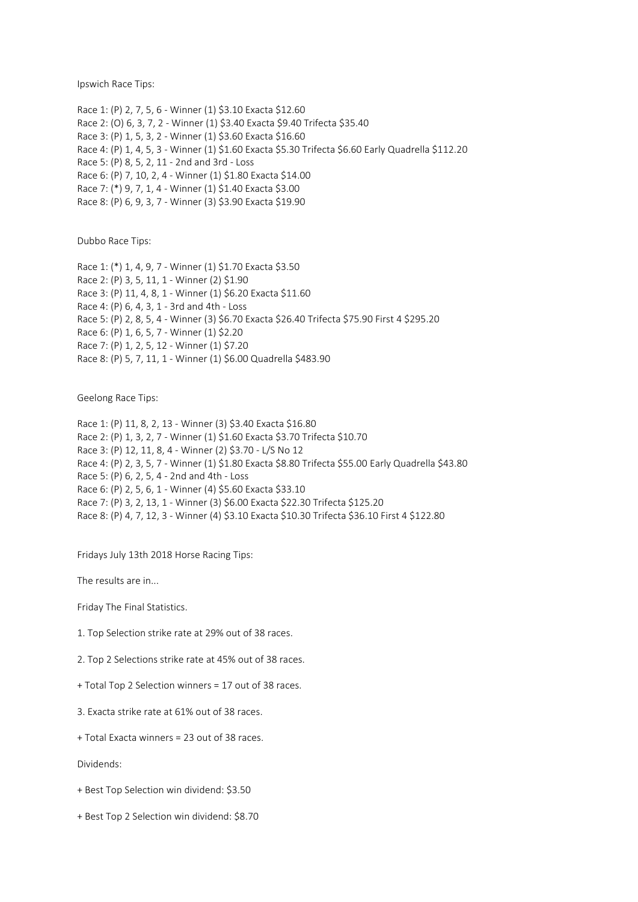Ipswich Race Tips:

Race 1: (P) 2, 7, 5, 6 - Winner (1) \$3.10 Exacta \$12.60 Race 2: (O) 6, 3, 7, 2 - Winner (1) \$3.40 Exacta \$9.40 Trifecta \$35.40 Race 3: (P) 1, 5, 3, 2 - Winner (1) \$3.60 Exacta \$16.60 Race 4: (P) 1, 4, 5, 3 - Winner (1) \$1.60 Exacta \$5.30 Trifecta \$6.60 Early Quadrella \$112.20 Race 5: (P) 8, 5, 2, 11 - 2nd and 3rd - Loss Race 6: (P) 7, 10, 2, 4 - Winner (1) \$1.80 Exacta \$14.00 Race 7: (\*) 9, 7, 1, 4 - Winner (1) \$1.40 Exacta \$3.00 Race 8: (P) 6, 9, 3, 7 - Winner (3) \$3.90 Exacta \$19.90

Dubbo Race Tips:

Race 1: (\*) 1, 4, 9, 7 - Winner (1) \$1.70 Exacta \$3.50 Race 2: (P) 3, 5, 11, 1 - Winner (2) \$1.90 Race 3: (P) 11, 4, 8, 1 - Winner (1) \$6.20 Exacta \$11.60 Race 4: (P) 6, 4, 3, 1 - 3rd and 4th - Loss Race 5: (P) 2, 8, 5, 4 - Winner (3) \$6.70 Exacta \$26.40 Trifecta \$75.90 First 4 \$295.20 Race 6: (P) 1, 6, 5, 7 - Winner (1) \$2.20 Race 7: (P) 1, 2, 5, 12 - Winner (1) \$7.20 Race 8: (P) 5, 7, 11, 1 - Winner (1) \$6.00 Quadrella \$483.90

Geelong Race Tips:

Race 1: (P) 11, 8, 2, 13 - Winner (3) \$3.40 Exacta \$16.80 Race 2: (P) 1, 3, 2, 7 - Winner (1) \$1.60 Exacta \$3.70 Trifecta \$10.70 Race 3: (P) 12, 11, 8, 4 - Winner (2) \$3.70 - L/S No 12 Race 4: (P) 2, 3, 5, 7 - Winner (1) \$1.80 Exacta \$8.80 Trifecta \$55.00 Early Quadrella \$43.80 Race 5: (P) 6, 2, 5, 4 - 2nd and 4th - Loss Race 6: (P) 2, 5, 6, 1 - Winner (4) \$5.60 Exacta \$33.10 Race 7: (P) 3, 2, 13, 1 - Winner (3) \$6.00 Exacta \$22.30 Trifecta \$125.20 Race 8: (P) 4, 7, 12, 3 - Winner (4) \$3.10 Exacta \$10.30 Trifecta \$36.10 First 4 \$122.80

Fridays July 13th 2018 Horse Racing Tips:

The results are in...

Friday The Final Statistics.

1. Top Selection strike rate at 29% out of 38 races.

2. Top 2 Selections strike rate at 45% out of 38 races.

+ Total Top 2 Selection winners = 17 out of 38 races.

3. Exacta strike rate at 61% out of 38 races.

+ Total Exacta winners = 23 out of 38 races.

Dividends:

+ Best Top Selection win dividend: \$3.50

+ Best Top 2 Selection win dividend: \$8.70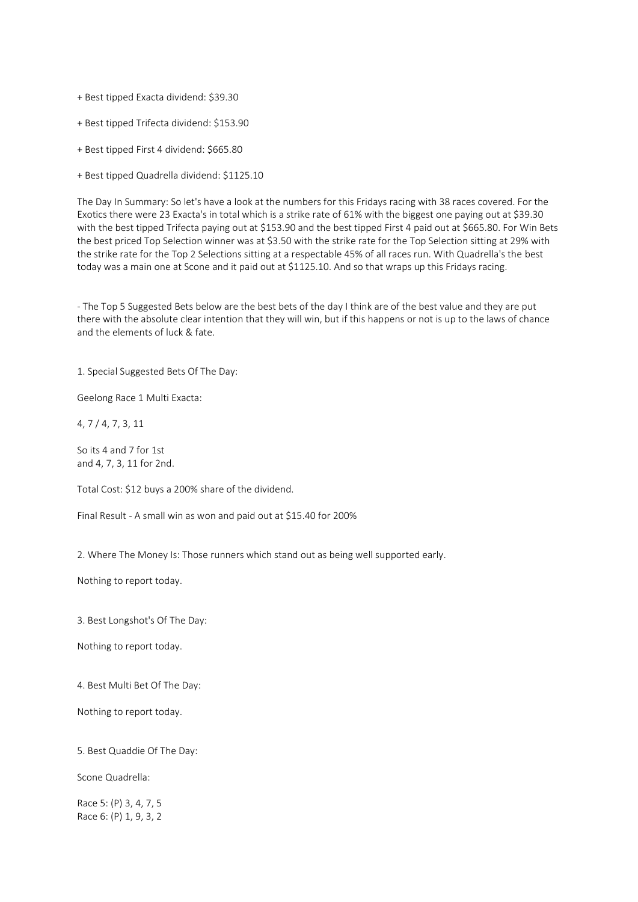+ Best tipped Exacta dividend: \$39.30

+ Best tipped Trifecta dividend: \$153.90

+ Best tipped First 4 dividend: \$665.80

+ Best tipped Quadrella dividend: \$1125.10

The Day In Summary: So let's have a look at the numbers for this Fridays racing with 38 races covered. For the Exotics there were 23 Exacta's in total which is a strike rate of 61% with the biggest one paying out at \$39.30 with the best tipped Trifecta paying out at \$153.90 and the best tipped First 4 paid out at \$665.80. For Win Bets the best priced Top Selection winner was at \$3.50 with the strike rate for the Top Selection sitting at 29% with the strike rate for the Top 2 Selections sitting at a respectable 45% of all races run. With Quadrella's the best today was a main one at Scone and it paid out at \$1125.10. And so that wraps up this Fridays racing.

- The Top 5 Suggested Bets below are the best bets of the day I think are of the best value and they are put there with the absolute clear intention that they will win, but if this happens or not is up to the laws of chance and the elements of luck & fate.

1. Special Suggested Bets Of The Day:

Geelong Race 1 Multi Exacta:

4, 7 / 4, 7, 3, 11

So its 4 and 7 for 1st and 4, 7, 3, 11 for 2nd.

Total Cost: \$12 buys a 200% share of the dividend.

Final Result - A small win as won and paid out at \$15.40 for 200%

2. Where The Money Is: Those runners which stand out as being well supported early.

Nothing to report today.

3. Best Longshot's Of The Day:

Nothing to report today.

4. Best Multi Bet Of The Day:

Nothing to report today.

5. Best Quaddie Of The Day:

Scone Quadrella:

Race 5: (P) 3, 4, 7, 5 Race 6: (P) 1, 9, 3, 2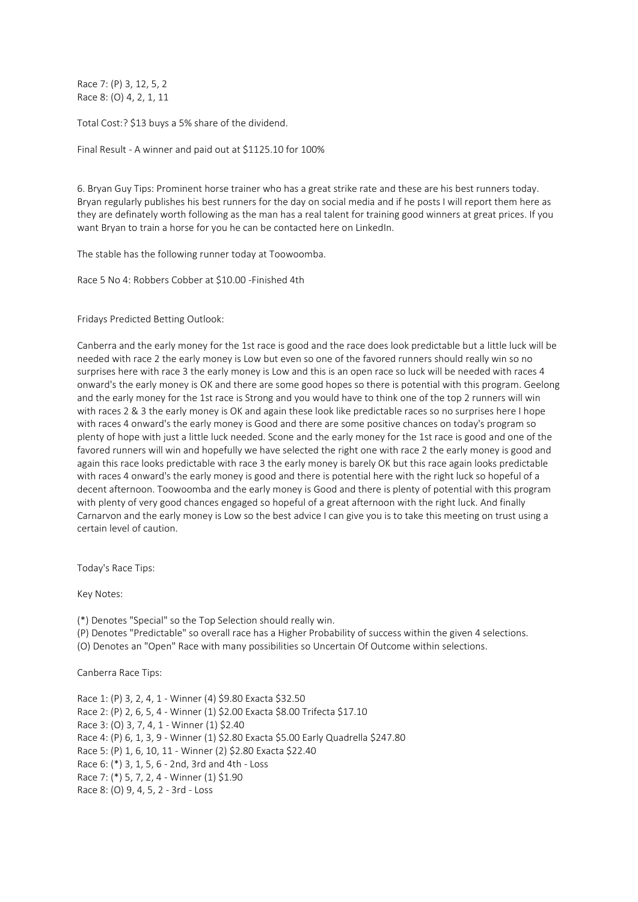Race 7: (P) 3, 12, 5, 2 Race 8: (O) 4, 2, 1, 11

Total Cost:? \$13 buys a 5% share of the dividend.

Final Result - A winner and paid out at \$1125.10 for 100%

6. Bryan Guy Tips: Prominent horse trainer who has a great strike rate and these are his best runners today. Bryan regularly publishes his best runners for the day on social media and if he posts I will report them here as they are definately worth following as the man has a real talent for training good winners at great prices. If you want Bryan to train a horse for you he can be contacted here on LinkedIn.

The stable has the following runner today at Toowoomba.

Race 5 No 4: Robbers Cobber at \$10.00 -Finished 4th

Fridays Predicted Betting Outlook:

Canberra and the early money for the 1st race is good and the race does look predictable but a little luck will be needed with race 2 the early money is Low but even so one of the favored runners should really win so no surprises here with race 3 the early money is Low and this is an open race so luck will be needed with races 4 onward's the early money is OK and there are some good hopes so there is potential with this program. Geelong and the early money for the 1st race is Strong and you would have to think one of the top 2 runners will win with races 2 & 3 the early money is OK and again these look like predictable races so no surprises here I hope with races 4 onward's the early money is Good and there are some positive chances on today's program so plenty of hope with just a little luck needed. Scone and the early money for the 1st race is good and one of the favored runners will win and hopefully we have selected the right one with race 2 the early money is good and again this race looks predictable with race 3 the early money is barely OK but this race again looks predictable with races 4 onward's the early money is good and there is potential here with the right luck so hopeful of a decent afternoon. Toowoomba and the early money is Good and there is plenty of potential with this program with plenty of very good chances engaged so hopeful of a great afternoon with the right luck. And finally Carnarvon and the early money is Low so the best advice I can give you is to take this meeting on trust using a certain level of caution.

Today's Race Tips:

Key Notes:

(\*) Denotes "Special" so the Top Selection should really win.

(P) Denotes "Predictable" so overall race has a Higher Probability of success within the given 4 selections.

(O) Denotes an "Open" Race with many possibilities so Uncertain Of Outcome within selections.

Canberra Race Tips:

Race 1: (P) 3, 2, 4, 1 - Winner (4) \$9.80 Exacta \$32.50 Race 2: (P) 2, 6, 5, 4 - Winner (1) \$2.00 Exacta \$8.00 Trifecta \$17.10 Race 3: (O) 3, 7, 4, 1 - Winner (1) \$2.40 Race 4: (P) 6, 1, 3, 9 - Winner (1) \$2.80 Exacta \$5.00 Early Quadrella \$247.80 Race 5: (P) 1, 6, 10, 11 - Winner (2) \$2.80 Exacta \$22.40 Race 6: (\*) 3, 1, 5, 6 - 2nd, 3rd and 4th - Loss Race 7: (\*) 5, 7, 2, 4 - Winner (1) \$1.90 Race 8: (O) 9, 4, 5, 2 - 3rd - Loss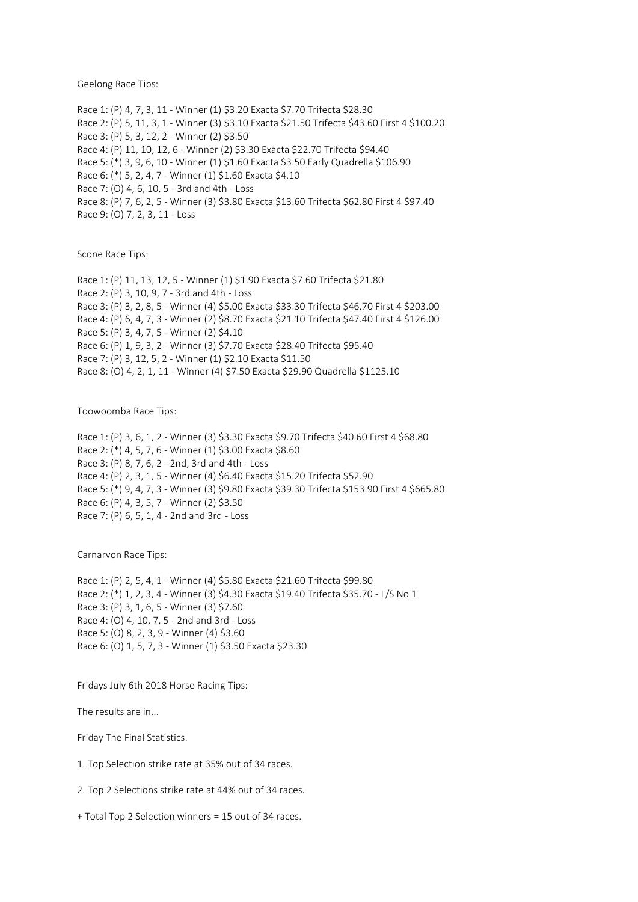Geelong Race Tips:

Race 1: (P) 4, 7, 3, 11 - Winner (1) \$3.20 Exacta \$7.70 Trifecta \$28.30 Race 2: (P) 5, 11, 3, 1 - Winner (3) \$3.10 Exacta \$21.50 Trifecta \$43.60 First 4 \$100.20 Race 3: (P) 5, 3, 12, 2 - Winner (2) \$3.50 Race 4: (P) 11, 10, 12, 6 - Winner (2) \$3.30 Exacta \$22.70 Trifecta \$94.40 Race 5: (\*) 3, 9, 6, 10 - Winner (1) \$1.60 Exacta \$3.50 Early Quadrella \$106.90 Race 6: (\*) 5, 2, 4, 7 - Winner (1) \$1.60 Exacta \$4.10 Race 7: (O) 4, 6, 10, 5 - 3rd and 4th - Loss Race 8: (P) 7, 6, 2, 5 - Winner (3) \$3.80 Exacta \$13.60 Trifecta \$62.80 First 4 \$97.40 Race 9: (O) 7, 2, 3, 11 - Loss

Scone Race Tips:

Race 1: (P) 11, 13, 12, 5 - Winner (1) \$1.90 Exacta \$7.60 Trifecta \$21.80 Race 2: (P) 3, 10, 9, 7 - 3rd and 4th - Loss Race 3: (P) 3, 2, 8, 5 - Winner (4) \$5.00 Exacta \$33.30 Trifecta \$46.70 First 4 \$203.00 Race 4: (P) 6, 4, 7, 3 - Winner (2) \$8.70 Exacta \$21.10 Trifecta \$47.40 First 4 \$126.00 Race 5: (P) 3, 4, 7, 5 - Winner (2) \$4.10 Race 6: (P) 1, 9, 3, 2 - Winner (3) \$7.70 Exacta \$28.40 Trifecta \$95.40 Race 7: (P) 3, 12, 5, 2 - Winner (1) \$2.10 Exacta \$11.50 Race 8: (O) 4, 2, 1, 11 - Winner (4) \$7.50 Exacta \$29.90 Quadrella \$1125.10

Toowoomba Race Tips:

Race 1: (P) 3, 6, 1, 2 - Winner (3) \$3.30 Exacta \$9.70 Trifecta \$40.60 First 4 \$68.80 Race 2: (\*) 4, 5, 7, 6 - Winner (1) \$3.00 Exacta \$8.60 Race 3: (P) 8, 7, 6, 2 - 2nd, 3rd and 4th - Loss Race 4: (P) 2, 3, 1, 5 - Winner (4) \$6.40 Exacta \$15.20 Trifecta \$52.90 Race 5: (\*) 9, 4, 7, 3 - Winner (3) \$9.80 Exacta \$39.30 Trifecta \$153.90 First 4 \$665.80 Race 6: (P) 4, 3, 5, 7 - Winner (2) \$3.50 Race 7: (P) 6, 5, 1, 4 - 2nd and 3rd - Loss

Carnarvon Race Tips:

Race 1: (P) 2, 5, 4, 1 - Winner (4) \$5.80 Exacta \$21.60 Trifecta \$99.80 Race 2: (\*) 1, 2, 3, 4 - Winner (3) \$4.30 Exacta \$19.40 Trifecta \$35.70 - L/S No 1 Race 3: (P) 3, 1, 6, 5 - Winner (3) \$7.60 Race 4: (O) 4, 10, 7, 5 - 2nd and 3rd - Loss Race 5: (O) 8, 2, 3, 9 - Winner (4) \$3.60 Race 6: (O) 1, 5, 7, 3 - Winner (1) \$3.50 Exacta \$23.30

Fridays July 6th 2018 Horse Racing Tips:

The results are in...

Friday The Final Statistics.

1. Top Selection strike rate at 35% out of 34 races.

2. Top 2 Selections strike rate at 44% out of 34 races.

+ Total Top 2 Selection winners = 15 out of 34 races.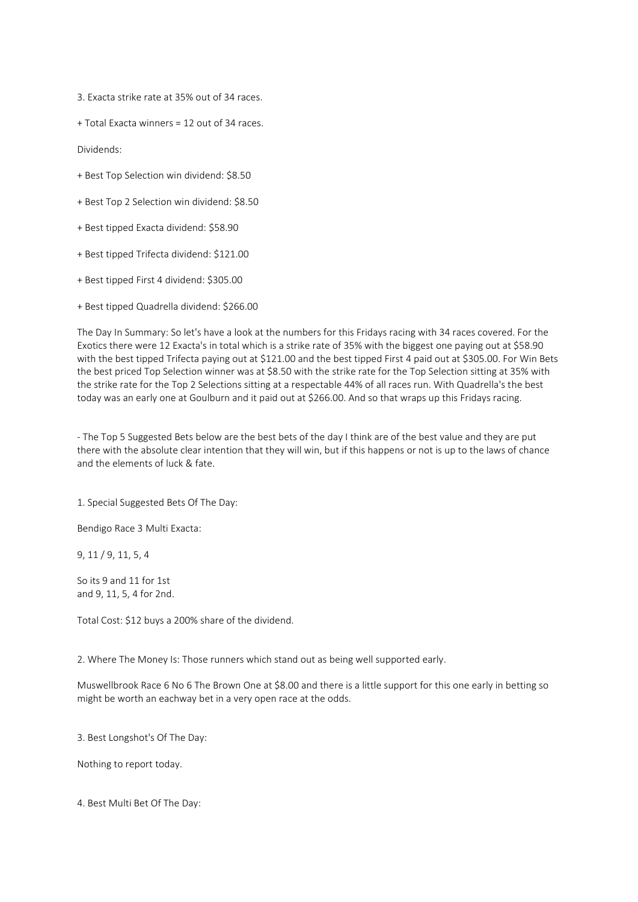3. Exacta strike rate at 35% out of 34 races.

+ Total Exacta winners = 12 out of 34 races.

Dividends:

- + Best Top Selection win dividend: \$8.50
- + Best Top 2 Selection win dividend: \$8.50
- + Best tipped Exacta dividend: \$58.90
- + Best tipped Trifecta dividend: \$121.00
- + Best tipped First 4 dividend: \$305.00
- + Best tipped Quadrella dividend: \$266.00

The Day In Summary: So let's have a look at the numbers for this Fridays racing with 34 races covered. For the Exotics there were 12 Exacta's in total which is a strike rate of 35% with the biggest one paying out at \$58.90 with the best tipped Trifecta paying out at \$121.00 and the best tipped First 4 paid out at \$305.00. For Win Bets the best priced Top Selection winner was at \$8.50 with the strike rate for the Top Selection sitting at 35% with the strike rate for the Top 2 Selections sitting at a respectable 44% of all races run. With Quadrella's the best today was an early one at Goulburn and it paid out at \$266.00. And so that wraps up this Fridays racing.

- The Top 5 Suggested Bets below are the best bets of the day I think are of the best value and they are put there with the absolute clear intention that they will win, but if this happens or not is up to the laws of chance and the elements of luck & fate.

1. Special Suggested Bets Of The Day:

Bendigo Race 3 Multi Exacta:

9, 11 / 9, 11, 5, 4

So its 9 and 11 for 1st and 9, 11, 5, 4 for 2nd.

Total Cost: \$12 buys a 200% share of the dividend.

2. Where The Money Is: Those runners which stand out as being well supported early.

Muswellbrook Race 6 No 6 The Brown One at \$8.00 and there is a little support for this one early in betting so might be worth an eachway bet in a very open race at the odds.

3. Best Longshot's Of The Day:

Nothing to report today.

4. Best Multi Bet Of The Day: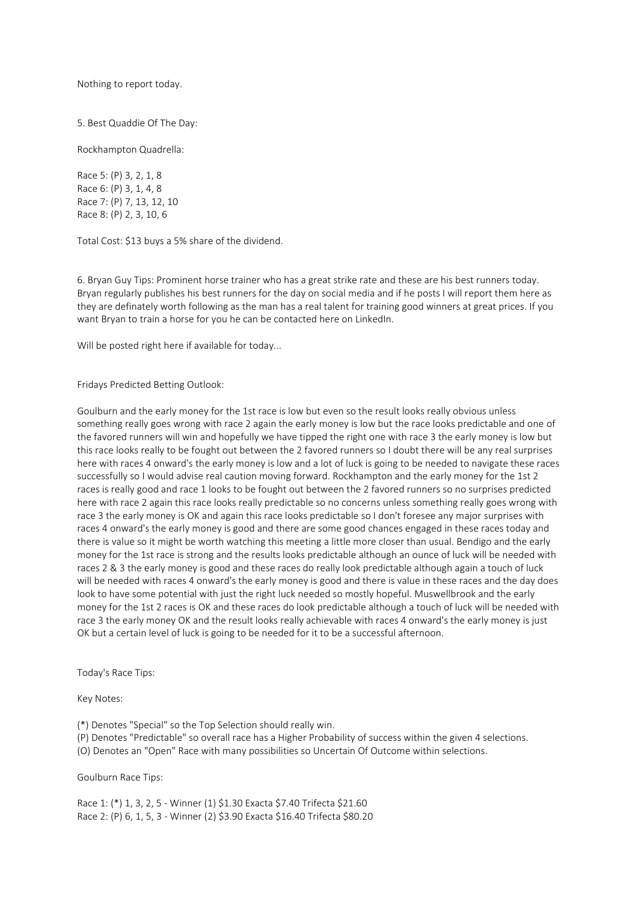Nothing to report today.

5. Best Quaddie Of The Day:

Rockhampton Quadrella:

Race 5: (P) 3, 2, 1, 8 Race 6: (P) 3, 1, 4, 8 Race 7: (P) 7, 13, 12, 10 Race 8: (P) 2, 3, 10, 6

Total Cost: \$13 buys a 5% share of the dividend.

6. Bryan Guy Tips: Prominent horse trainer who has a great strike rate and these are his best runners today. Bryan regularly publishes his best runners for the day on social media and if he posts I will report them here as they are definately worth following as the man has a real talent for training good winners at great prices. If you want Bryan to train a horse for you he can be contacted here on LinkedIn.

Will be posted right here if available for today...

Fridays Predicted Betting Outlook:

Goulburn and the early money for the 1st race is low but even so the result looks really obvious unless something really goes wrong with race 2 again the early money is low but the race looks predictable and one of the favored runners will win and hopefully we have tipped the right one with race 3 the early money is low but this race looks really to be fought out between the 2 favored runners so I doubt there will be any real surprises here with races 4 onward's the early money is low and a lot of luck is going to be needed to navigate these races successfully so I would advise real caution moving forward. Rockhampton and the early money for the 1st 2 races is really good and race 1 looks to be fought out between the 2 favored runners so no surprises predicted here with race 2 again this race looks really predictable so no concerns unless something really goes wrong with race 3 the early money is OK and again this race looks predictable so I don't foresee any major surprises with races 4 onward's the early money is good and there are some good chances engaged in these races today and there is value so it might be worth watching this meeting a little more closer than usual. Bendigo and the early money for the 1st race is strong and the results looks predictable although an ounce of luck will be needed with races 2 & 3 the early money is good and these races do really look predictable although again a touch of luck will be needed with races 4 onward's the early money is good and there is value in these races and the day does look to have some potential with just the right luck needed so mostly hopeful. Muswellbrook and the early money for the 1st 2 races is OK and these races do look predictable although a touch of luck will be needed with race 3 the early money OK and the result looks really achievable with races 4 onward's the early money is just OK but a certain level of luck is going to be needed for it to be a successful afternoon.

Today's Race Tips:

Key Notes:

(\*) Denotes "Special" so the Top Selection should really win.

(P) Denotes "Predictable" so overall race has a Higher Probability of success within the given 4 selections.

(O) Denotes an "Open" Race with many possibilities so Uncertain Of Outcome within selections.

Goulburn Race Tips:

Race 1: (\*) 1, 3, 2, 5 - Winner (1) \$1.30 Exacta \$7.40 Trifecta \$21.60 Race 2: (P) 6, 1, 5, 3 - Winner (2) \$3.90 Exacta \$16.40 Trifecta \$80.20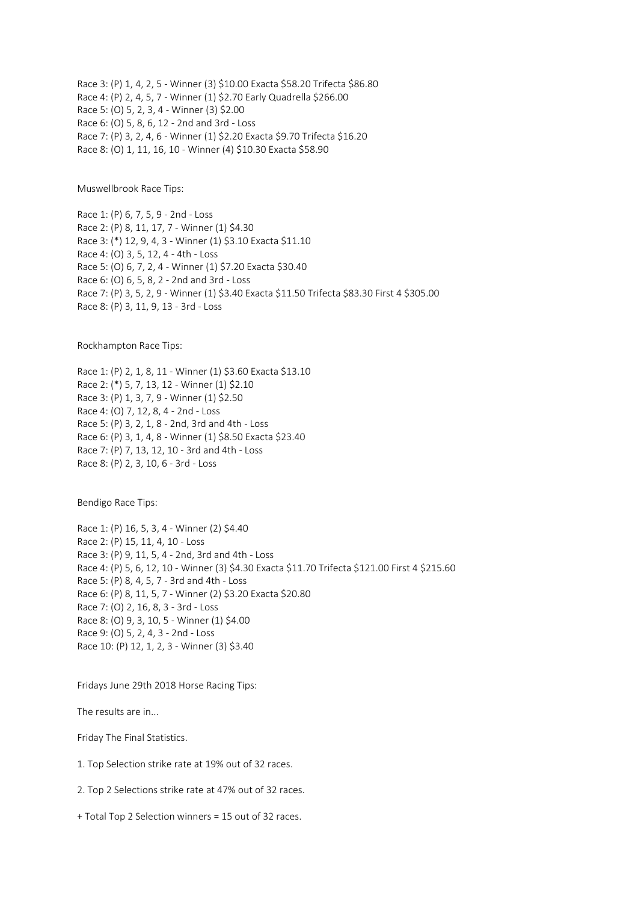Race 3: (P) 1, 4, 2, 5 - Winner (3) \$10.00 Exacta \$58.20 Trifecta \$86.80 Race 4: (P) 2, 4, 5, 7 - Winner (1) \$2.70 Early Quadrella \$266.00 Race 5: (O) 5, 2, 3, 4 - Winner (3) \$2.00 Race 6: (O) 5, 8, 6, 12 - 2nd and 3rd - Loss Race 7: (P) 3, 2, 4, 6 - Winner (1) \$2.20 Exacta \$9.70 Trifecta \$16.20 Race 8: (O) 1, 11, 16, 10 - Winner (4) \$10.30 Exacta \$58.90

Muswellbrook Race Tips:

Race 1: (P) 6, 7, 5, 9 - 2nd - Loss Race 2: (P) 8, 11, 17, 7 - Winner (1) \$4.30 Race 3: (\*) 12, 9, 4, 3 - Winner (1) \$3.10 Exacta \$11.10 Race 4: (O) 3, 5, 12, 4 - 4th - Loss Race 5: (O) 6, 7, 2, 4 - Winner (1) \$7.20 Exacta \$30.40 Race 6: (O) 6, 5, 8, 2 - 2nd and 3rd - Loss Race 7: (P) 3, 5, 2, 9 - Winner (1) \$3.40 Exacta \$11.50 Trifecta \$83.30 First 4 \$305.00 Race 8: (P) 3, 11, 9, 13 - 3rd - Loss

Rockhampton Race Tips:

Race 1: (P) 2, 1, 8, 11 - Winner (1) \$3.60 Exacta \$13.10 Race 2: (\*) 5, 7, 13, 12 - Winner (1) \$2.10 Race 3: (P) 1, 3, 7, 9 - Winner (1) \$2.50 Race 4: (O) 7, 12, 8, 4 - 2nd - Loss Race 5: (P) 3, 2, 1, 8 - 2nd, 3rd and 4th - Loss Race 6: (P) 3, 1, 4, 8 - Winner (1) \$8.50 Exacta \$23.40 Race 7: (P) 7, 13, 12, 10 - 3rd and 4th - Loss Race 8: (P) 2, 3, 10, 6 - 3rd - Loss

Bendigo Race Tips:

Race 1: (P) 16, 5, 3, 4 - Winner (2) \$4.40 Race 2: (P) 15, 11, 4, 10 - Loss Race 3: (P) 9, 11, 5, 4 - 2nd, 3rd and 4th - Loss Race 4: (P) 5, 6, 12, 10 - Winner (3) \$4.30 Exacta \$11.70 Trifecta \$121.00 First 4 \$215.60 Race 5: (P) 8, 4, 5, 7 - 3rd and 4th - Loss Race 6: (P) 8, 11, 5, 7 - Winner (2) \$3.20 Exacta \$20.80 Race 7: (O) 2, 16, 8, 3 - 3rd - Loss Race 8: (O) 9, 3, 10, 5 - Winner (1) \$4.00 Race 9: (O) 5, 2, 4, 3 - 2nd - Loss Race 10: (P) 12, 1, 2, 3 - Winner (3) \$3.40

Fridays June 29th 2018 Horse Racing Tips:

The results are in...

Friday The Final Statistics.

1. Top Selection strike rate at 19% out of 32 races.

2. Top 2 Selections strike rate at 47% out of 32 races.

+ Total Top 2 Selection winners = 15 out of 32 races.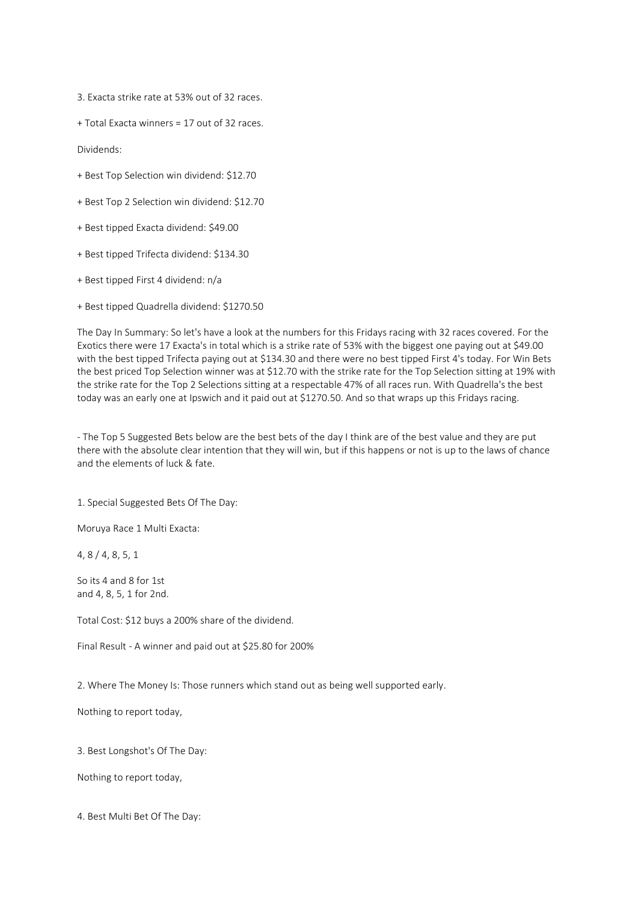3. Exacta strike rate at 53% out of 32 races.

+ Total Exacta winners = 17 out of 32 races.

Dividends:

- + Best Top Selection win dividend: \$12.70
- + Best Top 2 Selection win dividend: \$12.70
- + Best tipped Exacta dividend: \$49.00
- + Best tipped Trifecta dividend: \$134.30
- + Best tipped First 4 dividend: n/a
- + Best tipped Quadrella dividend: \$1270.50

The Day In Summary: So let's have a look at the numbers for this Fridays racing with 32 races covered. For the Exotics there were 17 Exacta's in total which is a strike rate of 53% with the biggest one paying out at \$49.00 with the best tipped Trifecta paying out at \$134.30 and there were no best tipped First 4's today. For Win Bets the best priced Top Selection winner was at \$12.70 with the strike rate for the Top Selection sitting at 19% with the strike rate for the Top 2 Selections sitting at a respectable 47% of all races run. With Quadrella's the best today was an early one at Ipswich and it paid out at \$1270.50. And so that wraps up this Fridays racing.

- The Top 5 Suggested Bets below are the best bets of the day I think are of the best value and they are put there with the absolute clear intention that they will win, but if this happens or not is up to the laws of chance and the elements of luck & fate.

1. Special Suggested Bets Of The Day:

Moruya Race 1 Multi Exacta:

4, 8 / 4, 8, 5, 1

So its 4 and 8 for 1st and 4, 8, 5, 1 for 2nd.

Total Cost: \$12 buys a 200% share of the dividend.

Final Result - A winner and paid out at \$25.80 for 200%

2. Where The Money Is: Those runners which stand out as being well supported early.

Nothing to report today,

3. Best Longshot's Of The Day:

Nothing to report today,

4. Best Multi Bet Of The Day: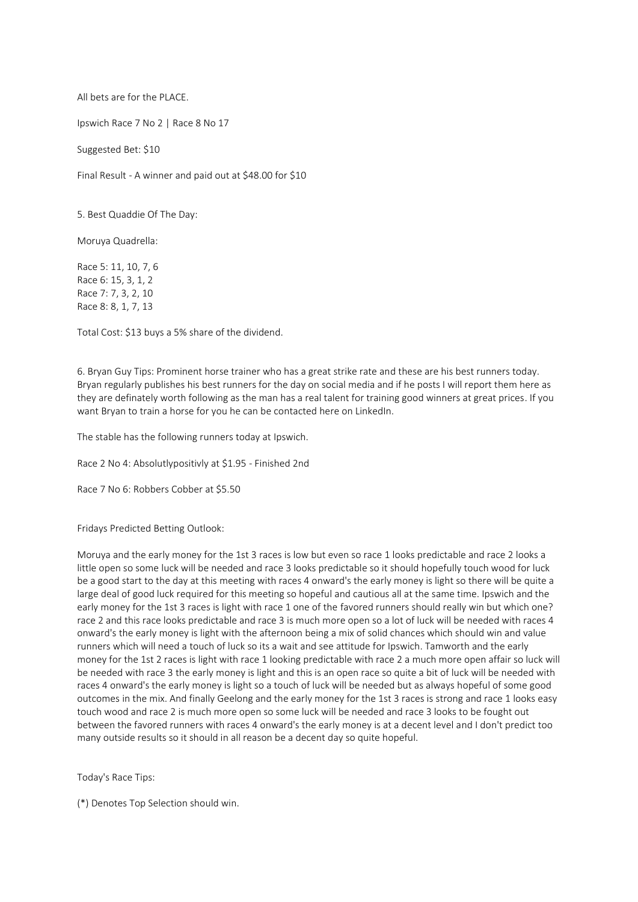All bets are for the PLACE.

Ipswich Race 7 No 2 | Race 8 No 17

Suggested Bet: \$10

Final Result - A winner and paid out at \$48.00 for \$10

5. Best Quaddie Of The Day:

Moruya Quadrella:

Race 5: 11, 10, 7, 6 Race 6: 15, 3, 1, 2 Race 7: 7, 3, 2, 10 Race 8: 8, 1, 7, 13

Total Cost: \$13 buys a 5% share of the dividend.

6. Bryan Guy Tips: Prominent horse trainer who has a great strike rate and these are his best runners today. Bryan regularly publishes his best runners for the day on social media and if he posts I will report them here as they are definately worth following as the man has a real talent for training good winners at great prices. If you want Bryan to train a horse for you he can be contacted here on LinkedIn.

The stable has the following runners today at Ipswich.

Race 2 No 4: Absolutlypositivly at \$1.95 - Finished 2nd

Race 7 No 6: Robbers Cobber at \$5.50

Fridays Predicted Betting Outlook:

Moruya and the early money for the 1st 3 races is low but even so race 1 looks predictable and race 2 looks a little open so some luck will be needed and race 3 looks predictable so it should hopefully touch wood for luck be a good start to the day at this meeting with races 4 onward's the early money is light so there will be quite a large deal of good luck required for this meeting so hopeful and cautious all at the same time. Ipswich and the early money for the 1st 3 races is light with race 1 one of the favored runners should really win but which one? race 2 and this race looks predictable and race 3 is much more open so a lot of luck will be needed with races 4 onward's the early money is light with the afternoon being a mix of solid chances which should win and value runners which will need a touch of luck so its a wait and see attitude for Ipswich. Tamworth and the early money for the 1st 2 races is light with race 1 looking predictable with race 2 a much more open affair so luck will be needed with race 3 the early money is light and this is an open race so quite a bit of luck will be needed with races 4 onward's the early money is light so a touch of luck will be needed but as always hopeful of some good outcomes in the mix. And finally Geelong and the early money for the 1st 3 races is strong and race 1 looks easy touch wood and race 2 is much more open so some luck will be needed and race 3 looks to be fought out between the favored runners with races 4 onward's the early money is at a decent level and I don't predict too many outside results so it should in all reason be a decent day so quite hopeful.

Today's Race Tips:

(\*) Denotes Top Selection should win.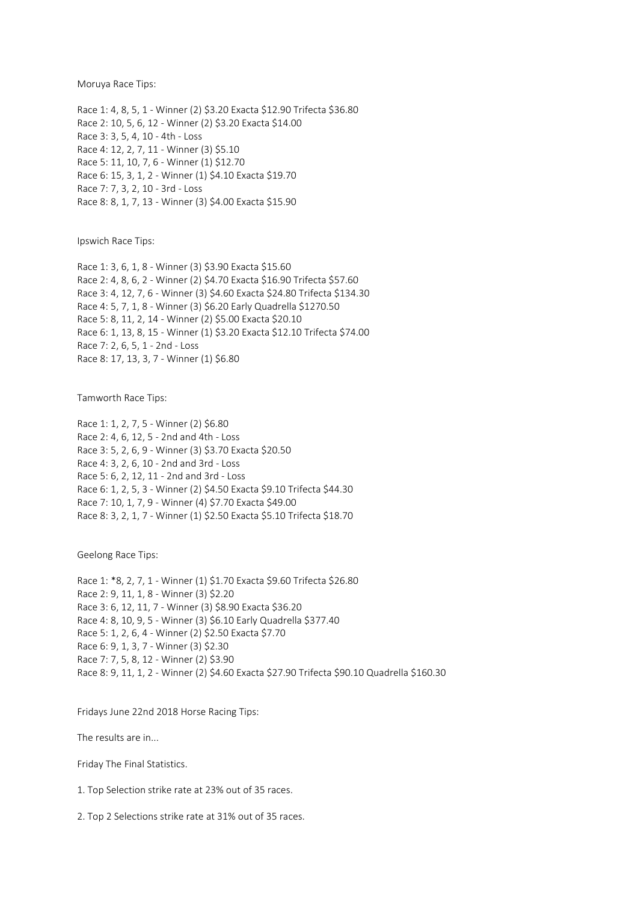Moruya Race Tips:

Race 1: 4, 8, 5, 1 - Winner (2) \$3.20 Exacta \$12.90 Trifecta \$36.80 Race 2: 10, 5, 6, 12 - Winner (2) \$3.20 Exacta \$14.00 Race 3: 3, 5, 4, 10 - 4th - Loss Race 4: 12, 2, 7, 11 - Winner (3) \$5.10 Race 5: 11, 10, 7, 6 - Winner (1) \$12.70 Race 6: 15, 3, 1, 2 - Winner (1) \$4.10 Exacta \$19.70 Race 7: 7, 3, 2, 10 - 3rd - Loss Race 8: 8, 1, 7, 13 - Winner (3) \$4.00 Exacta \$15.90

Ipswich Race Tips:

Race 1: 3, 6, 1, 8 - Winner (3) \$3.90 Exacta \$15.60 Race 2: 4, 8, 6, 2 - Winner (2) \$4.70 Exacta \$16.90 Trifecta \$57.60 Race 3: 4, 12, 7, 6 - Winner (3) \$4.60 Exacta \$24.80 Trifecta \$134.30 Race 4: 5, 7, 1, 8 - Winner (3) \$6.20 Early Quadrella \$1270.50 Race 5: 8, 11, 2, 14 - Winner (2) \$5.00 Exacta \$20.10 Race 6: 1, 13, 8, 15 - Winner (1) \$3.20 Exacta \$12.10 Trifecta \$74.00 Race 7: 2, 6, 5, 1 - 2nd - Loss Race 8: 17, 13, 3, 7 - Winner (1) \$6.80

Tamworth Race Tips:

Race 1: 1, 2, 7, 5 - Winner (2) \$6.80 Race 2: 4, 6, 12, 5 - 2nd and 4th - Loss Race 3: 5, 2, 6, 9 - Winner (3) \$3.70 Exacta \$20.50 Race 4: 3, 2, 6, 10 - 2nd and 3rd - Loss Race 5: 6, 2, 12, 11 - 2nd and 3rd - Loss Race 6: 1, 2, 5, 3 - Winner (2) \$4.50 Exacta \$9.10 Trifecta \$44.30 Race 7: 10, 1, 7, 9 - Winner (4) \$7.70 Exacta \$49.00 Race 8: 3, 2, 1, 7 - Winner (1) \$2.50 Exacta \$5.10 Trifecta \$18.70

Geelong Race Tips:

Race 1: \*8, 2, 7, 1 - Winner (1) \$1.70 Exacta \$9.60 Trifecta \$26.80 Race 2: 9, 11, 1, 8 - Winner (3) \$2.20 Race 3: 6, 12, 11, 7 - Winner (3) \$8.90 Exacta \$36.20 Race 4: 8, 10, 9, 5 - Winner (3) \$6.10 Early Quadrella \$377.40 Race 5: 1, 2, 6, 4 - Winner (2) \$2.50 Exacta \$7.70 Race 6: 9, 1, 3, 7 - Winner (3) \$2.30 Race 7: 7, 5, 8, 12 - Winner (2) \$3.90 Race 8: 9, 11, 1, 2 - Winner (2) \$4.60 Exacta \$27.90 Trifecta \$90.10 Quadrella \$160.30

Fridays June 22nd 2018 Horse Racing Tips:

The results are in...

Friday The Final Statistics.

1. Top Selection strike rate at 23% out of 35 races.

2. Top 2 Selections strike rate at 31% out of 35 races.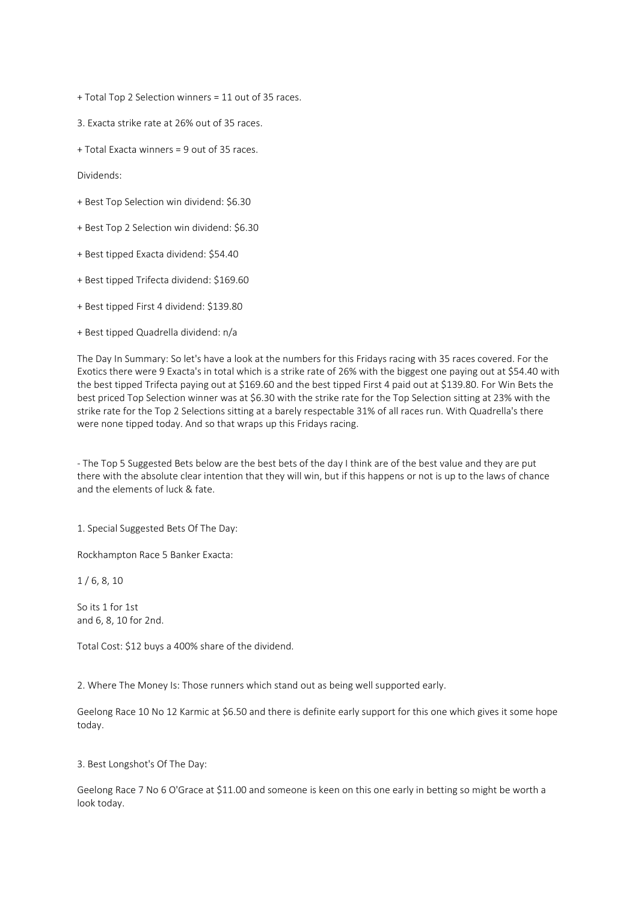+ Total Top 2 Selection winners = 11 out of 35 races.

3. Exacta strike rate at 26% out of 35 races.

+ Total Exacta winners = 9 out of 35 races.

Dividends:

- + Best Top Selection win dividend: \$6.30
- + Best Top 2 Selection win dividend: \$6.30
- + Best tipped Exacta dividend: \$54.40
- + Best tipped Trifecta dividend: \$169.60
- + Best tipped First 4 dividend: \$139.80

+ Best tipped Quadrella dividend: n/a

The Day In Summary: So let's have a look at the numbers for this Fridays racing with 35 races covered. For the Exotics there were 9 Exacta's in total which is a strike rate of 26% with the biggest one paying out at \$54.40 with the best tipped Trifecta paying out at \$169.60 and the best tipped First 4 paid out at \$139.80. For Win Bets the best priced Top Selection winner was at \$6.30 with the strike rate for the Top Selection sitting at 23% with the strike rate for the Top 2 Selections sitting at a barely respectable 31% of all races run. With Quadrella's there were none tipped today. And so that wraps up this Fridays racing.

- The Top 5 Suggested Bets below are the best bets of the day I think are of the best value and they are put there with the absolute clear intention that they will win, but if this happens or not is up to the laws of chance and the elements of luck & fate.

1. Special Suggested Bets Of The Day:

Rockhampton Race 5 Banker Exacta:

1 / 6, 8, 10

So its 1 for 1st and 6, 8, 10 for 2nd.

Total Cost: \$12 buys a 400% share of the dividend.

2. Where The Money Is: Those runners which stand out as being well supported early.

Geelong Race 10 No 12 Karmic at \$6.50 and there is definite early support for this one which gives it some hope today.

3. Best Longshot's Of The Day:

Geelong Race 7 No 6 O'Grace at \$11.00 and someone is keen on this one early in betting so might be worth a look today.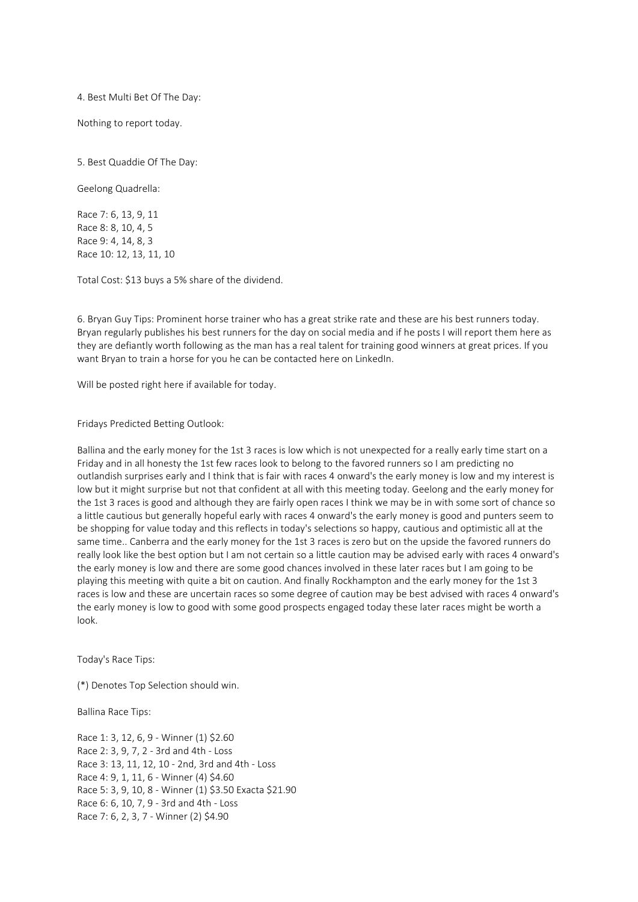# 4. Best Multi Bet Of The Day:

Nothing to report today.

5. Best Quaddie Of The Day:

Geelong Quadrella:

Race 7: 6, 13, 9, 11 Race 8: 8, 10, 4, 5 Race 9: 4, 14, 8, 3 Race 10: 12, 13, 11, 10

Total Cost: \$13 buys a 5% share of the dividend.

6. Bryan Guy Tips: Prominent horse trainer who has a great strike rate and these are his best runners today. Bryan regularly publishes his best runners for the day on social media and if he posts I will report them here as they are defiantly worth following as the man has a real talent for training good winners at great prices. If you want Bryan to train a horse for you he can be contacted here on LinkedIn.

Will be posted right here if available for today.

Fridays Predicted Betting Outlook:

Ballina and the early money for the 1st 3 races is low which is not unexpected for a really early time start on a Friday and in all honesty the 1st few races look to belong to the favored runners so I am predicting no outlandish surprises early and I think that is fair with races 4 onward's the early money is low and my interest is low but it might surprise but not that confident at all with this meeting today. Geelong and the early money for the 1st 3 races is good and although they are fairly open races I think we may be in with some sort of chance so a little cautious but generally hopeful early with races 4 onward's the early money is good and punters seem to be shopping for value today and this reflects in today's selections so happy, cautious and optimistic all at the same time.. Canberra and the early money for the 1st 3 races is zero but on the upside the favored runners do really look like the best option but I am not certain so a little caution may be advised early with races 4 onward's the early money is low and there are some good chances involved in these later races but I am going to be playing this meeting with quite a bit on caution. And finally Rockhampton and the early money for the 1st 3 races is low and these are uncertain races so some degree of caution may be best advised with races 4 onward's the early money is low to good with some good prospects engaged today these later races might be worth a look.

Today's Race Tips:

(\*) Denotes Top Selection should win.

Ballina Race Tips:

Race 1: 3, 12, 6, 9 - Winner (1) \$2.60 Race 2: 3, 9, 7, 2 - 3rd and 4th - Loss Race 3: 13, 11, 12, 10 - 2nd, 3rd and 4th - Loss Race 4: 9, 1, 11, 6 - Winner (4) \$4.60 Race 5: 3, 9, 10, 8 - Winner (1) \$3.50 Exacta \$21.90 Race 6: 6, 10, 7, 9 - 3rd and 4th - Loss Race 7: 6, 2, 3, 7 - Winner (2) \$4.90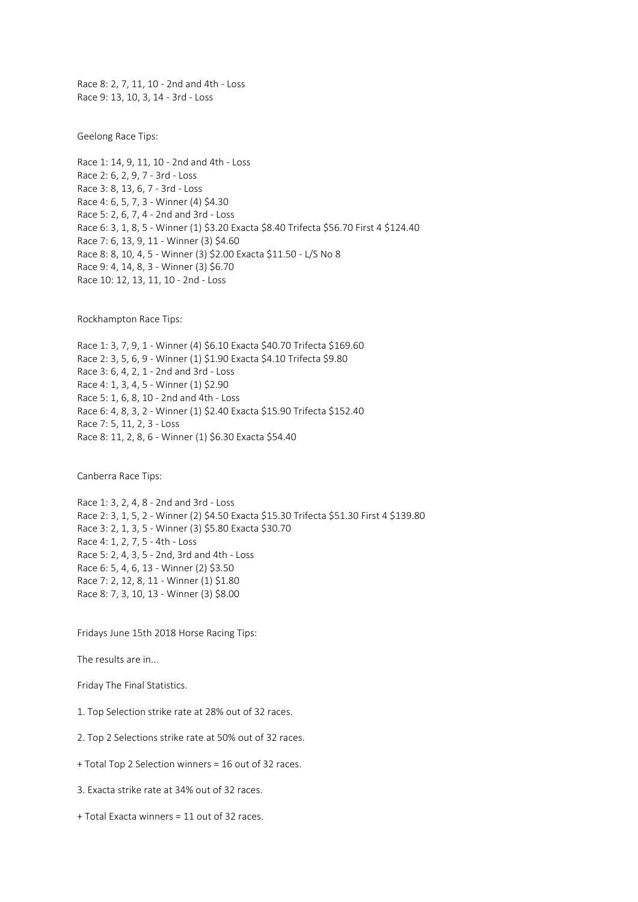Race 8: 2, 7, 11, 10 - 2nd and 4th - Loss Race 9: 13, 10, 3, 14 - 3rd - Loss

Geelong Race Tips:

Race 1: 14, 9, 11, 10 - 2nd and 4th - Loss Race 2: 6, 2, 9, 7 - 3rd - Loss Race 3: 8, 13, 6, 7 - 3rd - Loss Race 4: 6, 5, 7, 3 - Winner (4) \$4.30 Race 5: 2, 6, 7, 4 - 2nd and 3rd - Loss Race 6: 3, 1, 8, 5 - Winner (1) \$3.20 Exacta \$8.40 Trifecta \$56.70 First 4 \$124.40 Race 7: 6, 13, 9, 11 - Winner (3) \$4.60 Race 8: 8, 10, 4, 5 - Winner (3) \$2.00 Exacta \$11.50 - L/S No 8 Race 9: 4, 14, 8, 3 - Winner (3) \$6.70 Race 10: 12, 13, 11, 10 - 2nd - Loss

Rockhampton Race Tips:

Race 1: 3, 7, 9, 1 - Winner (4) \$6.10 Exacta \$40.70 Trifecta \$169.60 Race 2: 3, 5, 6, 9 - Winner (1) \$1.90 Exacta \$4.10 Trifecta \$9.80 Race 3: 6, 4, 2, 1 - 2nd and 3rd - Loss Race 4: 1, 3, 4, 5 - Winner (1) \$2.90 Race 5: 1, 6, 8, 10 - 2nd and 4th - Loss Race 6: 4, 8, 3, 2 - Winner (1) \$2.40 Exacta \$15.90 Trifecta \$152.40 Race 7: 5, 11, 2, 3 - Loss Race 8: 11, 2, 8, 6 - Winner (1) \$6.30 Exacta \$54.40

Canberra Race Tips:

Race 1: 3, 2, 4, 8 - 2nd and 3rd - Loss Race 2: 3, 1, 5, 2 - Winner (2) \$4.50 Exacta \$15.30 Trifecta \$51.30 First 4 \$139.80 Race 3: 2, 1, 3, 5 - Winner (3) \$5.80 Exacta \$30.70 Race 4: 1, 2, 7, 5 - 4th - Loss Race 5: 2, 4, 3, 5 - 2nd, 3rd and 4th - Loss Race 6: 5, 4, 6, 13 - Winner (2) \$3.50 Race 7: 2, 12, 8, 11 - Winner (1) \$1.80 Race 8: 7, 3, 10, 13 - Winner (3) \$8.00

Fridays June 15th 2018 Horse Racing Tips:

The results are in...

Friday The Final Statistics.

- 1. Top Selection strike rate at 28% out of 32 races.
- 2. Top 2 Selections strike rate at 50% out of 32 races.
- + Total Top 2 Selection winners = 16 out of 32 races.

3. Exacta strike rate at 34% out of 32 races.

+ Total Exacta winners = 11 out of 32 races.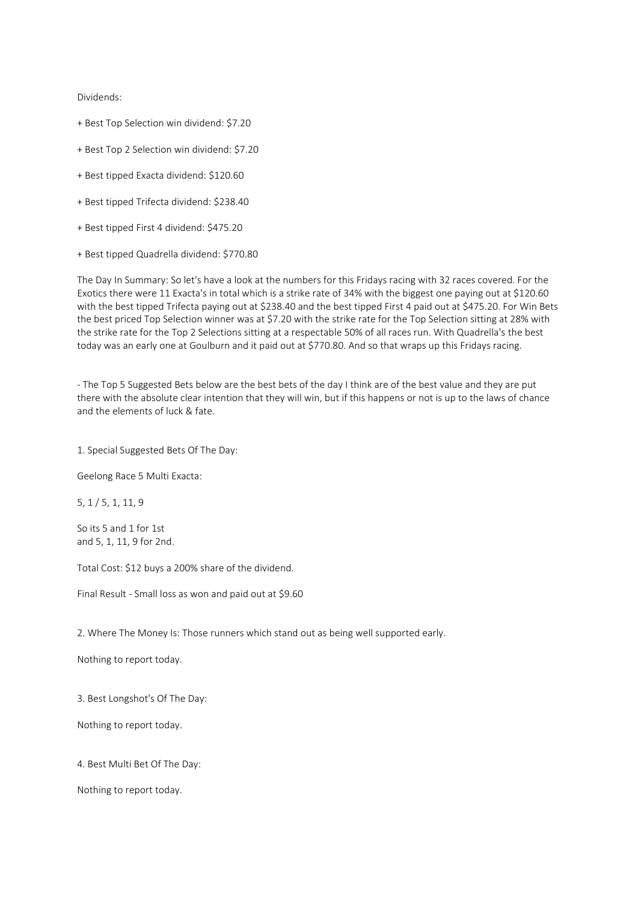Dividends:

- + Best Top Selection win dividend: \$7.20
- + Best Top 2 Selection win dividend: \$7.20
- + Best tipped Exacta dividend: \$120.60
- + Best tipped Trifecta dividend: \$238.40
- + Best tipped First 4 dividend: \$475.20
- + Best tipped Quadrella dividend: \$770.80

The Day In Summary: So let's have a look at the numbers for this Fridays racing with 32 races covered. For the Exotics there were 11 Exacta's in total which is a strike rate of 34% with the biggest one paying out at \$120.60 with the best tipped Trifecta paying out at \$238.40 and the best tipped First 4 paid out at \$475.20. For Win Bets the best priced Top Selection winner was at \$7.20 with the strike rate for the Top Selection sitting at 28% with the strike rate for the Top 2 Selections sitting at a respectable 50% of all races run. With Quadrella's the best today was an early one at Goulburn and it paid out at \$770.80. And so that wraps up this Fridays racing.

- The Top 5 Suggested Bets below are the best bets of the day I think are of the best value and they are put there with the absolute clear intention that they will win, but if this happens or not is up to the laws of chance and the elements of luck & fate.

1. Special Suggested Bets Of The Day:

Geelong Race 5 Multi Exacta:

5, 1 / 5, 1, 11, 9

So its 5 and 1 for 1st and 5, 1, 11, 9 for 2nd.

Total Cost: \$12 buys a 200% share of the dividend.

Final Result - Small loss as won and paid out at \$9.60

2. Where The Money Is: Those runners which stand out as being well supported early.

Nothing to report today.

3. Best Longshot's Of The Day:

Nothing to report today.

4. Best Multi Bet Of The Day:

Nothing to report today.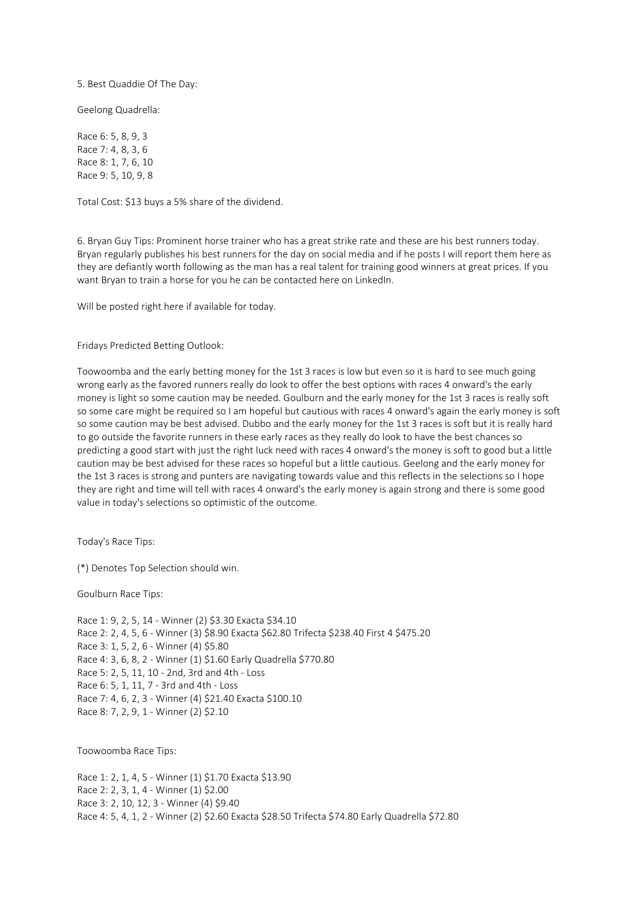5. Best Quaddie Of The Day:

Geelong Quadrella:

Race 6: 5, 8, 9, 3 Race 7: 4, 8, 3, 6 Race 8: 1, 7, 6, 10 Race 9: 5, 10, 9, 8

Total Cost: \$13 buys a 5% share of the dividend.

6. Bryan Guy Tips: Prominent horse trainer who has a great strike rate and these are his best runners today. Bryan regularly publishes his best runners for the day on social media and if he posts I will report them here as they are defiantly worth following as the man has a real talent for training good winners at great prices. If you want Bryan to train a horse for you he can be contacted here on LinkedIn.

Will be posted right here if available for today.

Fridays Predicted Betting Outlook:

Toowoomba and the early betting money for the 1st 3 races is low but even so it is hard to see much going wrong early as the favored runners really do look to offer the best options with races 4 onward's the early money is light so some caution may be needed. Goulburn and the early money for the 1st 3 races is really soft so some care might be required so I am hopeful but cautious with races 4 onward's again the early money is soft so some caution may be best advised. Dubbo and the early money for the 1st 3 races is soft but it is really hard to go outside the favorite runners in these early races as they really do look to have the best chances so predicting a good start with just the right luck need with races 4 onward's the money is soft to good but a little caution may be best advised for these races so hopeful but a little cautious. Geelong and the early money for the 1st 3 races is strong and punters are navigating towards value and this reflects in the selections so I hope they are right and time will tell with races 4 onward's the early money is again strong and there is some good value in today's selections so optimistic of the outcome.

Today's Race Tips:

(\*) Denotes Top Selection should win.

Goulburn Race Tips:

Race 1: 9, 2, 5, 14 - Winner (2) \$3.30 Exacta \$34.10 Race 2: 2, 4, 5, 6 - Winner (3) \$8.90 Exacta \$62.80 Trifecta \$238.40 First 4 \$475.20 Race 3: 1, 5, 2, 6 - Winner (4) \$5.80 Race 4: 3, 6, 8, 2 - Winner (1) \$1.60 Early Quadrella \$770.80 Race 5: 2, 5, 11, 10 - 2nd, 3rd and 4th - Loss Race 6: 5, 1, 11, 7 - 3rd and 4th - Loss Race 7: 4, 6, 2, 3 - Winner (4) \$21.40 Exacta \$100.10 Race 8: 7, 2, 9, 1 - Winner (2) \$2.10

Toowoomba Race Tips:

Race 1: 2, 1, 4, 5 - Winner (1) \$1.70 Exacta \$13.90 Race 2: 2, 3, 1, 4 - Winner (1) \$2.00 Race 3: 2, 10, 12, 3 - Winner (4) \$9.40 Race 4: 5, 4, 1, 2 - Winner (2) \$2.60 Exacta \$28.50 Trifecta \$74.80 Early Quadrella \$72.80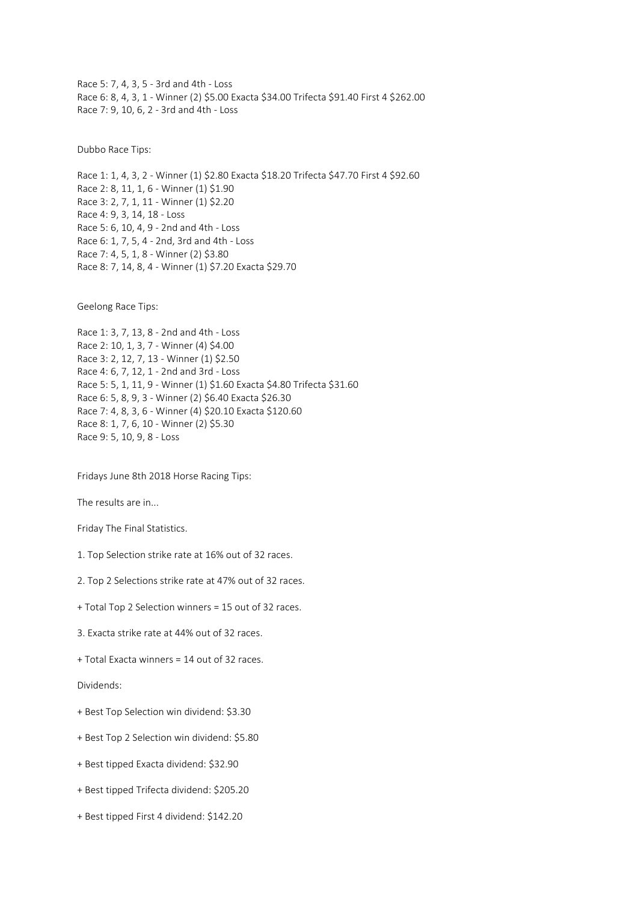Race 5: 7, 4, 3, 5 - 3rd and 4th - Loss Race 6: 8, 4, 3, 1 - Winner (2) \$5.00 Exacta \$34.00 Trifecta \$91.40 First 4 \$262.00 Race 7: 9, 10, 6, 2 - 3rd and 4th - Loss

Dubbo Race Tips:

Race 1: 1, 4, 3, 2 - Winner (1) \$2.80 Exacta \$18.20 Trifecta \$47.70 First 4 \$92.60 Race 2: 8, 11, 1, 6 - Winner (1) \$1.90 Race 3: 2, 7, 1, 11 - Winner (1) \$2.20 Race 4: 9, 3, 14, 18 - Loss Race 5: 6, 10, 4, 9 - 2nd and 4th - Loss Race 6: 1, 7, 5, 4 - 2nd, 3rd and 4th - Loss Race 7: 4, 5, 1, 8 - Winner (2) \$3.80 Race 8: 7, 14, 8, 4 - Winner (1) \$7.20 Exacta \$29.70

Geelong Race Tips:

Race 1: 3, 7, 13, 8 - 2nd and 4th - Loss Race 2: 10, 1, 3, 7 - Winner (4) \$4.00 Race 3: 2, 12, 7, 13 - Winner (1) \$2.50 Race 4: 6, 7, 12, 1 - 2nd and 3rd - Loss Race 5: 5, 1, 11, 9 - Winner (1) \$1.60 Exacta \$4.80 Trifecta \$31.60 Race 6: 5, 8, 9, 3 - Winner (2) \$6.40 Exacta \$26.30 Race 7: 4, 8, 3, 6 - Winner (4) \$20.10 Exacta \$120.60 Race 8: 1, 7, 6, 10 - Winner (2) \$5.30 Race 9: 5, 10, 9, 8 - Loss

Fridays June 8th 2018 Horse Racing Tips:

The results are in...

Friday The Final Statistics.

- 1. Top Selection strike rate at 16% out of 32 races.
- 2. Top 2 Selections strike rate at 47% out of 32 races.
- + Total Top 2 Selection winners = 15 out of 32 races.
- 3. Exacta strike rate at 44% out of 32 races.
- + Total Exacta winners = 14 out of 32 races.

Dividends:

- + Best Top Selection win dividend: \$3.30
- + Best Top 2 Selection win dividend: \$5.80
- + Best tipped Exacta dividend: \$32.90
- + Best tipped Trifecta dividend: \$205.20
- + Best tipped First 4 dividend: \$142.20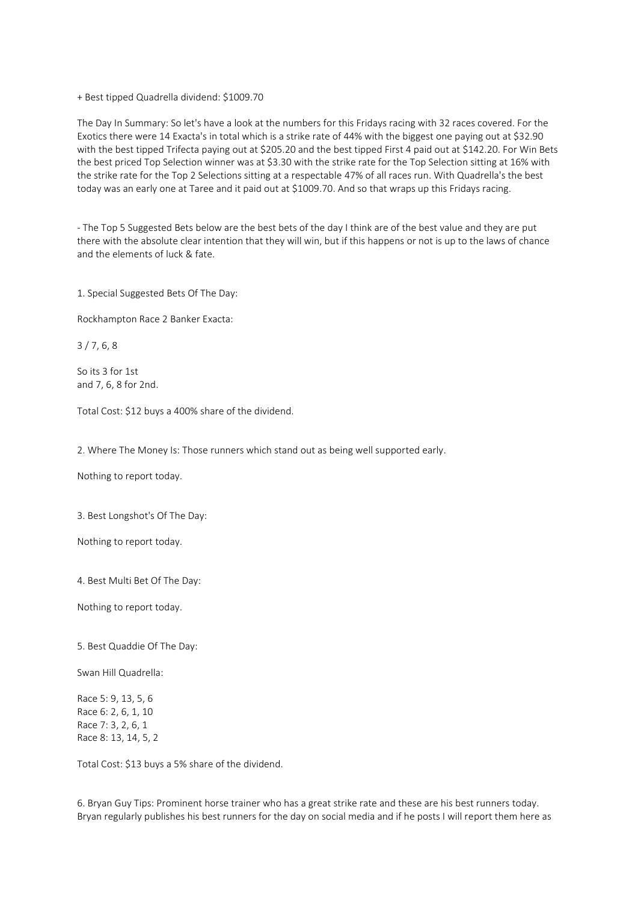+ Best tipped Quadrella dividend: \$1009.70

The Day In Summary: So let's have a look at the numbers for this Fridays racing with 32 races covered. For the Exotics there were 14 Exacta's in total which is a strike rate of 44% with the biggest one paying out at \$32.90 with the best tipped Trifecta paying out at \$205.20 and the best tipped First 4 paid out at \$142.20. For Win Bets the best priced Top Selection winner was at \$3.30 with the strike rate for the Top Selection sitting at 16% with the strike rate for the Top 2 Selections sitting at a respectable 47% of all races run. With Quadrella's the best today was an early one at Taree and it paid out at \$1009.70. And so that wraps up this Fridays racing.

- The Top 5 Suggested Bets below are the best bets of the day I think are of the best value and they are put there with the absolute clear intention that they will win, but if this happens or not is up to the laws of chance and the elements of luck & fate.

1. Special Suggested Bets Of The Day:

Rockhampton Race 2 Banker Exacta:

3 / 7, 6, 8

So its 3 for 1st and 7, 6, 8 for 2nd.

Total Cost: \$12 buys a 400% share of the dividend.

2. Where The Money Is: Those runners which stand out as being well supported early.

Nothing to report today.

3. Best Longshot's Of The Day:

Nothing to report today.

4. Best Multi Bet Of The Day:

Nothing to report today.

5. Best Quaddie Of The Day:

Swan Hill Quadrella:

Race 5: 9, 13, 5, 6 Race 6: 2, 6, 1, 10 Race 7: 3, 2, 6, 1 Race 8: 13, 14, 5, 2

Total Cost: \$13 buys a 5% share of the dividend.

6. Bryan Guy Tips: Prominent horse trainer who has a great strike rate and these are his best runners today. Bryan regularly publishes his best runners for the day on social media and if he posts I will report them here as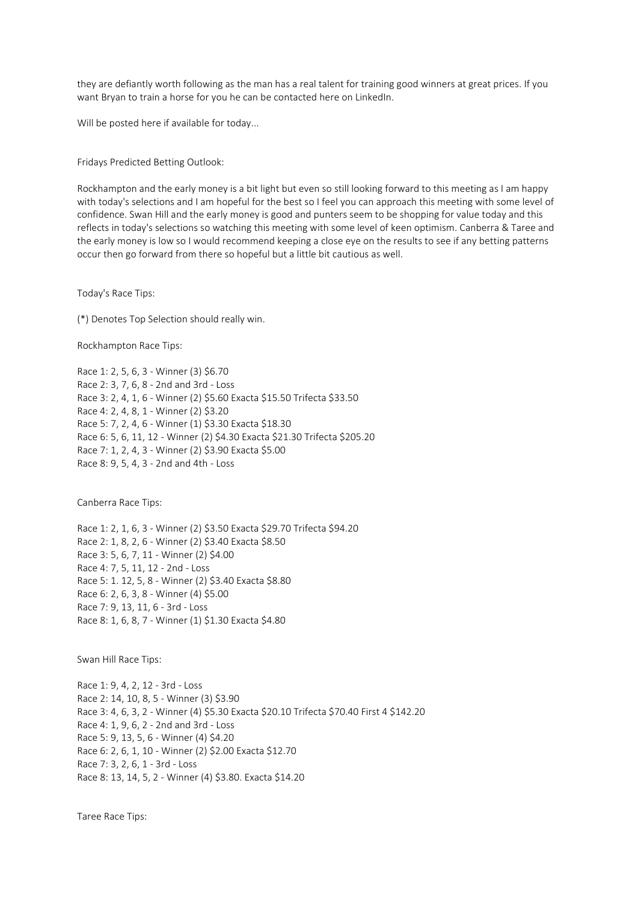they are defiantly worth following as the man has a real talent for training good winners at great prices. If you want Bryan to train a horse for you he can be contacted here on LinkedIn.

Will be posted here if available for today...

Fridays Predicted Betting Outlook:

Rockhampton and the early money is a bit light but even so still looking forward to this meeting as I am happy with today's selections and I am hopeful for the best so I feel you can approach this meeting with some level of confidence. Swan Hill and the early money is good and punters seem to be shopping for value today and this reflects in today's selections so watching this meeting with some level of keen optimism. Canberra & Taree and the early money is low so I would recommend keeping a close eye on the results to see if any betting patterns occur then go forward from there so hopeful but a little bit cautious as well.

Today's Race Tips:

(\*) Denotes Top Selection should really win.

Rockhampton Race Tips:

Race 1: 2, 5, 6, 3 - Winner (3) \$6.70 Race 2: 3, 7, 6, 8 - 2nd and 3rd - Loss Race 3: 2, 4, 1, 6 - Winner (2) \$5.60 Exacta \$15.50 Trifecta \$33.50 Race 4: 2, 4, 8, 1 - Winner (2) \$3.20 Race 5: 7, 2, 4, 6 - Winner (1) \$3.30 Exacta \$18.30 Race 6: 5, 6, 11, 12 - Winner (2) \$4.30 Exacta \$21.30 Trifecta \$205.20 Race 7: 1, 2, 4, 3 - Winner (2) \$3.90 Exacta \$5.00 Race 8: 9, 5, 4, 3 - 2nd and 4th - Loss

Canberra Race Tips:

Race 1: 2, 1, 6, 3 - Winner (2) \$3.50 Exacta \$29.70 Trifecta \$94.20 Race 2: 1, 8, 2, 6 - Winner (2) \$3.40 Exacta \$8.50 Race 3: 5, 6, 7, 11 - Winner (2) \$4.00 Race 4: 7, 5, 11, 12 - 2nd - Loss Race 5: 1. 12, 5, 8 - Winner (2) \$3.40 Exacta \$8.80 Race 6: 2, 6, 3, 8 - Winner (4) \$5.00 Race 7: 9, 13, 11, 6 - 3rd - Loss Race 8: 1, 6, 8, 7 - Winner (1) \$1.30 Exacta \$4.80

Swan Hill Race Tips:

Race 1: 9, 4, 2, 12 - 3rd - Loss Race 2: 14, 10, 8, 5 - Winner (3) \$3.90 Race 3: 4, 6, 3, 2 - Winner (4) \$5.30 Exacta \$20.10 Trifecta \$70.40 First 4 \$142.20 Race 4: 1, 9, 6, 2 - 2nd and 3rd - Loss Race 5: 9, 13, 5, 6 - Winner (4) \$4.20 Race 6: 2, 6, 1, 10 - Winner (2) \$2.00 Exacta \$12.70 Race 7: 3, 2, 6, 1 - 3rd - Loss Race 8: 13, 14, 5, 2 - Winner (4) \$3.80. Exacta \$14.20

Taree Race Tips: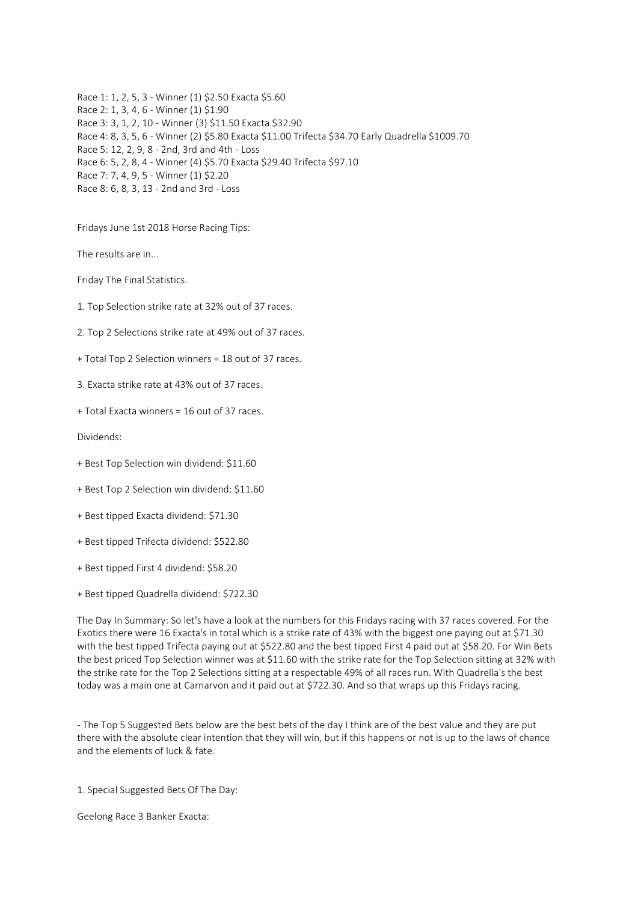Race 1: 1, 2, 5, 3 - Winner (1) \$2.50 Exacta \$5.60 Race 2: 1, 3, 4, 6 - Winner (1) \$1.90 Race 3: 3, 1, 2, 10 - Winner (3) \$11.50 Exacta \$32.90 Race 4: 8, 3, 5, 6 - Winner (2) \$5.80 Exacta \$11.00 Trifecta \$34.70 Early Quadrella \$1009.70 Race 5: 12, 2, 9, 8 - 2nd, 3rd and 4th - Loss Race 6: 5, 2, 8, 4 - Winner (4) \$5.70 Exacta \$29.40 Trifecta \$97.10 Race 7: 7, 4, 9, 5 - Winner (1) \$2.20 Race 8: 6, 8, 3, 13 - 2nd and 3rd - Loss

Fridays June 1st 2018 Horse Racing Tips:

The results are in...

Friday The Final Statistics.

1. Top Selection strike rate at 32% out of 37 races.

2. Top 2 Selections strike rate at 49% out of 37 races.

+ Total Top 2 Selection winners = 18 out of 37 races.

3. Exacta strike rate at 43% out of 37 races.

+ Total Exacta winners = 16 out of 37 races.

Dividends:

- + Best Top Selection win dividend: \$11.60
- + Best Top 2 Selection win dividend: \$11.60
- + Best tipped Exacta dividend: \$71.30
- + Best tipped Trifecta dividend: \$522.80
- + Best tipped First 4 dividend: \$58.20
- + Best tipped Quadrella dividend: \$722.30

The Day In Summary: So let's have a look at the numbers for this Fridays racing with 37 races covered. For the Exotics there were 16 Exacta's in total which is a strike rate of 43% with the biggest one paying out at \$71.30 with the best tipped Trifecta paying out at \$522.80 and the best tipped First 4 paid out at \$58.20. For Win Bets the best priced Top Selection winner was at \$11.60 with the strike rate for the Top Selection sitting at 32% with the strike rate for the Top 2 Selections sitting at a respectable 49% of all races run. With Quadrella's the best today was a main one at Carnarvon and it paid out at \$722.30. And so that wraps up this Fridays racing.

- The Top 5 Suggested Bets below are the best bets of the day I think are of the best value and they are put there with the absolute clear intention that they will win, but if this happens or not is up to the laws of chance and the elements of luck & fate.

1. Special Suggested Bets Of The Day:

Geelong Race 3 Banker Exacta: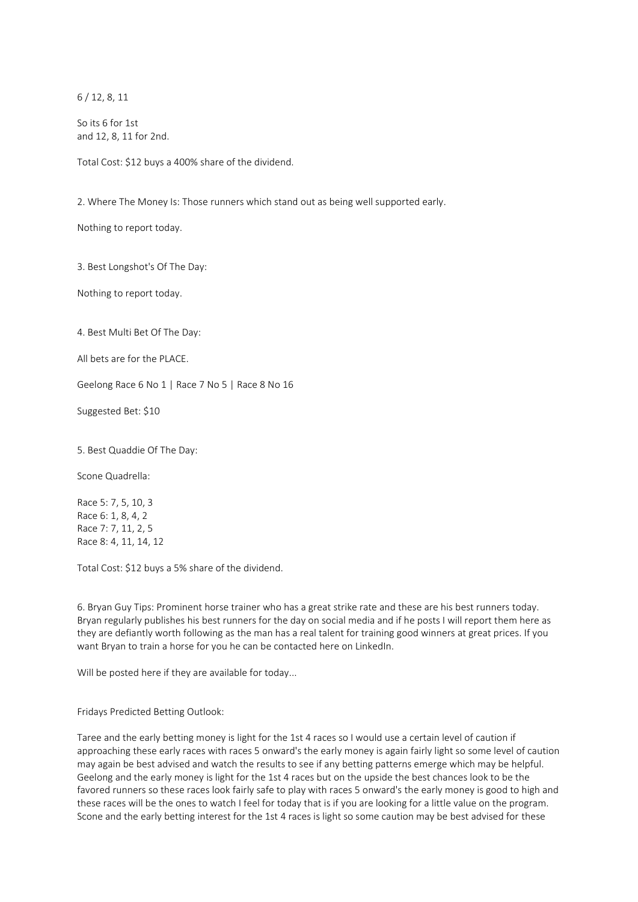6 / 12, 8, 11

So its 6 for 1st and 12, 8, 11 for 2nd.

Total Cost: \$12 buys a 400% share of the dividend.

2. Where The Money Is: Those runners which stand out as being well supported early.

Nothing to report today.

3. Best Longshot's Of The Day:

Nothing to report today.

4. Best Multi Bet Of The Day:

All bets are for the PLACE.

Geelong Race 6 No 1 | Race 7 No 5 | Race 8 No 16

Suggested Bet: \$10

5. Best Quaddie Of The Day:

Scone Quadrella:

Race 5: 7, 5, 10, 3 Race 6: 1, 8, 4, 2 Race 7: 7, 11, 2, 5 Race 8: 4, 11, 14, 12

Total Cost: \$12 buys a 5% share of the dividend.

6. Bryan Guy Tips: Prominent horse trainer who has a great strike rate and these are his best runners today. Bryan regularly publishes his best runners for the day on social media and if he posts I will report them here as they are defiantly worth following as the man has a real talent for training good winners at great prices. If you want Bryan to train a horse for you he can be contacted here on LinkedIn.

Will be posted here if they are available for today...

Fridays Predicted Betting Outlook:

Taree and the early betting money is light for the 1st 4 races so I would use a certain level of caution if approaching these early races with races 5 onward's the early money is again fairly light so some level of caution may again be best advised and watch the results to see if any betting patterns emerge which may be helpful. Geelong and the early money is light for the 1st 4 races but on the upside the best chances look to be the favored runners so these races look fairly safe to play with races 5 onward's the early money is good to high and these races will be the ones to watch I feel for today that is if you are looking for a little value on the program. Scone and the early betting interest for the 1st 4 races is light so some caution may be best advised for these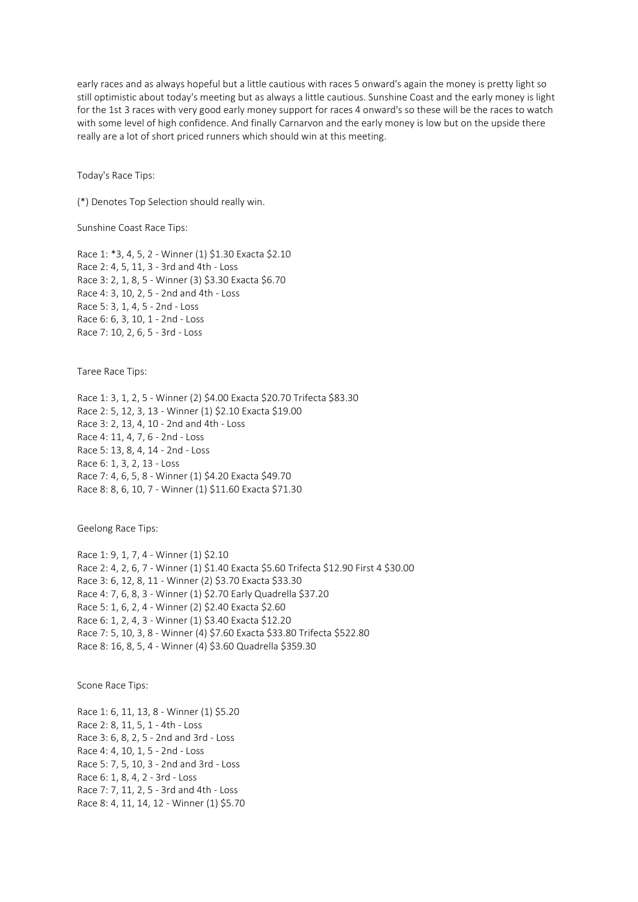early races and as always hopeful but a little cautious with races 5 onward's again the money is pretty light so still optimistic about today's meeting but as always a little cautious. Sunshine Coast and the early money is light for the 1st 3 races with very good early money support for races 4 onward's so these will be the races to watch with some level of high confidence. And finally Carnarvon and the early money is low but on the upside there really are a lot of short priced runners which should win at this meeting.

Today's Race Tips:

(\*) Denotes Top Selection should really win.

Sunshine Coast Race Tips:

Race 1: \*3, 4, 5, 2 - Winner (1) \$1.30 Exacta \$2.10 Race 2: 4, 5, 11, 3 - 3rd and 4th - Loss Race 3: 2, 1, 8, 5 - Winner (3) \$3.30 Exacta \$6.70 Race 4: 3, 10, 2, 5 - 2nd and 4th - Loss Race 5: 3, 1, 4, 5 - 2nd - Loss Race 6: 6, 3, 10, 1 - 2nd - Loss Race 7: 10, 2, 6, 5 - 3rd - Loss

Taree Race Tips:

Race 1: 3, 1, 2, 5 - Winner (2) \$4.00 Exacta \$20.70 Trifecta \$83.30 Race 2: 5, 12, 3, 13 - Winner (1) \$2.10 Exacta \$19.00 Race 3: 2, 13, 4, 10 - 2nd and 4th - Loss Race 4: 11, 4, 7, 6 - 2nd - Loss Race 5: 13, 8, 4, 14 - 2nd - Loss Race 6: 1, 3, 2, 13 - Loss Race 7: 4, 6, 5, 8 - Winner (1) \$4.20 Exacta \$49.70 Race 8: 8, 6, 10, 7 - Winner (1) \$11.60 Exacta \$71.30

Geelong Race Tips:

Race 1: 9, 1, 7, 4 - Winner (1) \$2.10 Race 2: 4, 2, 6, 7 - Winner (1) \$1.40 Exacta \$5.60 Trifecta \$12.90 First 4 \$30.00 Race 3: 6, 12, 8, 11 - Winner (2) \$3.70 Exacta \$33.30 Race 4: 7, 6, 8, 3 - Winner (1) \$2.70 Early Quadrella \$37.20 Race 5: 1, 6, 2, 4 - Winner (2) \$2.40 Exacta \$2.60 Race 6: 1, 2, 4, 3 - Winner (1) \$3.40 Exacta \$12.20 Race 7: 5, 10, 3, 8 - Winner (4) \$7.60 Exacta \$33.80 Trifecta \$522.80 Race 8: 16, 8, 5, 4 - Winner (4) \$3.60 Quadrella \$359.30

Scone Race Tips:

Race 1: 6, 11, 13, 8 - Winner (1) \$5.20 Race 2: 8, 11, 5, 1 - 4th - Loss Race 3: 6, 8, 2, 5 - 2nd and 3rd - Loss Race 4: 4, 10, 1, 5 - 2nd - Loss Race 5: 7, 5, 10, 3 - 2nd and 3rd - Loss Race 6: 1, 8, 4, 2 - 3rd - Loss Race 7: 7, 11, 2, 5 - 3rd and 4th - Loss Race 8: 4, 11, 14, 12 - Winner (1) \$5.70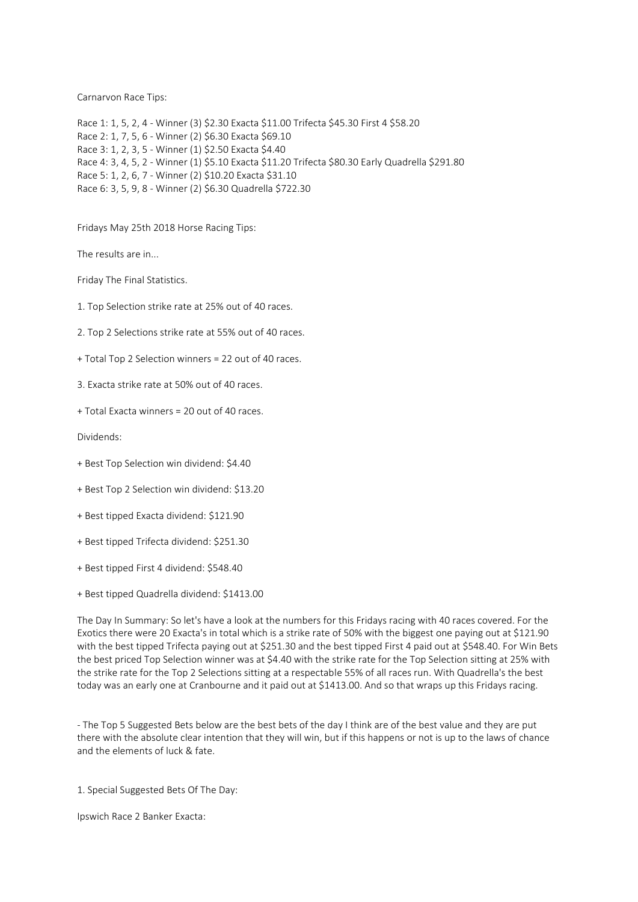Carnarvon Race Tips:

Race 1: 1, 5, 2, 4 - Winner (3) \$2.30 Exacta \$11.00 Trifecta \$45.30 First 4 \$58.20 Race 2: 1, 7, 5, 6 - Winner (2) \$6.30 Exacta \$69.10 Race 3: 1, 2, 3, 5 - Winner (1) \$2.50 Exacta \$4.40 Race 4: 3, 4, 5, 2 - Winner (1) \$5.10 Exacta \$11.20 Trifecta \$80.30 Early Quadrella \$291.80 Race 5: 1, 2, 6, 7 - Winner (2) \$10.20 Exacta \$31.10 Race 6: 3, 5, 9, 8 - Winner (2) \$6.30 Quadrella \$722.30

Fridays May 25th 2018 Horse Racing Tips:

The results are in...

Friday The Final Statistics.

1. Top Selection strike rate at 25% out of 40 races.

- 2. Top 2 Selections strike rate at 55% out of 40 races.
- + Total Top 2 Selection winners = 22 out of 40 races.
- 3. Exacta strike rate at 50% out of 40 races.
- + Total Exacta winners = 20 out of 40 races.

Dividends:

- + Best Top Selection win dividend: \$4.40
- + Best Top 2 Selection win dividend: \$13.20
- + Best tipped Exacta dividend: \$121.90
- + Best tipped Trifecta dividend: \$251.30
- + Best tipped First 4 dividend: \$548.40
- + Best tipped Quadrella dividend: \$1413.00

The Day In Summary: So let's have a look at the numbers for this Fridays racing with 40 races covered. For the Exotics there were 20 Exacta's in total which is a strike rate of 50% with the biggest one paying out at \$121.90 with the best tipped Trifecta paying out at \$251.30 and the best tipped First 4 paid out at \$548.40. For Win Bets the best priced Top Selection winner was at \$4.40 with the strike rate for the Top Selection sitting at 25% with the strike rate for the Top 2 Selections sitting at a respectable 55% of all races run. With Quadrella's the best today was an early one at Cranbourne and it paid out at \$1413.00. And so that wraps up this Fridays racing.

- The Top 5 Suggested Bets below are the best bets of the day I think are of the best value and they are put there with the absolute clear intention that they will win, but if this happens or not is up to the laws of chance and the elements of luck & fate.

1. Special Suggested Bets Of The Day:

Ipswich Race 2 Banker Exacta: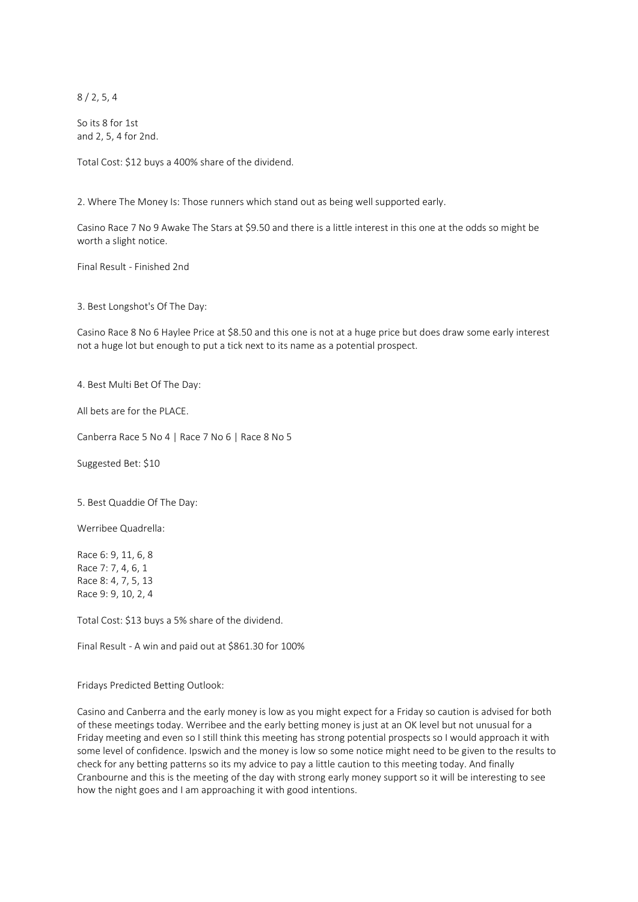8 / 2, 5, 4

So its 8 for 1st and 2, 5, 4 for 2nd.

Total Cost: \$12 buys a 400% share of the dividend.

2. Where The Money Is: Those runners which stand out as being well supported early.

Casino Race 7 No 9 Awake The Stars at \$9.50 and there is a little interest in this one at the odds so might be worth a slight notice.

Final Result - Finished 2nd

3. Best Longshot's Of The Day:

Casino Race 8 No 6 Haylee Price at \$8.50 and this one is not at a huge price but does draw some early interest not a huge lot but enough to put a tick next to its name as a potential prospect.

4. Best Multi Bet Of The Day:

All bets are for the PLACE.

Canberra Race 5 No 4 | Race 7 No 6 | Race 8 No 5

Suggested Bet: \$10

5. Best Quaddie Of The Day:

Werribee Quadrella:

Race 6: 9, 11, 6, 8 Race 7: 7, 4, 6, 1 Race 8: 4, 7, 5, 13 Race 9: 9, 10, 2, 4

Total Cost: \$13 buys a 5% share of the dividend.

Final Result - A win and paid out at \$861.30 for 100%

Fridays Predicted Betting Outlook:

Casino and Canberra and the early money is low as you might expect for a Friday so caution is advised for both of these meetings today. Werribee and the early betting money is just at an OK level but not unusual for a Friday meeting and even so I still think this meeting has strong potential prospects so I would approach it with some level of confidence. Ipswich and the money is low so some notice might need to be given to the results to check for any betting patterns so its my advice to pay a little caution to this meeting today. And finally Cranbourne and this is the meeting of the day with strong early money support so it will be interesting to see how the night goes and I am approaching it with good intentions.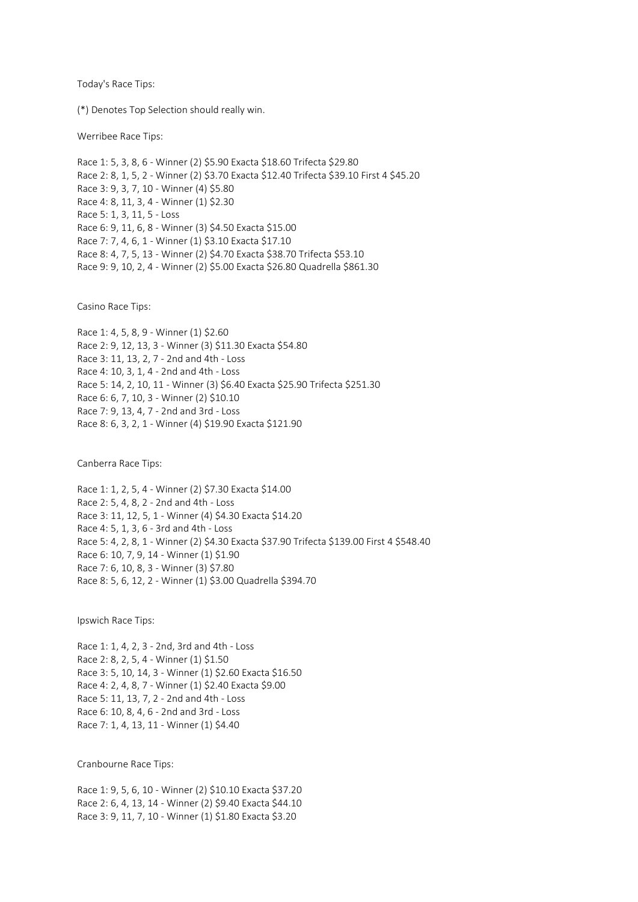Today's Race Tips:

(\*) Denotes Top Selection should really win.

Werribee Race Tips:

Race 1: 5, 3, 8, 6 - Winner (2) \$5.90 Exacta \$18.60 Trifecta \$29.80 Race 2: 8, 1, 5, 2 - Winner (2) \$3.70 Exacta \$12.40 Trifecta \$39.10 First 4 \$45.20 Race 3: 9, 3, 7, 10 - Winner (4) \$5.80 Race 4: 8, 11, 3, 4 - Winner (1) \$2.30 Race 5: 1, 3, 11, 5 - Loss Race 6: 9, 11, 6, 8 - Winner (3) \$4.50 Exacta \$15.00 Race 7: 7, 4, 6, 1 - Winner (1) \$3.10 Exacta \$17.10 Race 8: 4, 7, 5, 13 - Winner (2) \$4.70 Exacta \$38.70 Trifecta \$53.10 Race 9: 9, 10, 2, 4 - Winner (2) \$5.00 Exacta \$26.80 Quadrella \$861.30

Casino Race Tips:

Race 1: 4, 5, 8, 9 - Winner (1) \$2.60 Race 2: 9, 12, 13, 3 - Winner (3) \$11.30 Exacta \$54.80 Race 3: 11, 13, 2, 7 - 2nd and 4th - Loss Race 4: 10, 3, 1, 4 - 2nd and 4th - Loss Race 5: 14, 2, 10, 11 - Winner (3) \$6.40 Exacta \$25.90 Trifecta \$251.30 Race 6: 6, 7, 10, 3 - Winner (2) \$10.10 Race 7: 9, 13, 4, 7 - 2nd and 3rd - Loss Race 8: 6, 3, 2, 1 - Winner (4) \$19.90 Exacta \$121.90

Canberra Race Tips:

Race 1: 1, 2, 5, 4 - Winner (2) \$7.30 Exacta \$14.00 Race 2: 5, 4, 8, 2 - 2nd and 4th - Loss Race 3: 11, 12, 5, 1 - Winner (4) \$4.30 Exacta \$14.20 Race 4: 5, 1, 3, 6 - 3rd and 4th - Loss Race 5: 4, 2, 8, 1 - Winner (2) \$4.30 Exacta \$37.90 Trifecta \$139.00 First 4 \$548.40 Race 6: 10, 7, 9, 14 - Winner (1) \$1.90 Race 7: 6, 10, 8, 3 - Winner (3) \$7.80 Race 8: 5, 6, 12, 2 - Winner (1) \$3.00 Quadrella \$394.70

Ipswich Race Tips:

Race 1: 1, 4, 2, 3 - 2nd, 3rd and 4th - Loss Race 2: 8, 2, 5, 4 - Winner (1) \$1.50 Race 3: 5, 10, 14, 3 - Winner (1) \$2.60 Exacta \$16.50 Race 4: 2, 4, 8, 7 - Winner (1) \$2.40 Exacta \$9.00 Race 5: 11, 13, 7, 2 - 2nd and 4th - Loss Race 6: 10, 8, 4, 6 - 2nd and 3rd - Loss Race 7: 1, 4, 13, 11 - Winner (1) \$4.40

Cranbourne Race Tips:

Race 1: 9, 5, 6, 10 - Winner (2) \$10.10 Exacta \$37.20 Race 2: 6, 4, 13, 14 - Winner (2) \$9.40 Exacta \$44.10 Race 3: 9, 11, 7, 10 - Winner (1) \$1.80 Exacta \$3.20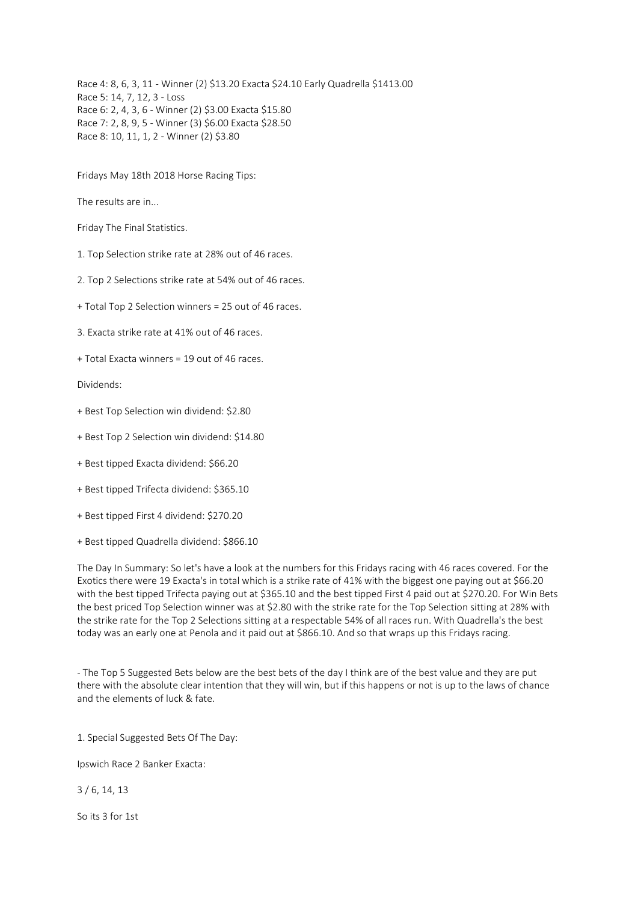Race 4: 8, 6, 3, 11 - Winner (2) \$13.20 Exacta \$24.10 Early Quadrella \$1413.00 Race 5: 14, 7, 12, 3 - Loss Race 6: 2, 4, 3, 6 - Winner (2) \$3.00 Exacta \$15.80 Race 7: 2, 8, 9, 5 - Winner (3) \$6.00 Exacta \$28.50 Race 8: 10, 11, 1, 2 - Winner (2) \$3.80

Fridays May 18th 2018 Horse Racing Tips:

The results are in...

Friday The Final Statistics.

1. Top Selection strike rate at 28% out of 46 races.

2. Top 2 Selections strike rate at 54% out of 46 races.

+ Total Top 2 Selection winners = 25 out of 46 races.

3. Exacta strike rate at 41% out of 46 races.

+ Total Exacta winners = 19 out of 46 races.

Dividends:

- + Best Top Selection win dividend: \$2.80
- + Best Top 2 Selection win dividend: \$14.80
- + Best tipped Exacta dividend: \$66.20
- + Best tipped Trifecta dividend: \$365.10
- + Best tipped First 4 dividend: \$270.20
- + Best tipped Quadrella dividend: \$866.10

The Day In Summary: So let's have a look at the numbers for this Fridays racing with 46 races covered. For the Exotics there were 19 Exacta's in total which is a strike rate of 41% with the biggest one paying out at \$66.20 with the best tipped Trifecta paying out at \$365.10 and the best tipped First 4 paid out at \$270.20. For Win Bets the best priced Top Selection winner was at \$2.80 with the strike rate for the Top Selection sitting at 28% with the strike rate for the Top 2 Selections sitting at a respectable 54% of all races run. With Quadrella's the best today was an early one at Penola and it paid out at \$866.10. And so that wraps up this Fridays racing.

- The Top 5 Suggested Bets below are the best bets of the day I think are of the best value and they are put there with the absolute clear intention that they will win, but if this happens or not is up to the laws of chance and the elements of luck & fate.

1. Special Suggested Bets Of The Day:

Ipswich Race 2 Banker Exacta:

3 / 6, 14, 13

So its 3 for 1st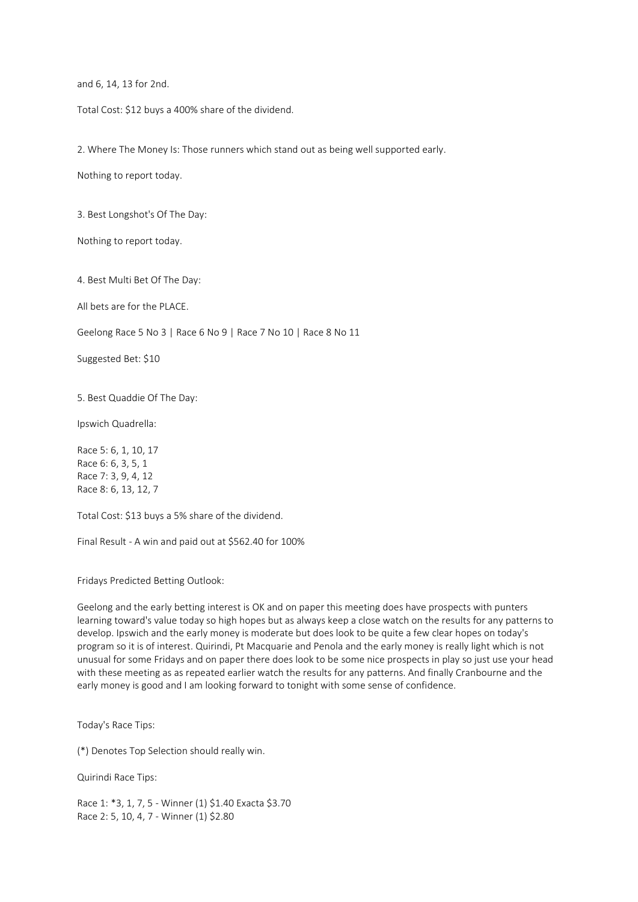and 6, 14, 13 for 2nd.

Total Cost: \$12 buys a 400% share of the dividend.

2. Where The Money Is: Those runners which stand out as being well supported early.

Nothing to report today.

3. Best Longshot's Of The Day:

Nothing to report today.

4. Best Multi Bet Of The Day:

All bets are for the PLACE.

Geelong Race 5 No 3 | Race 6 No 9 | Race 7 No 10 | Race 8 No 11

Suggested Bet: \$10

5. Best Quaddie Of The Day:

Ipswich Quadrella:

Race 5: 6, 1, 10, 17 Race 6: 6, 3, 5, 1 Race 7: 3, 9, 4, 12 Race 8: 6, 13, 12, 7

Total Cost: \$13 buys a 5% share of the dividend.

Final Result - A win and paid out at \$562.40 for 100%

Fridays Predicted Betting Outlook:

Geelong and the early betting interest is OK and on paper this meeting does have prospects with punters learning toward's value today so high hopes but as always keep a close watch on the results for any patterns to develop. Ipswich and the early money is moderate but does look to be quite a few clear hopes on today's program so it is of interest. Quirindi, Pt Macquarie and Penola and the early money is really light which is not unusual for some Fridays and on paper there does look to be some nice prospects in play so just use your head with these meeting as as repeated earlier watch the results for any patterns. And finally Cranbourne and the early money is good and I am looking forward to tonight with some sense of confidence.

Today's Race Tips:

(\*) Denotes Top Selection should really win.

Quirindi Race Tips:

Race 1: \*3, 1, 7, 5 - Winner (1) \$1.40 Exacta \$3.70 Race 2: 5, 10, 4, 7 - Winner (1) \$2.80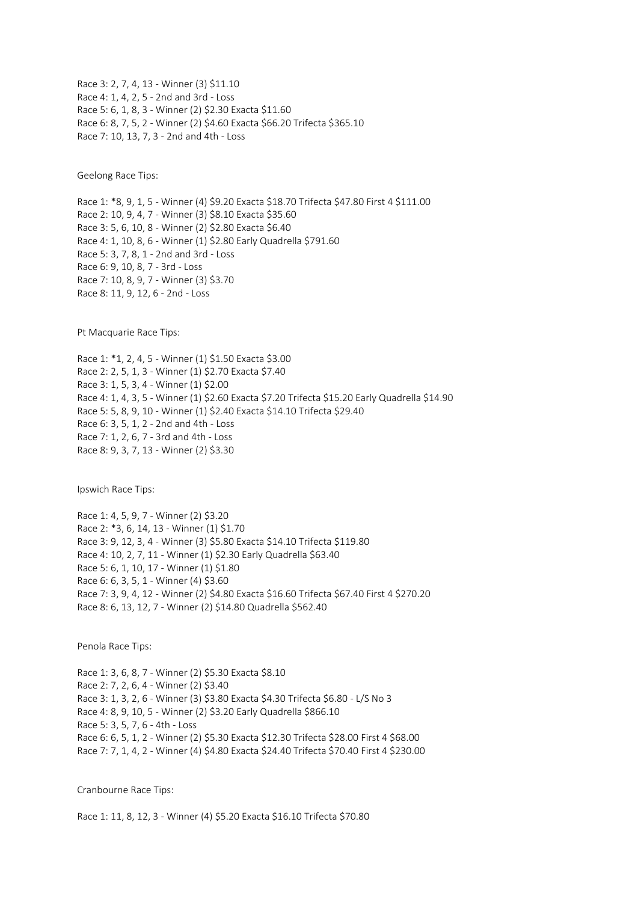Race 3: 2, 7, 4, 13 - Winner (3) \$11.10 Race 4: 1, 4, 2, 5 - 2nd and 3rd - Loss Race 5: 6, 1, 8, 3 - Winner (2) \$2.30 Exacta \$11.60 Race 6: 8, 7, 5, 2 - Winner (2) \$4.60 Exacta \$66.20 Trifecta \$365.10 Race 7: 10, 13, 7, 3 - 2nd and 4th - Loss

Geelong Race Tips:

Race 1: \*8, 9, 1, 5 - Winner (4) \$9.20 Exacta \$18.70 Trifecta \$47.80 First 4 \$111.00 Race 2: 10, 9, 4, 7 - Winner (3) \$8.10 Exacta \$35.60 Race 3: 5, 6, 10, 8 - Winner (2) \$2.80 Exacta \$6.40 Race 4: 1, 10, 8, 6 - Winner (1) \$2.80 Early Quadrella \$791.60 Race 5: 3, 7, 8, 1 - 2nd and 3rd - Loss Race 6: 9, 10, 8, 7 - 3rd - Loss Race 7: 10, 8, 9, 7 - Winner (3) \$3.70 Race 8: 11, 9, 12, 6 - 2nd - Loss

Pt Macquarie Race Tips:

Race 1: \*1, 2, 4, 5 - Winner (1) \$1.50 Exacta \$3.00 Race 2: 2, 5, 1, 3 - Winner (1) \$2.70 Exacta \$7.40 Race 3: 1, 5, 3, 4 - Winner (1) \$2.00 Race 4: 1, 4, 3, 5 - Winner (1) \$2.60 Exacta \$7.20 Trifecta \$15.20 Early Quadrella \$14.90 Race 5: 5, 8, 9, 10 - Winner (1) \$2.40 Exacta \$14.10 Trifecta \$29.40 Race 6: 3, 5, 1, 2 - 2nd and 4th - Loss Race 7: 1, 2, 6, 7 - 3rd and 4th - Loss Race 8: 9, 3, 7, 13 - Winner (2) \$3.30

Ipswich Race Tips:

Race 1: 4, 5, 9, 7 - Winner (2) \$3.20 Race 2: \*3, 6, 14, 13 - Winner (1) \$1.70 Race 3: 9, 12, 3, 4 - Winner (3) \$5.80 Exacta \$14.10 Trifecta \$119.80 Race 4: 10, 2, 7, 11 - Winner (1) \$2.30 Early Quadrella \$63.40 Race 5: 6, 1, 10, 17 - Winner (1) \$1.80 Race 6: 6, 3, 5, 1 - Winner (4) \$3.60 Race 7: 3, 9, 4, 12 - Winner (2) \$4.80 Exacta \$16.60 Trifecta \$67.40 First 4 \$270.20 Race 8: 6, 13, 12, 7 - Winner (2) \$14.80 Quadrella \$562.40

Penola Race Tips:

Race 1: 3, 6, 8, 7 - Winner (2) \$5.30 Exacta \$8.10 Race 2: 7, 2, 6, 4 - Winner (2) \$3.40 Race 3: 1, 3, 2, 6 - Winner (3) \$3.80 Exacta \$4.30 Trifecta \$6.80 - L/S No 3 Race 4: 8, 9, 10, 5 - Winner (2) \$3.20 Early Quadrella \$866.10 Race 5: 3, 5, 7, 6 - 4th - Loss Race 6: 6, 5, 1, 2 - Winner (2) \$5.30 Exacta \$12.30 Trifecta \$28.00 First 4 \$68.00 Race 7: 7, 1, 4, 2 - Winner (4) \$4.80 Exacta \$24.40 Trifecta \$70.40 First 4 \$230.00

Cranbourne Race Tips:

Race 1: 11, 8, 12, 3 - Winner (4) \$5.20 Exacta \$16.10 Trifecta \$70.80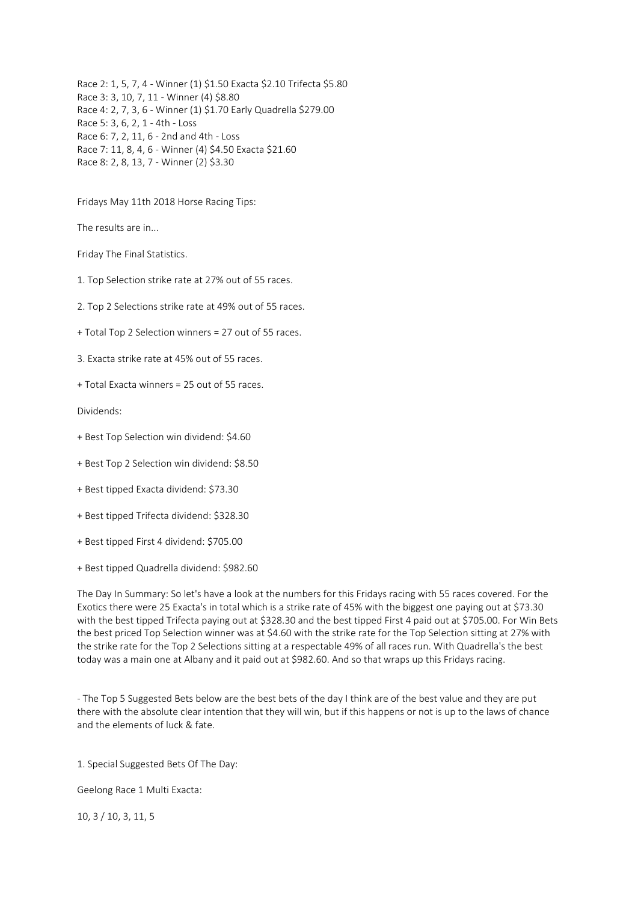Race 2: 1, 5, 7, 4 - Winner (1) \$1.50 Exacta \$2.10 Trifecta \$5.80 Race 3: 3, 10, 7, 11 - Winner (4) \$8.80 Race 4: 2, 7, 3, 6 - Winner (1) \$1.70 Early Quadrella \$279.00 Race 5: 3, 6, 2, 1 - 4th - Loss Race 6: 7, 2, 11, 6 - 2nd and 4th - Loss Race 7: 11, 8, 4, 6 - Winner (4) \$4.50 Exacta \$21.60 Race 8: 2, 8, 13, 7 - Winner (2) \$3.30

Fridays May 11th 2018 Horse Racing Tips:

The results are in...

Friday The Final Statistics.

1. Top Selection strike rate at 27% out of 55 races.

2. Top 2 Selections strike rate at 49% out of 55 races.

+ Total Top 2 Selection winners = 27 out of 55 races.

3. Exacta strike rate at 45% out of 55 races.

+ Total Exacta winners = 25 out of 55 races.

Dividends:

- + Best Top Selection win dividend: \$4.60
- + Best Top 2 Selection win dividend: \$8.50
- + Best tipped Exacta dividend: \$73.30
- + Best tipped Trifecta dividend: \$328.30
- + Best tipped First 4 dividend: \$705.00
- + Best tipped Quadrella dividend: \$982.60

The Day In Summary: So let's have a look at the numbers for this Fridays racing with 55 races covered. For the Exotics there were 25 Exacta's in total which is a strike rate of 45% with the biggest one paying out at \$73.30 with the best tipped Trifecta paying out at \$328.30 and the best tipped First 4 paid out at \$705.00. For Win Bets the best priced Top Selection winner was at \$4.60 with the strike rate for the Top Selection sitting at 27% with the strike rate for the Top 2 Selections sitting at a respectable 49% of all races run. With Quadrella's the best today was a main one at Albany and it paid out at \$982.60. And so that wraps up this Fridays racing.

- The Top 5 Suggested Bets below are the best bets of the day I think are of the best value and they are put there with the absolute clear intention that they will win, but if this happens or not is up to the laws of chance and the elements of luck & fate.

1. Special Suggested Bets Of The Day:

Geelong Race 1 Multi Exacta:

10, 3 / 10, 3, 11, 5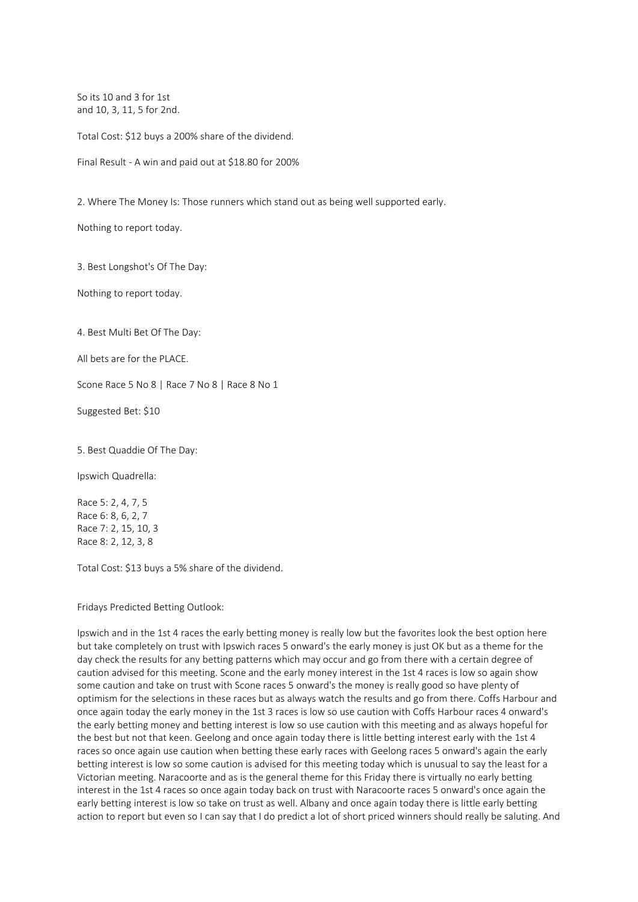So its 10 and 3 for 1st and 10, 3, 11, 5 for 2nd.

Total Cost: \$12 buys a 200% share of the dividend.

Final Result - A win and paid out at \$18.80 for 200%

2. Where The Money Is: Those runners which stand out as being well supported early.

Nothing to report today.

3. Best Longshot's Of The Day:

Nothing to report today.

4. Best Multi Bet Of The Day:

All bets are for the PLACE.

Scone Race 5 No 8 | Race 7 No 8 | Race 8 No 1

Suggested Bet: \$10

5. Best Quaddie Of The Day:

Ipswich Quadrella:

Race 5: 2, 4, 7, 5 Race 6: 8, 6, 2, 7 Race 7: 2, 15, 10, 3 Race 8: 2, 12, 3, 8

Total Cost: \$13 buys a 5% share of the dividend.

Fridays Predicted Betting Outlook:

Ipswich and in the 1st 4 races the early betting money is really low but the favorites look the best option here but take completely on trust with Ipswich races 5 onward's the early money is just OK but as a theme for the day check the results for any betting patterns which may occur and go from there with a certain degree of caution advised for this meeting. Scone and the early money interest in the 1st 4 races is low so again show some caution and take on trust with Scone races 5 onward's the money is really good so have plenty of optimism for the selections in these races but as always watch the results and go from there. Coffs Harbour and once again today the early money in the 1st 3 races is low so use caution with Coffs Harbour races 4 onward's the early betting money and betting interest is low so use caution with this meeting and as always hopeful for the best but not that keen. Geelong and once again today there is little betting interest early with the 1st 4 races so once again use caution when betting these early races with Geelong races 5 onward's again the early betting interest is low so some caution is advised for this meeting today which is unusual to say the least for a Victorian meeting. Naracoorte and as is the general theme for this Friday there is virtually no early betting interest in the 1st 4 races so once again today back on trust with Naracoorte races 5 onward's once again the early betting interest is low so take on trust as well. Albany and once again today there is little early betting action to report but even so I can say that I do predict a lot of short priced winners should really be saluting. And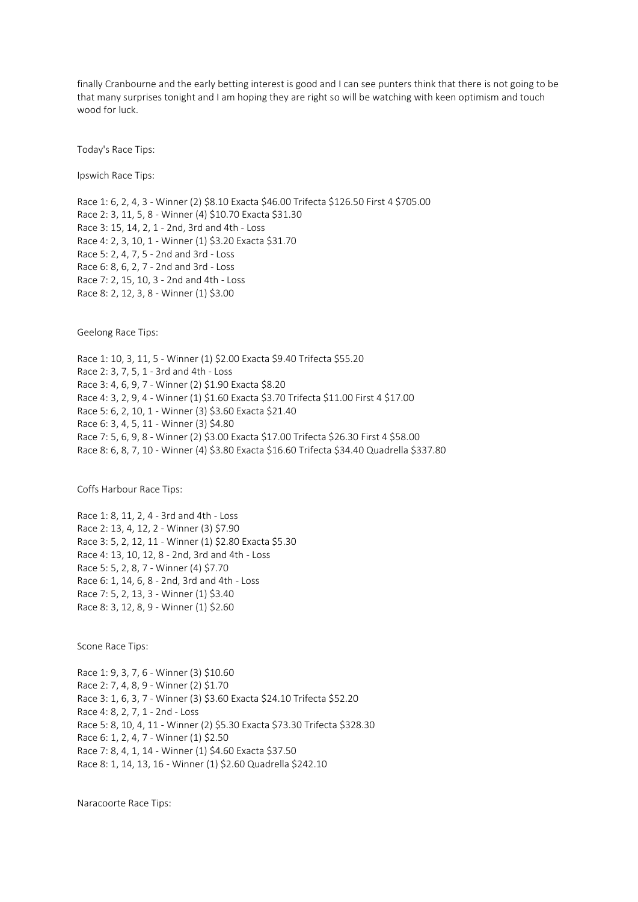finally Cranbourne and the early betting interest is good and I can see punters think that there is not going to be that many surprises tonight and I am hoping they are right so will be watching with keen optimism and touch wood for luck.

Today's Race Tips:

Ipswich Race Tips:

Race 1: 6, 2, 4, 3 - Winner (2) \$8.10 Exacta \$46.00 Trifecta \$126.50 First 4 \$705.00 Race 2: 3, 11, 5, 8 - Winner (4) \$10.70 Exacta \$31.30 Race 3: 15, 14, 2, 1 - 2nd, 3rd and 4th - Loss Race 4: 2, 3, 10, 1 - Winner (1) \$3.20 Exacta \$31.70 Race 5: 2, 4, 7, 5 - 2nd and 3rd - Loss Race 6: 8, 6, 2, 7 - 2nd and 3rd - Loss Race 7: 2, 15, 10, 3 - 2nd and 4th - Loss Race 8: 2, 12, 3, 8 - Winner (1) \$3.00

Geelong Race Tips:

Race 1: 10, 3, 11, 5 - Winner (1) \$2.00 Exacta \$9.40 Trifecta \$55.20 Race 2: 3, 7, 5, 1 - 3rd and 4th - Loss Race 3: 4, 6, 9, 7 - Winner (2) \$1.90 Exacta \$8.20 Race 4: 3, 2, 9, 4 - Winner (1) \$1.60 Exacta \$3.70 Trifecta \$11.00 First 4 \$17.00 Race 5: 6, 2, 10, 1 - Winner (3) \$3.60 Exacta \$21.40 Race 6: 3, 4, 5, 11 - Winner (3) \$4.80 Race 7: 5, 6, 9, 8 - Winner (2) \$3.00 Exacta \$17.00 Trifecta \$26.30 First 4 \$58.00 Race 8: 6, 8, 7, 10 - Winner (4) \$3.80 Exacta \$16.60 Trifecta \$34.40 Quadrella \$337.80

Coffs Harbour Race Tips:

Race 1: 8, 11, 2, 4 - 3rd and 4th - Loss Race 2: 13, 4, 12, 2 - Winner (3) \$7.90 Race 3: 5, 2, 12, 11 - Winner (1) \$2.80 Exacta \$5.30 Race 4: 13, 10, 12, 8 - 2nd, 3rd and 4th - Loss Race 5: 5, 2, 8, 7 - Winner (4) \$7.70 Race 6: 1, 14, 6, 8 - 2nd, 3rd and 4th - Loss Race 7: 5, 2, 13, 3 - Winner (1) \$3.40 Race 8: 3, 12, 8, 9 - Winner (1) \$2.60

Scone Race Tips:

Race 1: 9, 3, 7, 6 - Winner (3) \$10.60 Race 2: 7, 4, 8, 9 - Winner (2) \$1.70 Race 3: 1, 6, 3, 7 - Winner (3) \$3.60 Exacta \$24.10 Trifecta \$52.20 Race 4: 8, 2, 7, 1 - 2nd - Loss Race 5: 8, 10, 4, 11 - Winner (2) \$5.30 Exacta \$73.30 Trifecta \$328.30 Race 6: 1, 2, 4, 7 - Winner (1) \$2.50 Race 7: 8, 4, 1, 14 - Winner (1) \$4.60 Exacta \$37.50 Race 8: 1, 14, 13, 16 - Winner (1) \$2.60 Quadrella \$242.10

Naracoorte Race Tips: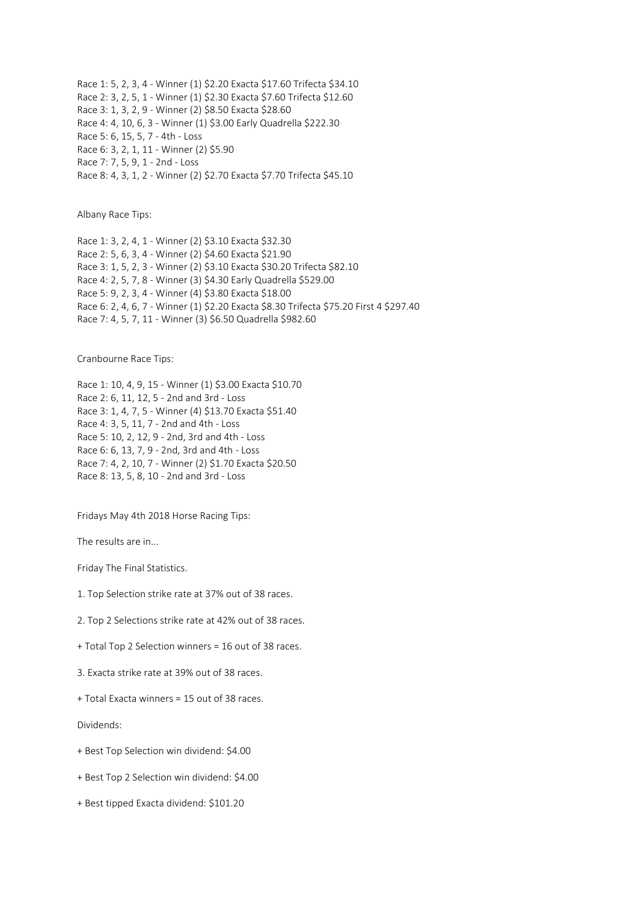Race 1: 5, 2, 3, 4 - Winner (1) \$2.20 Exacta \$17.60 Trifecta \$34.10 Race 2: 3, 2, 5, 1 - Winner (1) \$2.30 Exacta \$7.60 Trifecta \$12.60 Race 3: 1, 3, 2, 9 - Winner (2) \$8.50 Exacta \$28.60 Race 4: 4, 10, 6, 3 - Winner (1) \$3.00 Early Quadrella \$222.30 Race 5: 6, 15, 5, 7 - 4th - Loss Race 6: 3, 2, 1, 11 - Winner (2) \$5.90 Race 7: 7, 5, 9, 1 - 2nd - Loss Race 8: 4, 3, 1, 2 - Winner (2) \$2.70 Exacta \$7.70 Trifecta \$45.10

Albany Race Tips:

Race 1: 3, 2, 4, 1 - Winner (2) \$3.10 Exacta \$32.30 Race 2: 5, 6, 3, 4 - Winner (2) \$4.60 Exacta \$21.90 Race 3: 1, 5, 2, 3 - Winner (2) \$3.10 Exacta \$30.20 Trifecta \$82.10 Race 4: 2, 5, 7, 8 - Winner (3) \$4.30 Early Quadrella \$529.00 Race 5: 9, 2, 3, 4 - Winner (4) \$3.80 Exacta \$18.00 Race 6: 2, 4, 6, 7 - Winner (1) \$2.20 Exacta \$8.30 Trifecta \$75.20 First 4 \$297.40 Race 7: 4, 5, 7, 11 - Winner (3) \$6.50 Quadrella \$982.60

Cranbourne Race Tips:

```
Race 1: 10, 4, 9, 15 - Winner (1) $3.00 Exacta $10.70
Race 2: 6, 11, 12, 5 - 2nd and 3rd - Loss
Race 3: 1, 4, 7, 5 - Winner (4) $13.70 Exacta $51.40
Race 4: 3, 5, 11, 7 - 2nd and 4th - Loss
Race 5: 10, 2, 12, 9 - 2nd, 3rd and 4th - Loss
Race 6: 6, 13, 7, 9 - 2nd, 3rd and 4th - Loss
Race 7: 4, 2, 10, 7 - Winner (2) $1.70 Exacta $20.50
Race 8: 13, 5, 8, 10 - 2nd and 3rd - Loss
```
Fridays May 4th 2018 Horse Racing Tips:

The results are in...

Friday The Final Statistics.

1. Top Selection strike rate at 37% out of 38 races.

2. Top 2 Selections strike rate at 42% out of 38 races.

+ Total Top 2 Selection winners = 16 out of 38 races.

3. Exacta strike rate at 39% out of 38 races.

+ Total Exacta winners = 15 out of 38 races.

Dividends:

- + Best Top Selection win dividend: \$4.00
- + Best Top 2 Selection win dividend: \$4.00
- + Best tipped Exacta dividend: \$101.20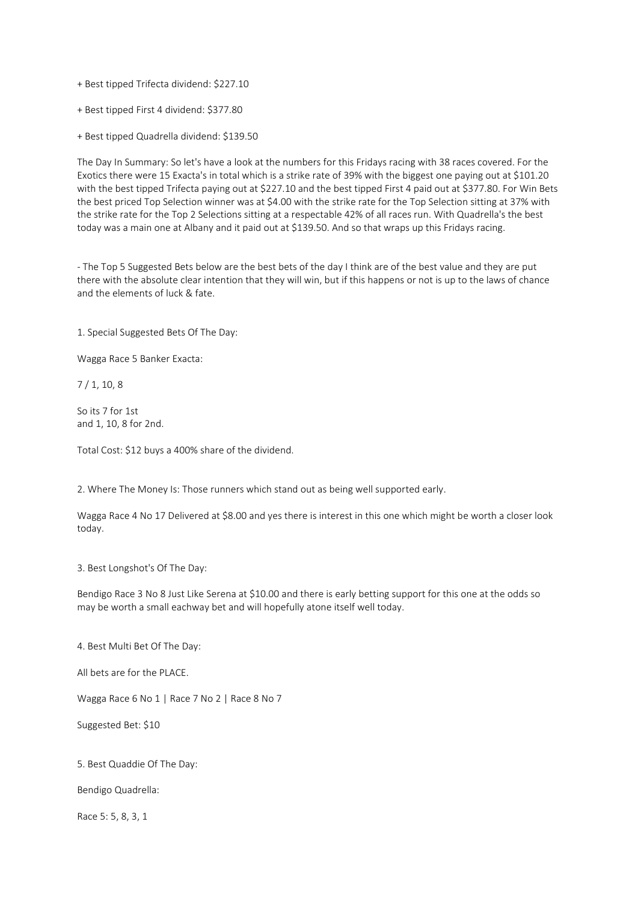+ Best tipped Trifecta dividend: \$227.10

+ Best tipped First 4 dividend: \$377.80

+ Best tipped Quadrella dividend: \$139.50

The Day In Summary: So let's have a look at the numbers for this Fridays racing with 38 races covered. For the Exotics there were 15 Exacta's in total which is a strike rate of 39% with the biggest one paying out at \$101.20 with the best tipped Trifecta paying out at \$227.10 and the best tipped First 4 paid out at \$377.80. For Win Bets the best priced Top Selection winner was at \$4.00 with the strike rate for the Top Selection sitting at 37% with the strike rate for the Top 2 Selections sitting at a respectable 42% of all races run. With Quadrella's the best today was a main one at Albany and it paid out at \$139.50. And so that wraps up this Fridays racing.

- The Top 5 Suggested Bets below are the best bets of the day I think are of the best value and they are put there with the absolute clear intention that they will win, but if this happens or not is up to the laws of chance and the elements of luck & fate.

1. Special Suggested Bets Of The Day:

Wagga Race 5 Banker Exacta:

7 / 1, 10, 8

So its 7 for 1st and 1, 10, 8 for 2nd.

Total Cost: \$12 buys a 400% share of the dividend.

2. Where The Money Is: Those runners which stand out as being well supported early.

Wagga Race 4 No 17 Delivered at \$8.00 and yes there is interest in this one which might be worth a closer look today.

3. Best Longshot's Of The Day:

Bendigo Race 3 No 8 Just Like Serena at \$10.00 and there is early betting support for this one at the odds so may be worth a small eachway bet and will hopefully atone itself well today.

4. Best Multi Bet Of The Day:

All bets are for the PLACE.

Wagga Race 6 No 1 | Race 7 No 2 | Race 8 No 7

Suggested Bet: \$10

5. Best Quaddie Of The Day:

Bendigo Quadrella:

Race 5: 5, 8, 3, 1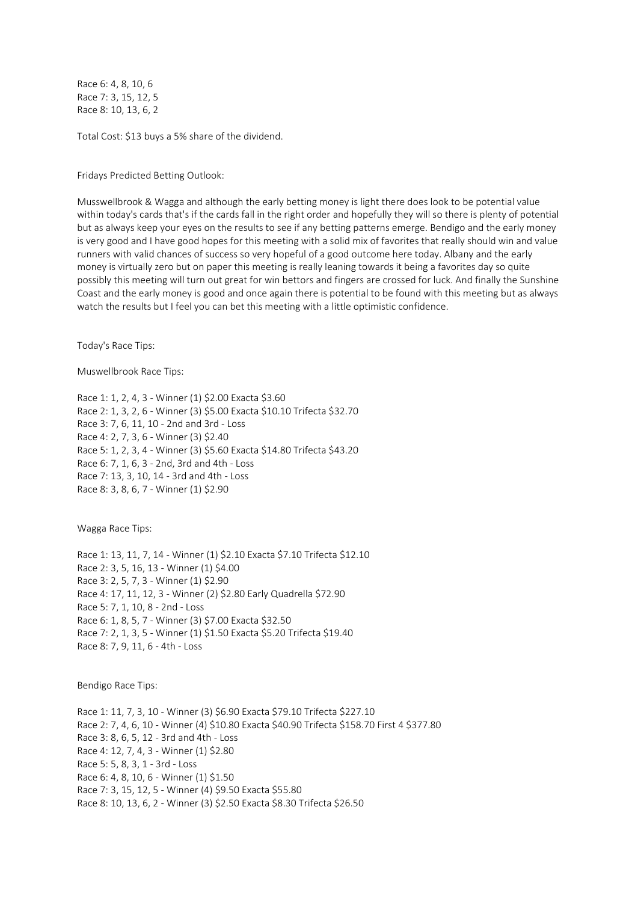Race 6: 4, 8, 10, 6 Race 7: 3, 15, 12, 5 Race 8: 10, 13, 6, 2

Total Cost: \$13 buys a 5% share of the dividend.

Fridays Predicted Betting Outlook:

Musswellbrook & Wagga and although the early betting money is light there does look to be potential value within today's cards that's if the cards fall in the right order and hopefully they will so there is plenty of potential but as always keep your eyes on the results to see if any betting patterns emerge. Bendigo and the early money is very good and I have good hopes for this meeting with a solid mix of favorites that really should win and value runners with valid chances of success so very hopeful of a good outcome here today. Albany and the early money is virtually zero but on paper this meeting is really leaning towards it being a favorites day so quite possibly this meeting will turn out great for win bettors and fingers are crossed for luck. And finally the Sunshine Coast and the early money is good and once again there is potential to be found with this meeting but as always watch the results but I feel you can bet this meeting with a little optimistic confidence.

Today's Race Tips:

Muswellbrook Race Tips:

Race 1: 1, 2, 4, 3 - Winner (1) \$2.00 Exacta \$3.60 Race 2: 1, 3, 2, 6 - Winner (3) \$5.00 Exacta \$10.10 Trifecta \$32.70 Race 3: 7, 6, 11, 10 - 2nd and 3rd - Loss Race 4: 2, 7, 3, 6 - Winner (3) \$2.40 Race 5: 1, 2, 3, 4 - Winner (3) \$5.60 Exacta \$14.80 Trifecta \$43.20 Race 6: 7, 1, 6, 3 - 2nd, 3rd and 4th - Loss Race 7: 13, 3, 10, 14 - 3rd and 4th - Loss Race 8: 3, 8, 6, 7 - Winner (1) \$2.90

Wagga Race Tips:

Race 1: 13, 11, 7, 14 - Winner (1) \$2.10 Exacta \$7.10 Trifecta \$12.10 Race 2: 3, 5, 16, 13 - Winner (1) \$4.00 Race 3: 2, 5, 7, 3 - Winner (1) \$2.90 Race 4: 17, 11, 12, 3 - Winner (2) \$2.80 Early Quadrella \$72.90 Race 5: 7, 1, 10, 8 - 2nd - Loss Race 6: 1, 8, 5, 7 - Winner (3) \$7.00 Exacta \$32.50 Race 7: 2, 1, 3, 5 - Winner (1) \$1.50 Exacta \$5.20 Trifecta \$19.40 Race 8: 7, 9, 11, 6 - 4th - Loss

Bendigo Race Tips:

Race 1: 11, 7, 3, 10 - Winner (3) \$6.90 Exacta \$79.10 Trifecta \$227.10 Race 2: 7, 4, 6, 10 - Winner (4) \$10.80 Exacta \$40.90 Trifecta \$158.70 First 4 \$377.80 Race 3: 8, 6, 5, 12 - 3rd and 4th - Loss Race 4: 12, 7, 4, 3 - Winner (1) \$2.80 Race 5: 5, 8, 3, 1 - 3rd - Loss Race 6: 4, 8, 10, 6 - Winner (1) \$1.50 Race 7: 3, 15, 12, 5 - Winner (4) \$9.50 Exacta \$55.80 Race 8: 10, 13, 6, 2 - Winner (3) \$2.50 Exacta \$8.30 Trifecta \$26.50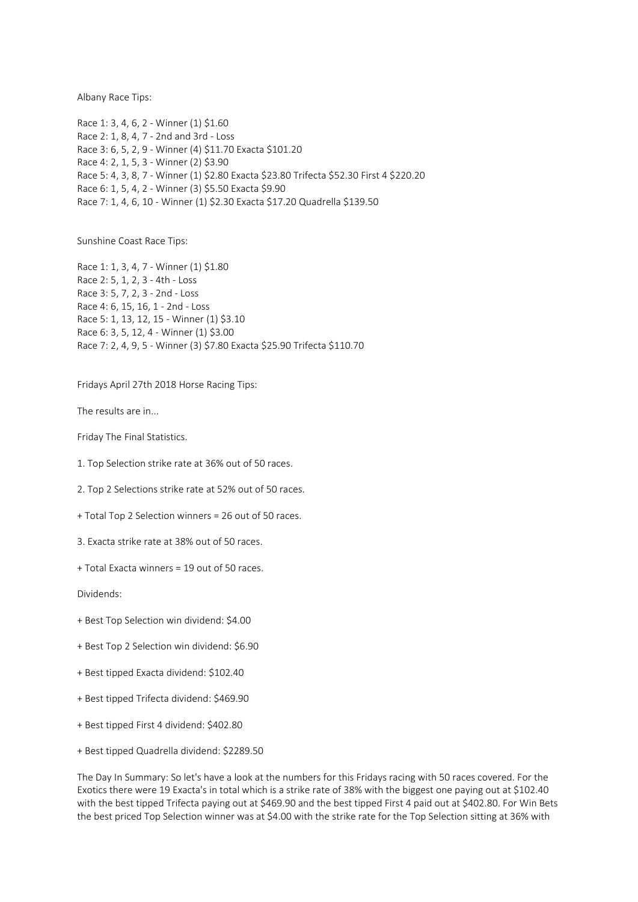Albany Race Tips:

Race 1: 3, 4, 6, 2 - Winner (1) \$1.60 Race 2: 1, 8, 4, 7 - 2nd and 3rd - Loss Race 3: 6, 5, 2, 9 - Winner (4) \$11.70 Exacta \$101.20 Race 4: 2, 1, 5, 3 - Winner (2) \$3.90 Race 5: 4, 3, 8, 7 - Winner (1) \$2.80 Exacta \$23.80 Trifecta \$52.30 First 4 \$220.20 Race 6: 1, 5, 4, 2 - Winner (3) \$5.50 Exacta \$9.90 Race 7: 1, 4, 6, 10 - Winner (1) \$2.30 Exacta \$17.20 Quadrella \$139.50

Sunshine Coast Race Tips:

Race 1: 1, 3, 4, 7 - Winner (1) \$1.80 Race 2: 5, 1, 2, 3 - 4th - Loss Race 3: 5, 7, 2, 3 - 2nd - Loss Race 4: 6, 15, 16, 1 - 2nd - Loss Race 5: 1, 13, 12, 15 - Winner (1) \$3.10 Race 6: 3, 5, 12, 4 - Winner (1) \$3.00 Race 7: 2, 4, 9, 5 - Winner (3) \$7.80 Exacta \$25.90 Trifecta \$110.70

Fridays April 27th 2018 Horse Racing Tips:

The results are in...

Friday The Final Statistics.

1. Top Selection strike rate at 36% out of 50 races.

2. Top 2 Selections strike rate at 52% out of 50 races.

+ Total Top 2 Selection winners = 26 out of 50 races.

3. Exacta strike rate at 38% out of 50 races.

+ Total Exacta winners = 19 out of 50 races.

Dividends:

- + Best Top Selection win dividend: \$4.00
- + Best Top 2 Selection win dividend: \$6.90
- + Best tipped Exacta dividend: \$102.40
- + Best tipped Trifecta dividend: \$469.90
- + Best tipped First 4 dividend: \$402.80
- + Best tipped Quadrella dividend: \$2289.50

The Day In Summary: So let's have a look at the numbers for this Fridays racing with 50 races covered. For the Exotics there were 19 Exacta's in total which is a strike rate of 38% with the biggest one paying out at \$102.40 with the best tipped Trifecta paying out at \$469.90 and the best tipped First 4 paid out at \$402.80. For Win Bets the best priced Top Selection winner was at \$4.00 with the strike rate for the Top Selection sitting at 36% with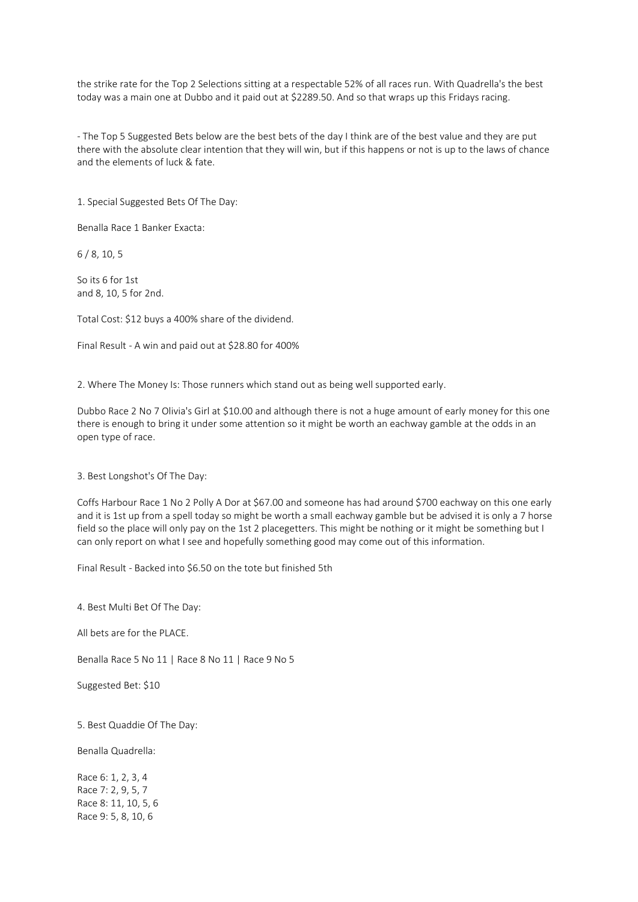the strike rate for the Top 2 Selections sitting at a respectable 52% of all races run. With Quadrella's the best today was a main one at Dubbo and it paid out at \$2289.50. And so that wraps up this Fridays racing.

- The Top 5 Suggested Bets below are the best bets of the day I think are of the best value and they are put there with the absolute clear intention that they will win, but if this happens or not is up to the laws of chance and the elements of luck & fate.

1. Special Suggested Bets Of The Day:

Benalla Race 1 Banker Exacta:

6 / 8, 10, 5

So its 6 for 1st and 8, 10, 5 for 2nd.

Total Cost: \$12 buys a 400% share of the dividend.

Final Result - A win and paid out at \$28.80 for 400%

2. Where The Money Is: Those runners which stand out as being well supported early.

Dubbo Race 2 No 7 Olivia's Girl at \$10.00 and although there is not a huge amount of early money for this one there is enough to bring it under some attention so it might be worth an eachway gamble at the odds in an open type of race.

3. Best Longshot's Of The Day:

Coffs Harbour Race 1 No 2 Polly A Dor at \$67.00 and someone has had around \$700 eachway on this one early and it is 1st up from a spell today so might be worth a small eachway gamble but be advised it is only a 7 horse field so the place will only pay on the 1st 2 placegetters. This might be nothing or it might be something but I can only report on what I see and hopefully something good may come out of this information.

Final Result - Backed into \$6.50 on the tote but finished 5th

4. Best Multi Bet Of The Day:

All bets are for the PLACE.

Benalla Race 5 No 11 | Race 8 No 11 | Race 9 No 5

Suggested Bet: \$10

5. Best Quaddie Of The Day:

Benalla Quadrella:

Race 6: 1, 2, 3, 4 Race 7: 2, 9, 5, 7 Race 8: 11, 10, 5, 6 Race 9: 5, 8, 10, 6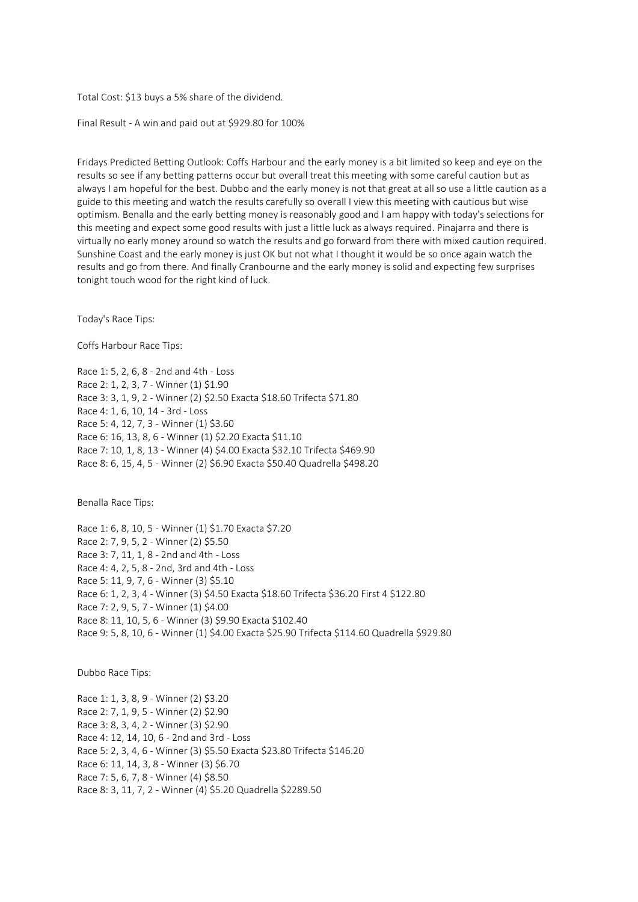Total Cost: \$13 buys a 5% share of the dividend.

Final Result - A win and paid out at \$929.80 for 100%

Fridays Predicted Betting Outlook: Coffs Harbour and the early money is a bit limited so keep and eye on the results so see if any betting patterns occur but overall treat this meeting with some careful caution but as always I am hopeful for the best. Dubbo and the early money is not that great at all so use a little caution as a guide to this meeting and watch the results carefully so overall I view this meeting with cautious but wise optimism. Benalla and the early betting money is reasonably good and I am happy with today's selections for this meeting and expect some good results with just a little luck as always required. Pinajarra and there is virtually no early money around so watch the results and go forward from there with mixed caution required. Sunshine Coast and the early money is just OK but not what I thought it would be so once again watch the results and go from there. And finally Cranbourne and the early money is solid and expecting few surprises tonight touch wood for the right kind of luck.

Today's Race Tips:

Coffs Harbour Race Tips:

Race 1: 5, 2, 6, 8 - 2nd and 4th - Loss Race 2: 1, 2, 3, 7 - Winner (1) \$1.90 Race 3: 3, 1, 9, 2 - Winner (2) \$2.50 Exacta \$18.60 Trifecta \$71.80 Race 4: 1, 6, 10, 14 - 3rd - Loss Race 5: 4, 12, 7, 3 - Winner (1) \$3.60 Race 6: 16, 13, 8, 6 - Winner (1) \$2.20 Exacta \$11.10 Race 7: 10, 1, 8, 13 - Winner (4) \$4.00 Exacta \$32.10 Trifecta \$469.90 Race 8: 6, 15, 4, 5 - Winner (2) \$6.90 Exacta \$50.40 Quadrella \$498.20

Benalla Race Tips:

Race 1: 6, 8, 10, 5 - Winner (1) \$1.70 Exacta \$7.20 Race 2: 7, 9, 5, 2 - Winner (2) \$5.50 Race 3: 7, 11, 1, 8 - 2nd and 4th - Loss Race 4: 4, 2, 5, 8 - 2nd, 3rd and 4th - Loss Race 5: 11, 9, 7, 6 - Winner (3) \$5.10 Race 6: 1, 2, 3, 4 - Winner (3) \$4.50 Exacta \$18.60 Trifecta \$36.20 First 4 \$122.80 Race 7: 2, 9, 5, 7 - Winner (1) \$4.00 Race 8: 11, 10, 5, 6 - Winner (3) \$9.90 Exacta \$102.40 Race 9: 5, 8, 10, 6 - Winner (1) \$4.00 Exacta \$25.90 Trifecta \$114.60 Quadrella \$929.80

Dubbo Race Tips:

Race 1: 1, 3, 8, 9 - Winner (2) \$3.20 Race 2: 7, 1, 9, 5 - Winner (2) \$2.90 Race 3: 8, 3, 4, 2 - Winner (3) \$2.90 Race 4: 12, 14, 10, 6 - 2nd and 3rd - Loss Race 5: 2, 3, 4, 6 - Winner (3) \$5.50 Exacta \$23.80 Trifecta \$146.20 Race 6: 11, 14, 3, 8 - Winner (3) \$6.70 Race 7: 5, 6, 7, 8 - Winner (4) \$8.50 Race 8: 3, 11, 7, 2 - Winner (4) \$5.20 Quadrella \$2289.50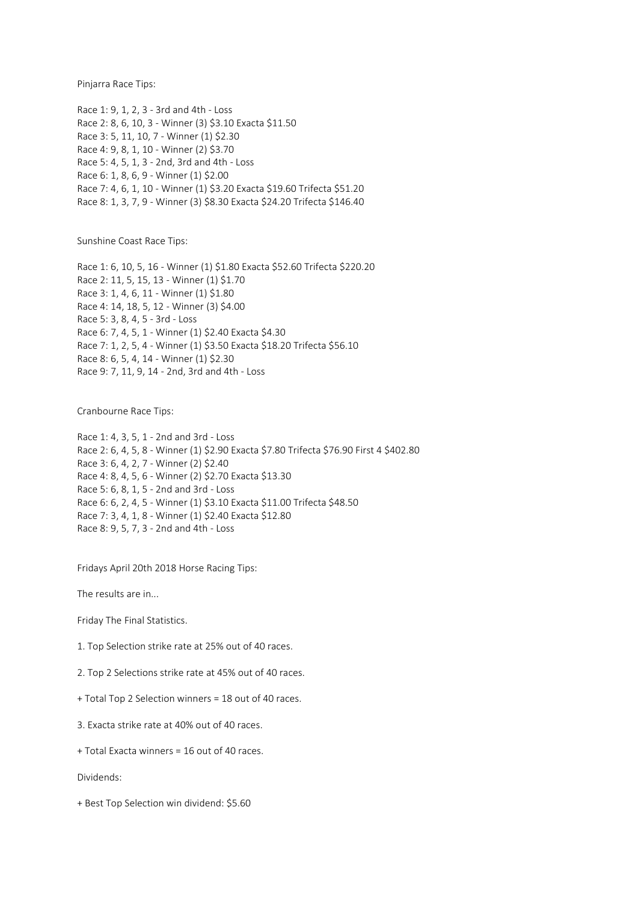Pinjarra Race Tips:

Race 1: 9, 1, 2, 3 - 3rd and 4th - Loss Race 2: 8, 6, 10, 3 - Winner (3) \$3.10 Exacta \$11.50 Race 3: 5, 11, 10, 7 - Winner (1) \$2.30 Race 4: 9, 8, 1, 10 - Winner (2) \$3.70 Race 5: 4, 5, 1, 3 - 2nd, 3rd and 4th - Loss Race 6: 1, 8, 6, 9 - Winner (1) \$2.00 Race 7: 4, 6, 1, 10 - Winner (1) \$3.20 Exacta \$19.60 Trifecta \$51.20 Race 8: 1, 3, 7, 9 - Winner (3) \$8.30 Exacta \$24.20 Trifecta \$146.40

Sunshine Coast Race Tips:

Race 1: 6, 10, 5, 16 - Winner (1) \$1.80 Exacta \$52.60 Trifecta \$220.20 Race 2: 11, 5, 15, 13 - Winner (1) \$1.70 Race 3: 1, 4, 6, 11 - Winner (1) \$1.80 Race 4: 14, 18, 5, 12 - Winner (3) \$4.00 Race 5: 3, 8, 4, 5 - 3rd - Loss Race 6: 7, 4, 5, 1 - Winner (1) \$2.40 Exacta \$4.30 Race 7: 1, 2, 5, 4 - Winner (1) \$3.50 Exacta \$18.20 Trifecta \$56.10 Race 8: 6, 5, 4, 14 - Winner (1) \$2.30 Race 9: 7, 11, 9, 14 - 2nd, 3rd and 4th - Loss

Cranbourne Race Tips:

Race 1: 4, 3, 5, 1 - 2nd and 3rd - Loss Race 2: 6, 4, 5, 8 - Winner (1) \$2.90 Exacta \$7.80 Trifecta \$76.90 First 4 \$402.80 Race 3: 6, 4, 2, 7 - Winner (2) \$2.40 Race 4: 8, 4, 5, 6 - Winner (2) \$2.70 Exacta \$13.30 Race 5: 6, 8, 1, 5 - 2nd and 3rd - Loss Race 6: 6, 2, 4, 5 - Winner (1) \$3.10 Exacta \$11.00 Trifecta \$48.50 Race 7: 3, 4, 1, 8 - Winner (1) \$2.40 Exacta \$12.80 Race 8: 9, 5, 7, 3 - 2nd and 4th - Loss

Fridays April 20th 2018 Horse Racing Tips:

The results are in...

Friday The Final Statistics.

1. Top Selection strike rate at 25% out of 40 races.

2. Top 2 Selections strike rate at 45% out of 40 races.

+ Total Top 2 Selection winners = 18 out of 40 races.

3. Exacta strike rate at 40% out of 40 races.

+ Total Exacta winners = 16 out of 40 races.

Dividends:

+ Best Top Selection win dividend: \$5.60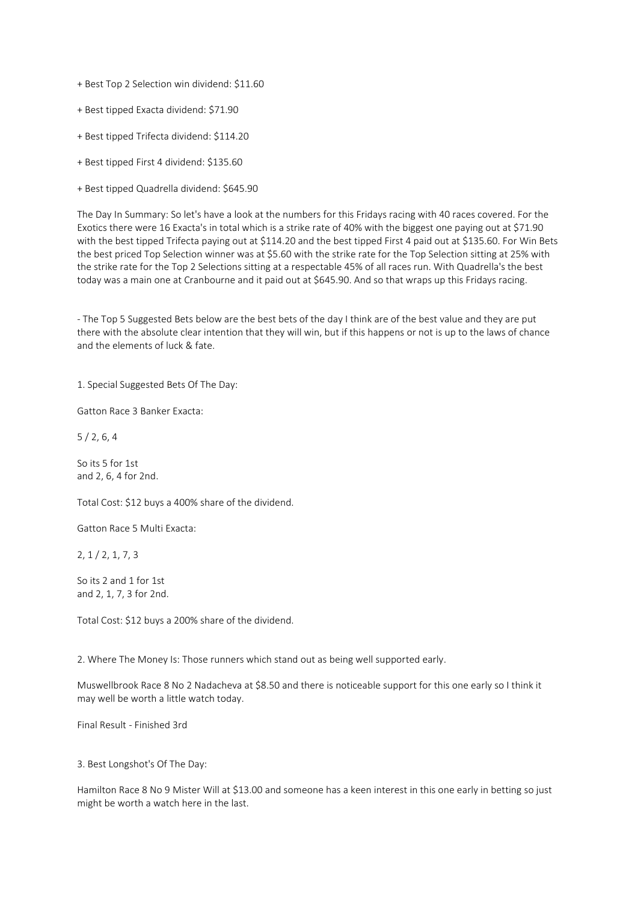+ Best Top 2 Selection win dividend: \$11.60

- + Best tipped Exacta dividend: \$71.90
- + Best tipped Trifecta dividend: \$114.20
- + Best tipped First 4 dividend: \$135.60
- + Best tipped Quadrella dividend: \$645.90

The Day In Summary: So let's have a look at the numbers for this Fridays racing with 40 races covered. For the Exotics there were 16 Exacta's in total which is a strike rate of 40% with the biggest one paying out at \$71.90 with the best tipped Trifecta paying out at \$114.20 and the best tipped First 4 paid out at \$135.60. For Win Bets the best priced Top Selection winner was at \$5.60 with the strike rate for the Top Selection sitting at 25% with the strike rate for the Top 2 Selections sitting at a respectable 45% of all races run. With Quadrella's the best today was a main one at Cranbourne and it paid out at \$645.90. And so that wraps up this Fridays racing.

- The Top 5 Suggested Bets below are the best bets of the day I think are of the best value and they are put there with the absolute clear intention that they will win, but if this happens or not is up to the laws of chance and the elements of luck & fate.

1. Special Suggested Bets Of The Day:

Gatton Race 3 Banker Exacta:

5 / 2, 6, 4

So its 5 for 1st and 2, 6, 4 for 2nd.

Total Cost: \$12 buys a 400% share of the dividend.

Gatton Race 5 Multi Exacta:

2, 1 / 2, 1, 7, 3

So its 2 and 1 for 1st and 2, 1, 7, 3 for 2nd.

Total Cost: \$12 buys a 200% share of the dividend.

2. Where The Money Is: Those runners which stand out as being well supported early.

Muswellbrook Race 8 No 2 Nadacheva at \$8.50 and there is noticeable support for this one early so I think it may well be worth a little watch today.

Final Result - Finished 3rd

3. Best Longshot's Of The Day:

Hamilton Race 8 No 9 Mister Will at \$13.00 and someone has a keen interest in this one early in betting so just might be worth a watch here in the last.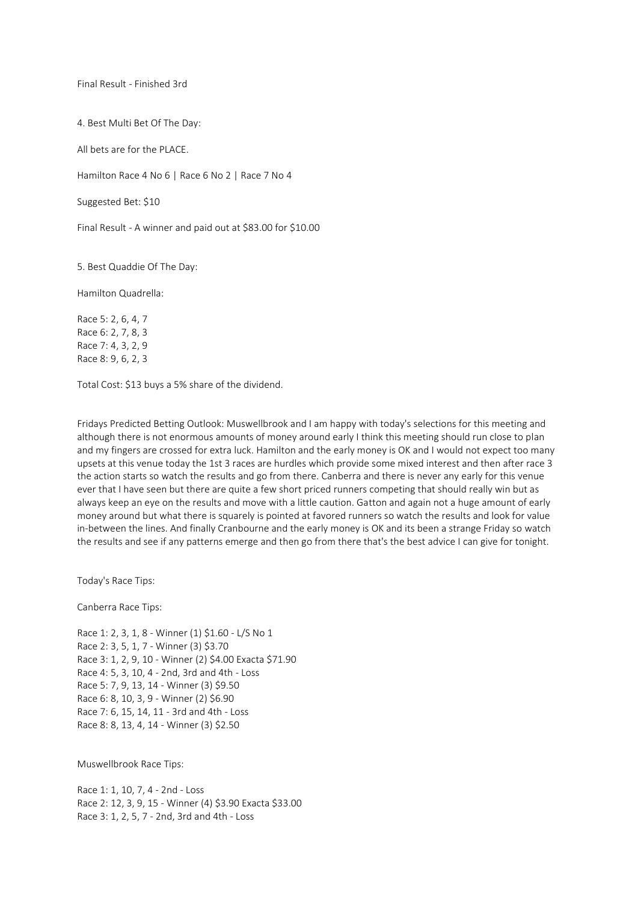Final Result - Finished 3rd

4. Best Multi Bet Of The Day:

All bets are for the PLACE.

Hamilton Race 4 No 6 | Race 6 No 2 | Race 7 No 4

Suggested Bet: \$10

Final Result - A winner and paid out at \$83.00 for \$10.00

5. Best Quaddie Of The Day:

Hamilton Quadrella:

Race 5: 2, 6, 4, 7 Race 6: 2, 7, 8, 3 Race 7: 4, 3, 2, 9 Race 8: 9, 6, 2, 3

Total Cost: \$13 buys a 5% share of the dividend.

Fridays Predicted Betting Outlook: Muswellbrook and I am happy with today's selections for this meeting and although there is not enormous amounts of money around early I think this meeting should run close to plan and my fingers are crossed for extra luck. Hamilton and the early money is OK and I would not expect too many upsets at this venue today the 1st 3 races are hurdles which provide some mixed interest and then after race 3 the action starts so watch the results and go from there. Canberra and there is never any early for this venue ever that I have seen but there are quite a few short priced runners competing that should really win but as always keep an eye on the results and move with a little caution. Gatton and again not a huge amount of early money around but what there is squarely is pointed at favored runners so watch the results and look for value in-between the lines. And finally Cranbourne and the early money is OK and its been a strange Friday so watch the results and see if any patterns emerge and then go from there that's the best advice I can give for tonight.

Today's Race Tips:

Canberra Race Tips:

Race 1: 2, 3, 1, 8 - Winner (1) \$1.60 - L/S No 1 Race 2: 3, 5, 1, 7 - Winner (3) \$3.70 Race 3: 1, 2, 9, 10 - Winner (2) \$4.00 Exacta \$71.90 Race 4: 5, 3, 10, 4 - 2nd, 3rd and 4th - Loss Race 5: 7, 9, 13, 14 - Winner (3) \$9.50 Race 6: 8, 10, 3, 9 - Winner (2) \$6.90 Race 7: 6, 15, 14, 11 - 3rd and 4th - Loss Race 8: 8, 13, 4, 14 - Winner (3) \$2.50

Muswellbrook Race Tips:

Race 1: 1, 10, 7, 4 - 2nd - Loss Race 2: 12, 3, 9, 15 - Winner (4) \$3.90 Exacta \$33.00 Race 3: 1, 2, 5, 7 - 2nd, 3rd and 4th - Loss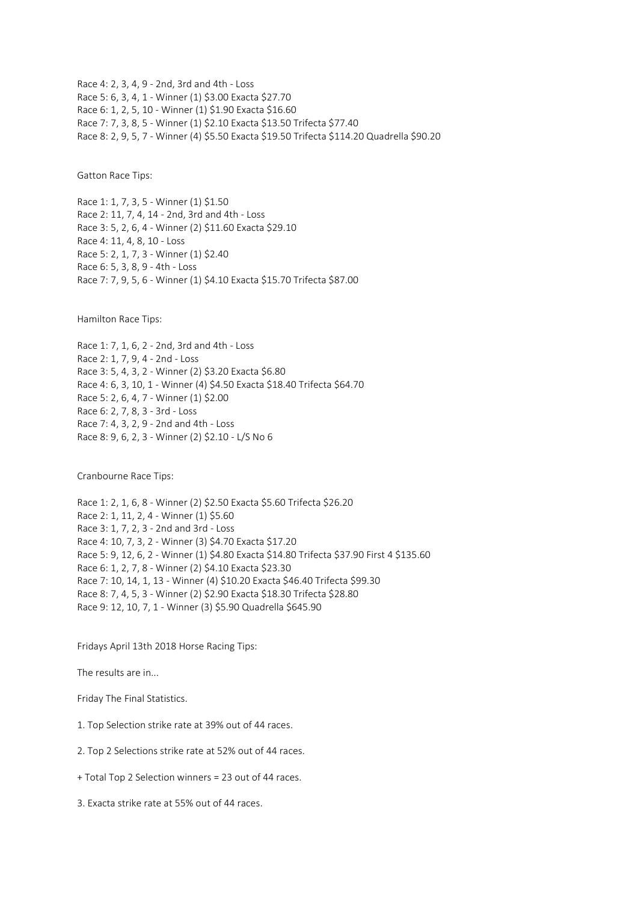Race 4: 2, 3, 4, 9 - 2nd, 3rd and 4th - Loss Race 5: 6, 3, 4, 1 - Winner (1) \$3.00 Exacta \$27.70 Race 6: 1, 2, 5, 10 - Winner (1) \$1.90 Exacta \$16.60 Race 7: 7, 3, 8, 5 - Winner (1) \$2.10 Exacta \$13.50 Trifecta \$77.40 Race 8: 2, 9, 5, 7 - Winner (4) \$5.50 Exacta \$19.50 Trifecta \$114.20 Quadrella \$90.20

Gatton Race Tips:

Race 1: 1, 7, 3, 5 - Winner (1) \$1.50 Race 2: 11, 7, 4, 14 - 2nd, 3rd and 4th - Loss Race 3: 5, 2, 6, 4 - Winner (2) \$11.60 Exacta \$29.10 Race 4: 11, 4, 8, 10 - Loss Race 5: 2, 1, 7, 3 - Winner (1) \$2.40 Race 6: 5, 3, 8, 9 - 4th - Loss Race 7: 7, 9, 5, 6 - Winner (1) \$4.10 Exacta \$15.70 Trifecta \$87.00

Hamilton Race Tips:

Race 1: 7, 1, 6, 2 - 2nd, 3rd and 4th - Loss Race 2: 1, 7, 9, 4 - 2nd - Loss Race 3: 5, 4, 3, 2 - Winner (2) \$3.20 Exacta \$6.80 Race 4: 6, 3, 10, 1 - Winner (4) \$4.50 Exacta \$18.40 Trifecta \$64.70 Race 5: 2, 6, 4, 7 - Winner (1) \$2.00 Race 6: 2, 7, 8, 3 - 3rd - Loss Race 7: 4, 3, 2, 9 - 2nd and 4th - Loss Race 8: 9, 6, 2, 3 - Winner (2) \$2.10 - L/S No 6

Cranbourne Race Tips:

Race 1: 2, 1, 6, 8 - Winner (2) \$2.50 Exacta \$5.60 Trifecta \$26.20 Race 2: 1, 11, 2, 4 - Winner (1) \$5.60 Race 3: 1, 7, 2, 3 - 2nd and 3rd - Loss Race 4: 10, 7, 3, 2 - Winner (3) \$4.70 Exacta \$17.20 Race 5: 9, 12, 6, 2 - Winner (1) \$4.80 Exacta \$14.80 Trifecta \$37.90 First 4 \$135.60 Race 6: 1, 2, 7, 8 - Winner (2) \$4.10 Exacta \$23.30 Race 7: 10, 14, 1, 13 - Winner (4) \$10.20 Exacta \$46.40 Trifecta \$99.30 Race 8: 7, 4, 5, 3 - Winner (2) \$2.90 Exacta \$18.30 Trifecta \$28.80 Race 9: 12, 10, 7, 1 - Winner (3) \$5.90 Quadrella \$645.90

Fridays April 13th 2018 Horse Racing Tips:

The results are in...

Friday The Final Statistics.

1. Top Selection strike rate at 39% out of 44 races.

2. Top 2 Selections strike rate at 52% out of 44 races.

+ Total Top 2 Selection winners = 23 out of 44 races.

3. Exacta strike rate at 55% out of 44 races.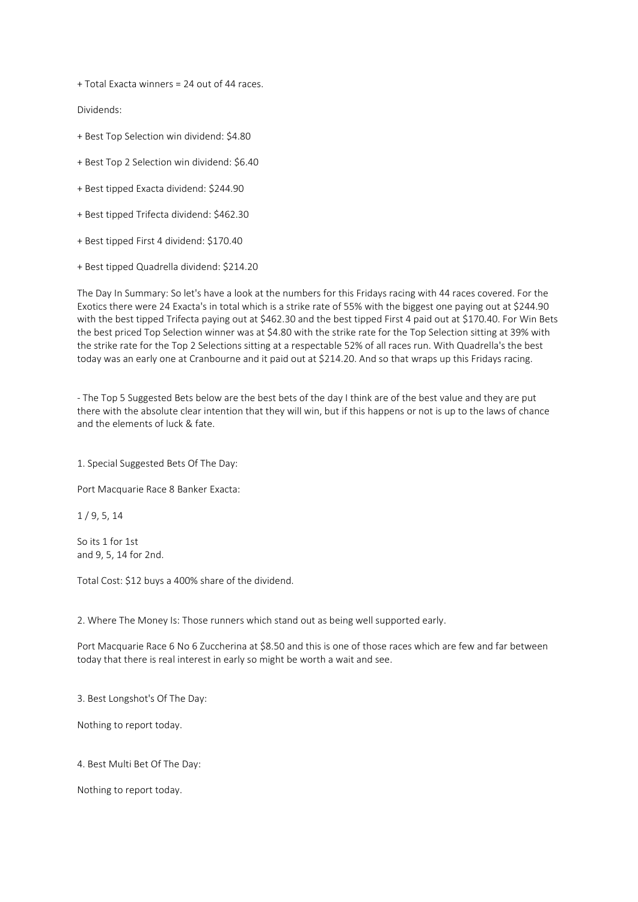+ Total Exacta winners = 24 out of 44 races.

Dividends:

- + Best Top Selection win dividend: \$4.80
- + Best Top 2 Selection win dividend: \$6.40
- + Best tipped Exacta dividend: \$244.90
- + Best tipped Trifecta dividend: \$462.30
- + Best tipped First 4 dividend: \$170.40
- + Best tipped Quadrella dividend: \$214.20

The Day In Summary: So let's have a look at the numbers for this Fridays racing with 44 races covered. For the Exotics there were 24 Exacta's in total which is a strike rate of 55% with the biggest one paying out at \$244.90 with the best tipped Trifecta paying out at \$462.30 and the best tipped First 4 paid out at \$170.40. For Win Bets the best priced Top Selection winner was at \$4.80 with the strike rate for the Top Selection sitting at 39% with the strike rate for the Top 2 Selections sitting at a respectable 52% of all races run. With Quadrella's the best today was an early one at Cranbourne and it paid out at \$214.20. And so that wraps up this Fridays racing.

- The Top 5 Suggested Bets below are the best bets of the day I think are of the best value and they are put there with the absolute clear intention that they will win, but if this happens or not is up to the laws of chance and the elements of luck & fate.

1. Special Suggested Bets Of The Day:

Port Macquarie Race 8 Banker Exacta:

1 / 9, 5, 14

So its 1 for 1st and 9, 5, 14 for 2nd.

Total Cost: \$12 buys a 400% share of the dividend.

2. Where The Money Is: Those runners which stand out as being well supported early.

Port Macquarie Race 6 No 6 Zuccherina at \$8.50 and this is one of those races which are few and far between today that there is real interest in early so might be worth a wait and see.

3. Best Longshot's Of The Day:

Nothing to report today.

4. Best Multi Bet Of The Day:

Nothing to report today.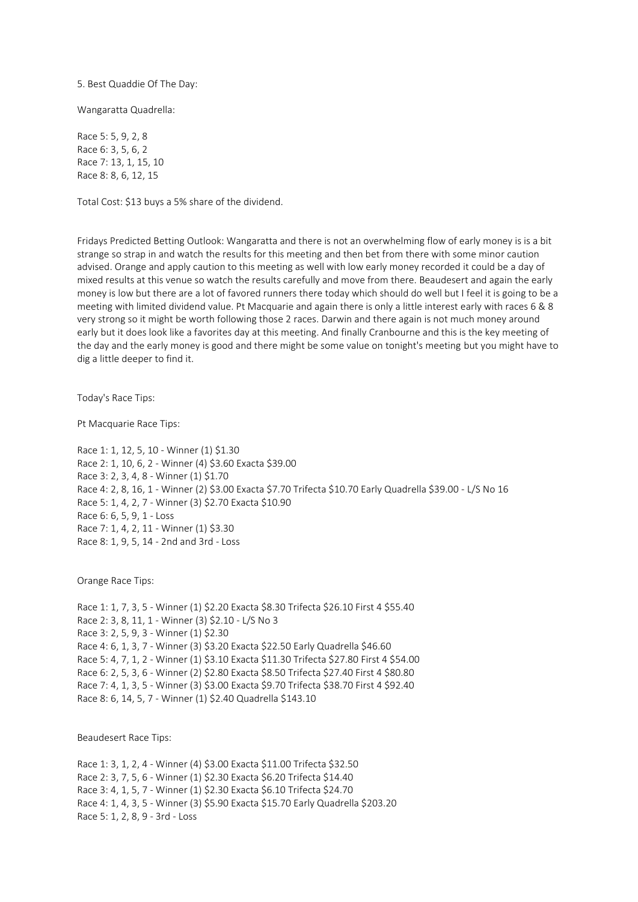5. Best Quaddie Of The Day:

Wangaratta Quadrella:

Race 5: 5, 9, 2, 8 Race 6: 3, 5, 6, 2 Race 7: 13, 1, 15, 10 Race 8: 8, 6, 12, 15

Total Cost: \$13 buys a 5% share of the dividend.

Fridays Predicted Betting Outlook: Wangaratta and there is not an overwhelming flow of early money is is a bit strange so strap in and watch the results for this meeting and then bet from there with some minor caution advised. Orange and apply caution to this meeting as well with low early money recorded it could be a day of mixed results at this venue so watch the results carefully and move from there. Beaudesert and again the early money is low but there are a lot of favored runners there today which should do well but I feel it is going to be a meeting with limited dividend value. Pt Macquarie and again there is only a little interest early with races 6 & 8 very strong so it might be worth following those 2 races. Darwin and there again is not much money around early but it does look like a favorites day at this meeting. And finally Cranbourne and this is the key meeting of the day and the early money is good and there might be some value on tonight's meeting but you might have to dig a little deeper to find it.

Today's Race Tips:

Pt Macquarie Race Tips:

Race 1: 1, 12, 5, 10 - Winner (1) \$1.30 Race 2: 1, 10, 6, 2 - Winner (4) \$3.60 Exacta \$39.00 Race 3: 2, 3, 4, 8 - Winner (1) \$1.70 Race 4: 2, 8, 16, 1 - Winner (2) \$3.00 Exacta \$7.70 Trifecta \$10.70 Early Quadrella \$39.00 - L/S No 16 Race 5: 1, 4, 2, 7 - Winner (3) \$2.70 Exacta \$10.90 Race 6: 6, 5, 9, 1 - Loss Race 7: 1, 4, 2, 11 - Winner (1) \$3.30 Race 8: 1, 9, 5, 14 - 2nd and 3rd - Loss

Orange Race Tips:

Race 1: 1, 7, 3, 5 - Winner (1) \$2.20 Exacta \$8.30 Trifecta \$26.10 First 4 \$55.40 Race 2: 3, 8, 11, 1 - Winner (3) \$2.10 - L/S No 3 Race 3: 2, 5, 9, 3 - Winner (1) \$2.30 Race 4: 6, 1, 3, 7 - Winner (3) \$3.20 Exacta \$22.50 Early Quadrella \$46.60 Race 5: 4, 7, 1, 2 - Winner (1) \$3.10 Exacta \$11.30 Trifecta \$27.80 First 4 \$54.00 Race 6: 2, 5, 3, 6 - Winner (2) \$2.80 Exacta \$8.50 Trifecta \$27.40 First 4 \$80.80 Race 7: 4, 1, 3, 5 - Winner (3) \$3.00 Exacta \$9.70 Trifecta \$38.70 First 4 \$92.40 Race 8: 6, 14, 5, 7 - Winner (1) \$2.40 Quadrella \$143.10

Beaudesert Race Tips:

Race 1: 3, 1, 2, 4 - Winner (4) \$3.00 Exacta \$11.00 Trifecta \$32.50 Race 2: 3, 7, 5, 6 - Winner (1) \$2.30 Exacta \$6.20 Trifecta \$14.40 Race 3: 4, 1, 5, 7 - Winner (1) \$2.30 Exacta \$6.10 Trifecta \$24.70 Race 4: 1, 4, 3, 5 - Winner (3) \$5.90 Exacta \$15.70 Early Quadrella \$203.20 Race 5: 1, 2, 8, 9 - 3rd - Loss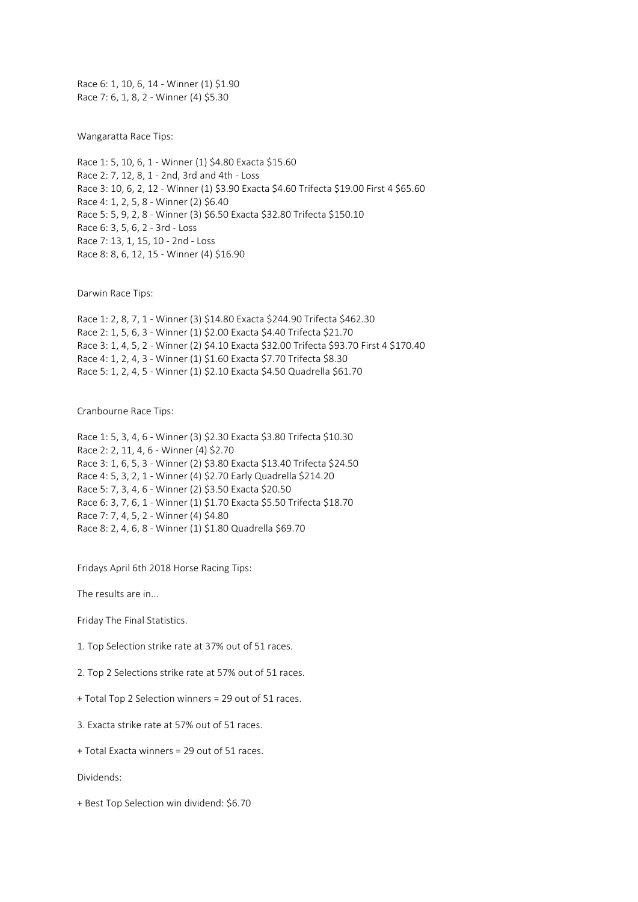Race 6: 1, 10, 6, 14 - Winner (1) \$1.90 Race 7: 6, 1, 8, 2 - Winner (4) \$5.30

Wangaratta Race Tips:

Race 1: 5, 10, 6, 1 - Winner (1) \$4.80 Exacta \$15.60 Race 2: 7, 12, 8, 1 - 2nd, 3rd and 4th - Loss Race 3: 10, 6, 2, 12 - Winner (1) \$3.90 Exacta \$4.60 Trifecta \$19.00 First 4 \$65.60 Race 4: 1, 2, 5, 8 - Winner (2) \$6.40 Race 5: 5, 9, 2, 8 - Winner (3) \$6.50 Exacta \$32.80 Trifecta \$150.10 Race 6: 3, 5, 6, 2 - 3rd - Loss Race 7: 13, 1, 15, 10 - 2nd - Loss Race 8: 8, 6, 12, 15 - Winner (4) \$16.90

Darwin Race Tips:

Race 1: 2, 8, 7, 1 - Winner (3) \$14.80 Exacta \$244.90 Trifecta \$462.30 Race 2: 1, 5, 6, 3 - Winner (1) \$2.00 Exacta \$4.40 Trifecta \$21.70 Race 3: 1, 4, 5, 2 - Winner (2) \$4.10 Exacta \$32.00 Trifecta \$93.70 First 4 \$170.40 Race 4: 1, 2, 4, 3 - Winner (1) \$1.60 Exacta \$7.70 Trifecta \$8.30 Race 5: 1, 2, 4, 5 - Winner (1) \$2.10 Exacta \$4.50 Quadrella \$61.70

Cranbourne Race Tips:

Race 1: 5, 3, 4, 6 - Winner (3) \$2.30 Exacta \$3.80 Trifecta \$10.30 Race 2: 2, 11, 4, 6 - Winner (4) \$2.70 Race 3: 1, 6, 5, 3 - Winner (2) \$3.80 Exacta \$13.40 Trifecta \$24.50 Race 4: 5, 3, 2, 1 - Winner (4) \$2.70 Early Quadrella \$214.20 Race 5: 7, 3, 4, 6 - Winner (2) \$3.50 Exacta \$20.50 Race 6: 3, 7, 6, 1 - Winner (1) \$1.70 Exacta \$5.50 Trifecta \$18.70 Race 7: 7, 4, 5, 2 - Winner (4) \$4.80 Race 8: 2, 4, 6, 8 - Winner (1) \$1.80 Quadrella \$69.70

Fridays April 6th 2018 Horse Racing Tips:

The results are in...

Friday The Final Statistics.

1. Top Selection strike rate at 37% out of 51 races.

2. Top 2 Selections strike rate at 57% out of 51 races.

+ Total Top 2 Selection winners = 29 out of 51 races.

3. Exacta strike rate at 57% out of 51 races.

+ Total Exacta winners = 29 out of 51 races.

Dividends:

+ Best Top Selection win dividend: \$6.70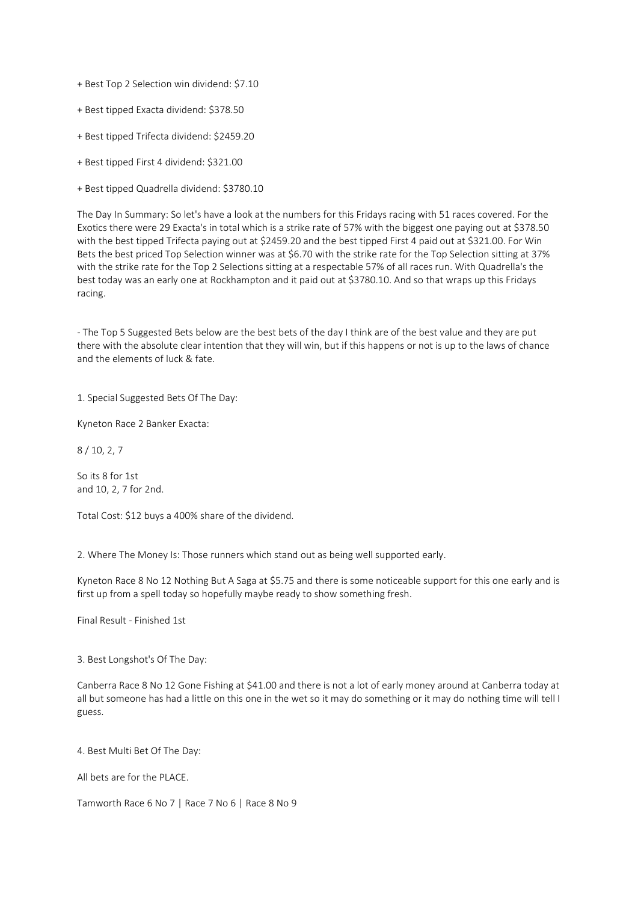- + Best Top 2 Selection win dividend: \$7.10
- + Best tipped Exacta dividend: \$378.50
- + Best tipped Trifecta dividend: \$2459.20
- + Best tipped First 4 dividend: \$321.00
- + Best tipped Quadrella dividend: \$3780.10

The Day In Summary: So let's have a look at the numbers for this Fridays racing with 51 races covered. For the Exotics there were 29 Exacta's in total which is a strike rate of 57% with the biggest one paying out at \$378.50 with the best tipped Trifecta paying out at \$2459.20 and the best tipped First 4 paid out at \$321.00. For Win Bets the best priced Top Selection winner was at \$6.70 with the strike rate for the Top Selection sitting at 37% with the strike rate for the Top 2 Selections sitting at a respectable 57% of all races run. With Quadrella's the best today was an early one at Rockhampton and it paid out at \$3780.10. And so that wraps up this Fridays racing.

- The Top 5 Suggested Bets below are the best bets of the day I think are of the best value and they are put there with the absolute clear intention that they will win, but if this happens or not is up to the laws of chance and the elements of luck & fate.

1. Special Suggested Bets Of The Day:

Kyneton Race 2 Banker Exacta:

8 / 10, 2, 7

So its 8 for 1st and 10, 2, 7 for 2nd.

Total Cost: \$12 buys a 400% share of the dividend.

2. Where The Money Is: Those runners which stand out as being well supported early.

Kyneton Race 8 No 12 Nothing But A Saga at \$5.75 and there is some noticeable support for this one early and is first up from a spell today so hopefully maybe ready to show something fresh.

Final Result - Finished 1st

3. Best Longshot's Of The Day:

Canberra Race 8 No 12 Gone Fishing at \$41.00 and there is not a lot of early money around at Canberra today at all but someone has had a little on this one in the wet so it may do something or it may do nothing time will tell I guess.

4. Best Multi Bet Of The Day:

All bets are for the PLACE.

Tamworth Race 6 No 7 | Race 7 No 6 | Race 8 No 9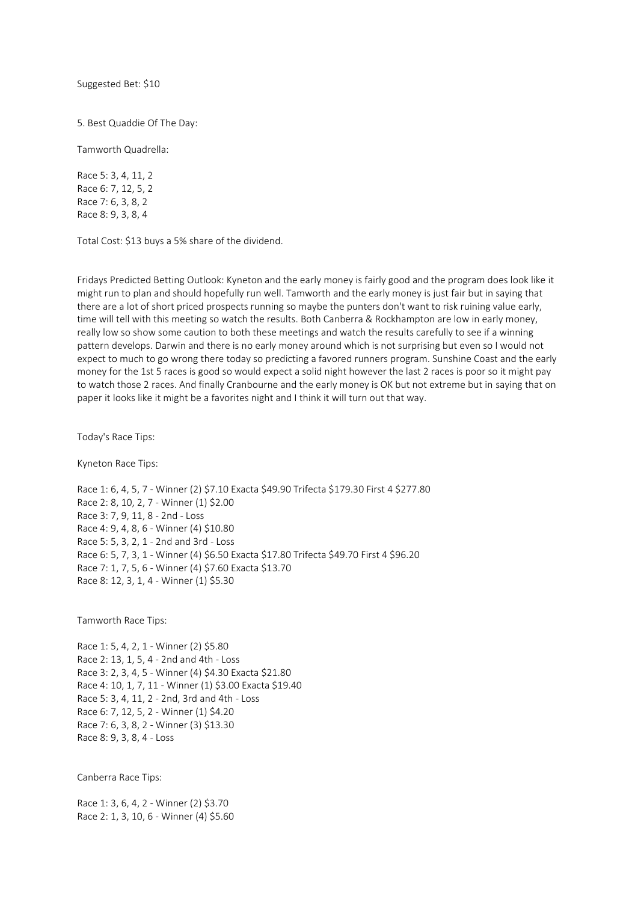Suggested Bet: \$10

5. Best Quaddie Of The Day:

Tamworth Quadrella:

Race 5: 3, 4, 11, 2 Race 6: 7, 12, 5, 2 Race 7: 6, 3, 8, 2 Race 8: 9, 3, 8, 4

Total Cost: \$13 buys a 5% share of the dividend.

Fridays Predicted Betting Outlook: Kyneton and the early money is fairly good and the program does look like it might run to plan and should hopefully run well. Tamworth and the early money is just fair but in saying that there are a lot of short priced prospects running so maybe the punters don't want to risk ruining value early, time will tell with this meeting so watch the results. Both Canberra & Rockhampton are low in early money, really low so show some caution to both these meetings and watch the results carefully to see if a winning pattern develops. Darwin and there is no early money around which is not surprising but even so I would not expect to much to go wrong there today so predicting a favored runners program. Sunshine Coast and the early money for the 1st 5 races is good so would expect a solid night however the last 2 races is poor so it might pay to watch those 2 races. And finally Cranbourne and the early money is OK but not extreme but in saying that on paper it looks like it might be a favorites night and I think it will turn out that way.

Today's Race Tips:

Kyneton Race Tips:

Race 1: 6, 4, 5, 7 - Winner (2) \$7.10 Exacta \$49.90 Trifecta \$179.30 First 4 \$277.80 Race 2: 8, 10, 2, 7 - Winner (1) \$2.00 Race 3: 7, 9, 11, 8 - 2nd - Loss Race 4: 9, 4, 8, 6 - Winner (4) \$10.80 Race 5: 5, 3, 2, 1 - 2nd and 3rd - Loss Race 6: 5, 7, 3, 1 - Winner (4) \$6.50 Exacta \$17.80 Trifecta \$49.70 First 4 \$96.20 Race 7: 1, 7, 5, 6 - Winner (4) \$7.60 Exacta \$13.70 Race 8: 12, 3, 1, 4 - Winner (1) \$5.30

Tamworth Race Tips:

Race 1: 5, 4, 2, 1 - Winner (2) \$5.80 Race 2: 13, 1, 5, 4 - 2nd and 4th - Loss Race 3: 2, 3, 4, 5 - Winner (4) \$4.30 Exacta \$21.80 Race 4: 10, 1, 7, 11 - Winner (1) \$3.00 Exacta \$19.40 Race 5: 3, 4, 11, 2 - 2nd, 3rd and 4th - Loss Race 6: 7, 12, 5, 2 - Winner (1) \$4.20 Race 7: 6, 3, 8, 2 - Winner (3) \$13.30 Race 8: 9, 3, 8, 4 - Loss

Canberra Race Tips:

Race 1: 3, 6, 4, 2 - Winner (2) \$3.70 Race 2: 1, 3, 10, 6 - Winner (4) \$5.60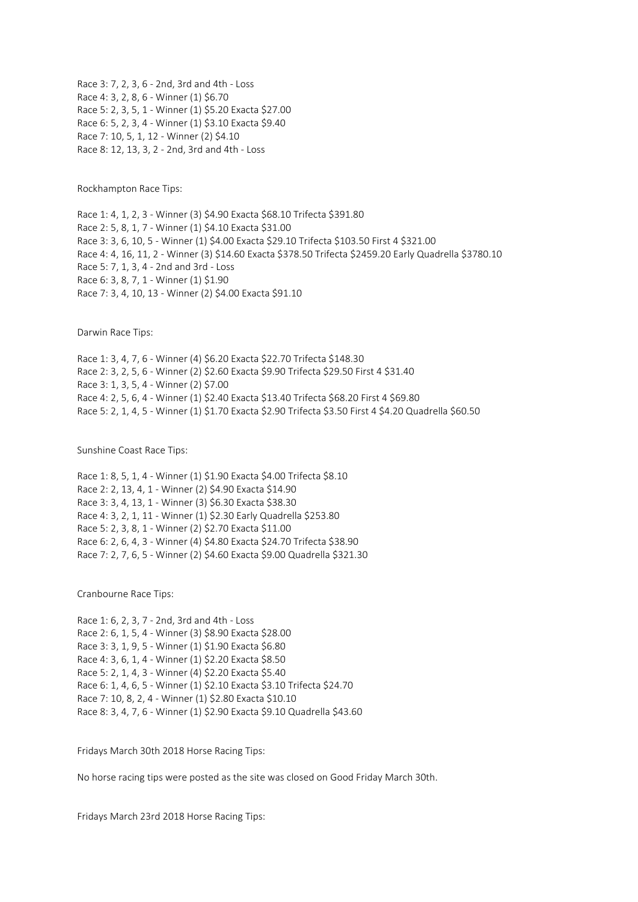Race 3: 7, 2, 3, 6 - 2nd, 3rd and 4th - Loss Race 4: 3, 2, 8, 6 - Winner (1) \$6.70 Race 5: 2, 3, 5, 1 - Winner (1) \$5.20 Exacta \$27.00 Race 6: 5, 2, 3, 4 - Winner (1) \$3.10 Exacta \$9.40 Race 7: 10, 5, 1, 12 - Winner (2) \$4.10 Race 8: 12, 13, 3, 2 - 2nd, 3rd and 4th - Loss

Rockhampton Race Tips:

Race 1: 4, 1, 2, 3 - Winner (3) \$4.90 Exacta \$68.10 Trifecta \$391.80 Race 2: 5, 8, 1, 7 - Winner (1) \$4.10 Exacta \$31.00 Race 3: 3, 6, 10, 5 - Winner (1) \$4.00 Exacta \$29.10 Trifecta \$103.50 First 4 \$321.00 Race 4: 4, 16, 11, 2 - Winner (3) \$14.60 Exacta \$378.50 Trifecta \$2459.20 Early Quadrella \$3780.10 Race 5: 7, 1, 3, 4 - 2nd and 3rd - Loss Race 6: 3, 8, 7, 1 - Winner (1) \$1.90 Race 7: 3, 4, 10, 13 - Winner (2) \$4.00 Exacta \$91.10

Darwin Race Tips:

Race 1: 3, 4, 7, 6 - Winner (4) \$6.20 Exacta \$22.70 Trifecta \$148.30 Race 2: 3, 2, 5, 6 - Winner (2) \$2.60 Exacta \$9.90 Trifecta \$29.50 First 4 \$31.40 Race 3: 1, 3, 5, 4 - Winner (2) \$7.00 Race 4: 2, 5, 6, 4 - Winner (1) \$2.40 Exacta \$13.40 Trifecta \$68.20 First 4 \$69.80 Race 5: 2, 1, 4, 5 - Winner (1) \$1.70 Exacta \$2.90 Trifecta \$3.50 First 4 \$4.20 Quadrella \$60.50

Sunshine Coast Race Tips:

Race 1: 8, 5, 1, 4 - Winner (1) \$1.90 Exacta \$4.00 Trifecta \$8.10 Race 2: 2, 13, 4, 1 - Winner (2) \$4.90 Exacta \$14.90 Race 3: 3, 4, 13, 1 - Winner (3) \$6.30 Exacta \$38.30 Race 4: 3, 2, 1, 11 - Winner (1) \$2.30 Early Quadrella \$253.80 Race 5: 2, 3, 8, 1 - Winner (2) \$2.70 Exacta \$11.00 Race 6: 2, 6, 4, 3 - Winner (4) \$4.80 Exacta \$24.70 Trifecta \$38.90 Race 7: 2, 7, 6, 5 - Winner (2) \$4.60 Exacta \$9.00 Quadrella \$321.30

Cranbourne Race Tips:

Race 1: 6, 2, 3, 7 - 2nd, 3rd and 4th - Loss Race 2: 6, 1, 5, 4 - Winner (3) \$8.90 Exacta \$28.00 Race 3: 3, 1, 9, 5 - Winner (1) \$1.90 Exacta \$6.80 Race 4: 3, 6, 1, 4 - Winner (1) \$2.20 Exacta \$8.50 Race 5: 2, 1, 4, 3 - Winner (4) \$2.20 Exacta \$5.40 Race 6: 1, 4, 6, 5 - Winner (1) \$2.10 Exacta \$3.10 Trifecta \$24.70 Race 7: 10, 8, 2, 4 - Winner (1) \$2.80 Exacta \$10.10 Race 8: 3, 4, 7, 6 - Winner (1) \$2.90 Exacta \$9.10 Quadrella \$43.60

Fridays March 30th 2018 Horse Racing Tips:

No horse racing tips were posted as the site was closed on Good Friday March 30th.

Fridays March 23rd 2018 Horse Racing Tips: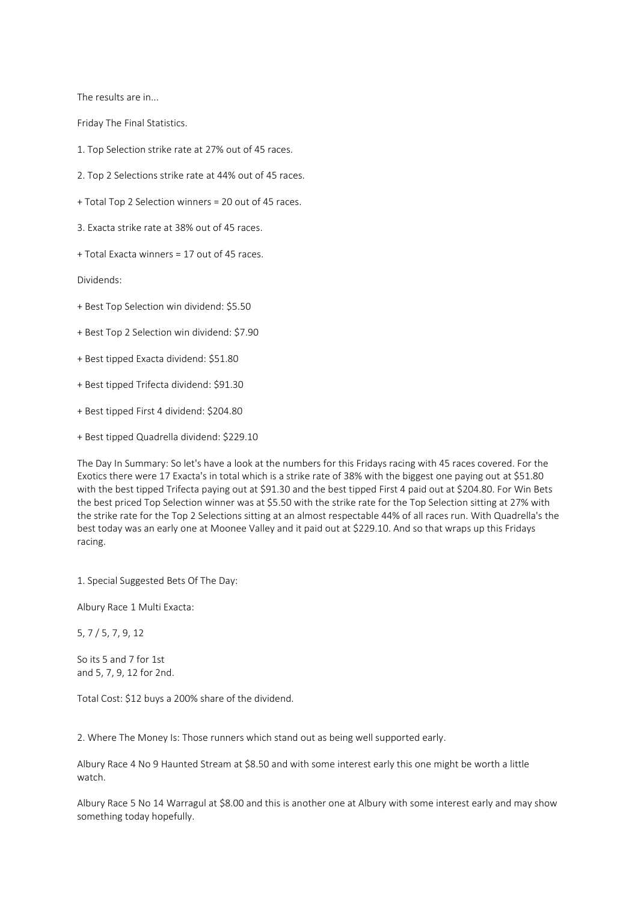The results are in...

Friday The Final Statistics.

1. Top Selection strike rate at 27% out of 45 races.

2. Top 2 Selections strike rate at 44% out of 45 races.

+ Total Top 2 Selection winners = 20 out of 45 races.

3. Exacta strike rate at 38% out of 45 races.

+ Total Exacta winners = 17 out of 45 races.

Dividends:

+ Best Top Selection win dividend: \$5.50

+ Best Top 2 Selection win dividend: \$7.90

+ Best tipped Exacta dividend: \$51.80

+ Best tipped Trifecta dividend: \$91.30

+ Best tipped First 4 dividend: \$204.80

+ Best tipped Quadrella dividend: \$229.10

The Day In Summary: So let's have a look at the numbers for this Fridays racing with 45 races covered. For the Exotics there were 17 Exacta's in total which is a strike rate of 38% with the biggest one paying out at \$51.80 with the best tipped Trifecta paying out at \$91.30 and the best tipped First 4 paid out at \$204.80. For Win Bets the best priced Top Selection winner was at \$5.50 with the strike rate for the Top Selection sitting at 27% with the strike rate for the Top 2 Selections sitting at an almost respectable 44% of all races run. With Quadrella's the best today was an early one at Moonee Valley and it paid out at \$229.10. And so that wraps up this Fridays racing.

1. Special Suggested Bets Of The Day:

Albury Race 1 Multi Exacta:

5, 7 / 5, 7, 9, 12

So its 5 and 7 for 1st and 5, 7, 9, 12 for 2nd.

Total Cost: \$12 buys a 200% share of the dividend.

2. Where The Money Is: Those runners which stand out as being well supported early.

Albury Race 4 No 9 Haunted Stream at \$8.50 and with some interest early this one might be worth a little watch.

Albury Race 5 No 14 Warragul at \$8.00 and this is another one at Albury with some interest early and may show something today hopefully.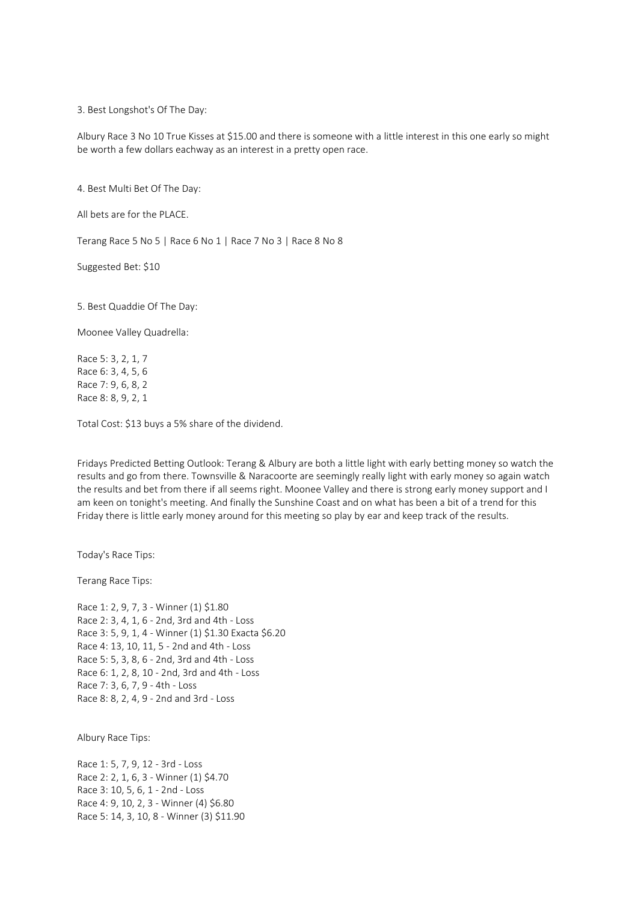3. Best Longshot's Of The Day:

Albury Race 3 No 10 True Kisses at \$15.00 and there is someone with a little interest in this one early so might be worth a few dollars eachway as an interest in a pretty open race.

4. Best Multi Bet Of The Day:

All bets are for the PLACE.

Terang Race 5 No 5 | Race 6 No 1 | Race 7 No 3 | Race 8 No 8

Suggested Bet: \$10

5. Best Quaddie Of The Day:

Moonee Valley Quadrella:

Race 5: 3, 2, 1, 7 Race 6: 3, 4, 5, 6 Race 7: 9, 6, 8, 2 Race 8: 8, 9, 2, 1

Total Cost: \$13 buys a 5% share of the dividend.

Fridays Predicted Betting Outlook: Terang & Albury are both a little light with early betting money so watch the results and go from there. Townsville & Naracoorte are seemingly really light with early money so again watch the results and bet from there if all seems right. Moonee Valley and there is strong early money support and I am keen on tonight's meeting. And finally the Sunshine Coast and on what has been a bit of a trend for this Friday there is little early money around for this meeting so play by ear and keep track of the results.

Today's Race Tips:

Terang Race Tips:

Race 1: 2, 9, 7, 3 - Winner (1) \$1.80 Race 2: 3, 4, 1, 6 - 2nd, 3rd and 4th - Loss Race 3: 5, 9, 1, 4 - Winner (1) \$1.30 Exacta \$6.20 Race 4: 13, 10, 11, 5 - 2nd and 4th - Loss Race 5: 5, 3, 8, 6 - 2nd, 3rd and 4th - Loss Race 6: 1, 2, 8, 10 - 2nd, 3rd and 4th - Loss Race 7: 3, 6, 7, 9 - 4th - Loss Race 8: 8, 2, 4, 9 - 2nd and 3rd - Loss

Albury Race Tips:

Race 1: 5, 7, 9, 12 - 3rd - Loss Race 2: 2, 1, 6, 3 - Winner (1) \$4.70 Race 3: 10, 5, 6, 1 - 2nd - Loss Race 4: 9, 10, 2, 3 - Winner (4) \$6.80 Race 5: 14, 3, 10, 8 - Winner (3) \$11.90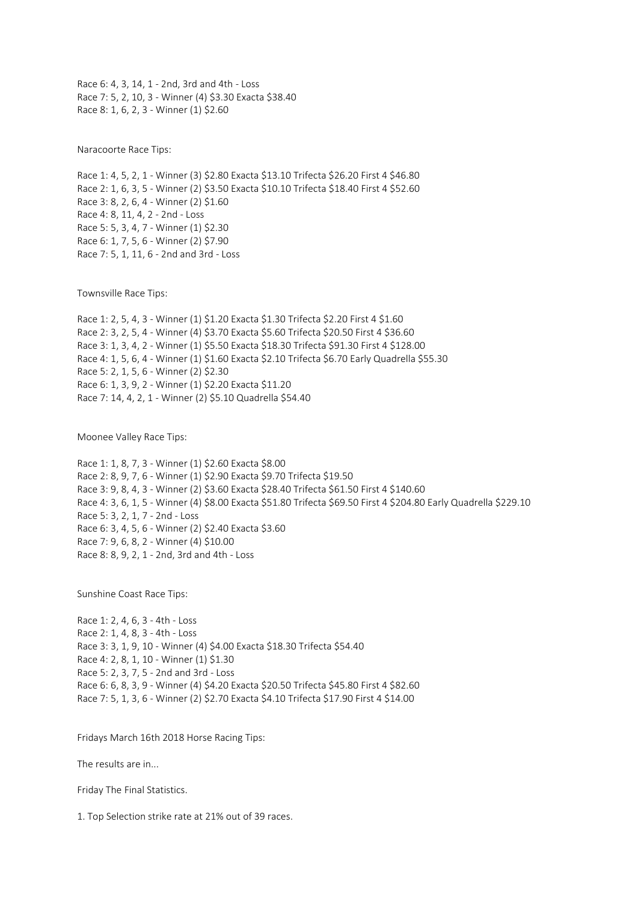Race 6: 4, 3, 14, 1 - 2nd, 3rd and 4th - Loss Race 7: 5, 2, 10, 3 - Winner (4) \$3.30 Exacta \$38.40 Race 8: 1, 6, 2, 3 - Winner (1) \$2.60

Naracoorte Race Tips:

Race 1: 4, 5, 2, 1 - Winner (3) \$2.80 Exacta \$13.10 Trifecta \$26.20 First 4 \$46.80 Race 2: 1, 6, 3, 5 - Winner (2) \$3.50 Exacta \$10.10 Trifecta \$18.40 First 4 \$52.60 Race 3: 8, 2, 6, 4 - Winner (2) \$1.60 Race 4: 8, 11, 4, 2 - 2nd - Loss Race 5: 5, 3, 4, 7 - Winner (1) \$2.30 Race 6: 1, 7, 5, 6 - Winner (2) \$7.90 Race 7: 5, 1, 11, 6 - 2nd and 3rd - Loss

Townsville Race Tips:

Race 1: 2, 5, 4, 3 - Winner (1) \$1.20 Exacta \$1.30 Trifecta \$2.20 First 4 \$1.60 Race 2: 3, 2, 5, 4 - Winner (4) \$3.70 Exacta \$5.60 Trifecta \$20.50 First 4 \$36.60 Race 3: 1, 3, 4, 2 - Winner (1) \$5.50 Exacta \$18.30 Trifecta \$91.30 First 4 \$128.00 Race 4: 1, 5, 6, 4 - Winner (1) \$1.60 Exacta \$2.10 Trifecta \$6.70 Early Quadrella \$55.30 Race 5: 2, 1, 5, 6 - Winner (2) \$2.30 Race 6: 1, 3, 9, 2 - Winner (1) \$2.20 Exacta \$11.20 Race 7: 14, 4, 2, 1 - Winner (2) \$5.10 Quadrella \$54.40

Moonee Valley Race Tips:

Race 1: 1, 8, 7, 3 - Winner (1) \$2.60 Exacta \$8.00 Race 2: 8, 9, 7, 6 - Winner (1) \$2.90 Exacta \$9.70 Trifecta \$19.50 Race 3: 9, 8, 4, 3 - Winner (2) \$3.60 Exacta \$28.40 Trifecta \$61.50 First 4 \$140.60 Race 4: 3, 6, 1, 5 - Winner (4) \$8.00 Exacta \$51.80 Trifecta \$69.50 First 4 \$204.80 Early Quadrella \$229.10 Race 5: 3, 2, 1, 7 - 2nd - Loss Race 6: 3, 4, 5, 6 - Winner (2) \$2.40 Exacta \$3.60 Race 7: 9, 6, 8, 2 - Winner (4) \$10.00 Race 8: 8, 9, 2, 1 - 2nd, 3rd and 4th - Loss

Sunshine Coast Race Tips:

Race 1: 2, 4, 6, 3 - 4th - Loss Race 2: 1, 4, 8, 3 - 4th - Loss Race 3: 3, 1, 9, 10 - Winner (4) \$4.00 Exacta \$18.30 Trifecta \$54.40 Race 4: 2, 8, 1, 10 - Winner (1) \$1.30 Race 5: 2, 3, 7, 5 - 2nd and 3rd - Loss Race 6: 6, 8, 3, 9 - Winner (4) \$4.20 Exacta \$20.50 Trifecta \$45.80 First 4 \$82.60 Race 7: 5, 1, 3, 6 - Winner (2) \$2.70 Exacta \$4.10 Trifecta \$17.90 First 4 \$14.00

Fridays March 16th 2018 Horse Racing Tips:

The results are in...

Friday The Final Statistics.

1. Top Selection strike rate at 21% out of 39 races.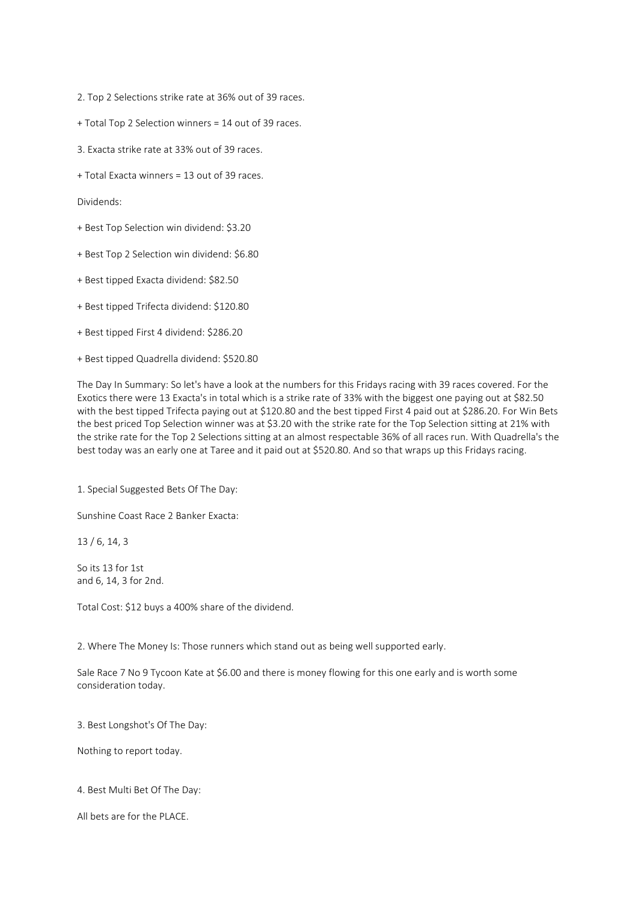2. Top 2 Selections strike rate at 36% out of 39 races.

- + Total Top 2 Selection winners = 14 out of 39 races.
- 3. Exacta strike rate at 33% out of 39 races.
- + Total Exacta winners = 13 out of 39 races.

Dividends:

- + Best Top Selection win dividend: \$3.20
- + Best Top 2 Selection win dividend: \$6.80
- + Best tipped Exacta dividend: \$82.50
- + Best tipped Trifecta dividend: \$120.80
- + Best tipped First 4 dividend: \$286.20
- + Best tipped Quadrella dividend: \$520.80

The Day In Summary: So let's have a look at the numbers for this Fridays racing with 39 races covered. For the Exotics there were 13 Exacta's in total which is a strike rate of 33% with the biggest one paying out at \$82.50 with the best tipped Trifecta paying out at \$120.80 and the best tipped First 4 paid out at \$286.20. For Win Bets the best priced Top Selection winner was at \$3.20 with the strike rate for the Top Selection sitting at 21% with the strike rate for the Top 2 Selections sitting at an almost respectable 36% of all races run. With Quadrella's the best today was an early one at Taree and it paid out at \$520.80. And so that wraps up this Fridays racing.

1. Special Suggested Bets Of The Day:

Sunshine Coast Race 2 Banker Exacta:

13 / 6, 14, 3

So its 13 for 1st and 6, 14, 3 for 2nd.

Total Cost: \$12 buys a 400% share of the dividend.

2. Where The Money Is: Those runners which stand out as being well supported early.

Sale Race 7 No 9 Tycoon Kate at \$6.00 and there is money flowing for this one early and is worth some consideration today.

3. Best Longshot's Of The Day:

Nothing to report today.

4. Best Multi Bet Of The Day:

All bets are for the PLACE.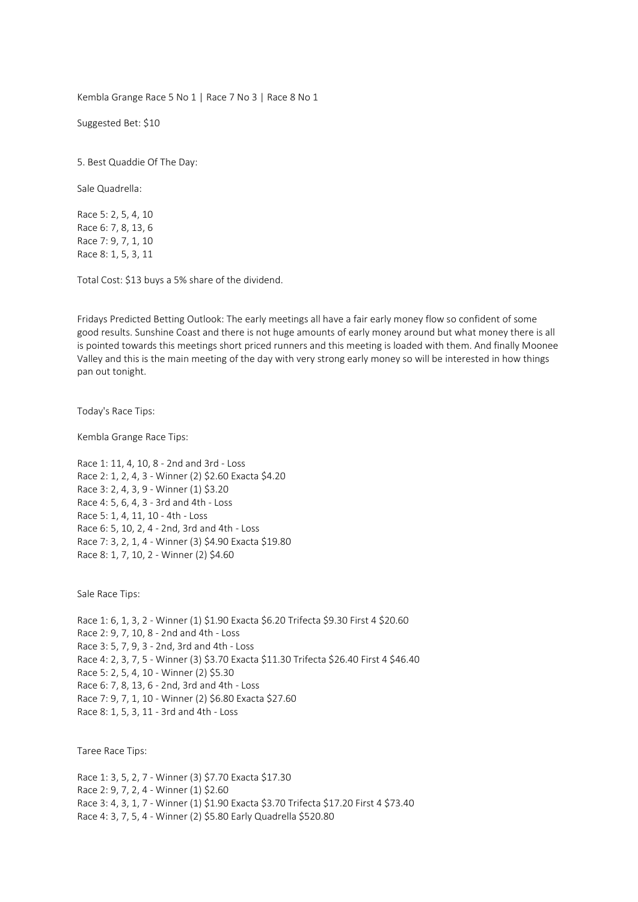Kembla Grange Race 5 No 1 | Race 7 No 3 | Race 8 No 1

Suggested Bet: \$10

5. Best Quaddie Of The Day:

Sale Quadrella:

Race 5: 2, 5, 4, 10 Race 6: 7, 8, 13, 6 Race 7: 9, 7, 1, 10 Race 8: 1, 5, 3, 11

Total Cost: \$13 buys a 5% share of the dividend.

Fridays Predicted Betting Outlook: The early meetings all have a fair early money flow so confident of some good results. Sunshine Coast and there is not huge amounts of early money around but what money there is all is pointed towards this meetings short priced runners and this meeting is loaded with them. And finally Moonee Valley and this is the main meeting of the day with very strong early money so will be interested in how things pan out tonight.

Today's Race Tips:

Kembla Grange Race Tips:

Race 1: 11, 4, 10, 8 - 2nd and 3rd - Loss Race 2: 1, 2, 4, 3 - Winner (2) \$2.60 Exacta \$4.20 Race 3: 2, 4, 3, 9 - Winner (1) \$3.20 Race 4: 5, 6, 4, 3 - 3rd and 4th - Loss Race 5: 1, 4, 11, 10 - 4th - Loss Race 6: 5, 10, 2, 4 - 2nd, 3rd and 4th - Loss Race 7: 3, 2, 1, 4 - Winner (3) \$4.90 Exacta \$19.80 Race 8: 1, 7, 10, 2 - Winner (2) \$4.60

Sale Race Tips:

Race 1: 6, 1, 3, 2 - Winner (1) \$1.90 Exacta \$6.20 Trifecta \$9.30 First 4 \$20.60 Race 2: 9, 7, 10, 8 - 2nd and 4th - Loss Race 3: 5, 7, 9, 3 - 2nd, 3rd and 4th - Loss Race 4: 2, 3, 7, 5 - Winner (3) \$3.70 Exacta \$11.30 Trifecta \$26.40 First 4 \$46.40 Race 5: 2, 5, 4, 10 - Winner (2) \$5.30 Race 6: 7, 8, 13, 6 - 2nd, 3rd and 4th - Loss Race 7: 9, 7, 1, 10 - Winner (2) \$6.80 Exacta \$27.60 Race 8: 1, 5, 3, 11 - 3rd and 4th - Loss

Taree Race Tips:

Race 1: 3, 5, 2, 7 - Winner (3) \$7.70 Exacta \$17.30 Race 2: 9, 7, 2, 4 - Winner (1) \$2.60 Race 3: 4, 3, 1, 7 - Winner (1) \$1.90 Exacta \$3.70 Trifecta \$17.20 First 4 \$73.40 Race 4: 3, 7, 5, 4 - Winner (2) \$5.80 Early Quadrella \$520.80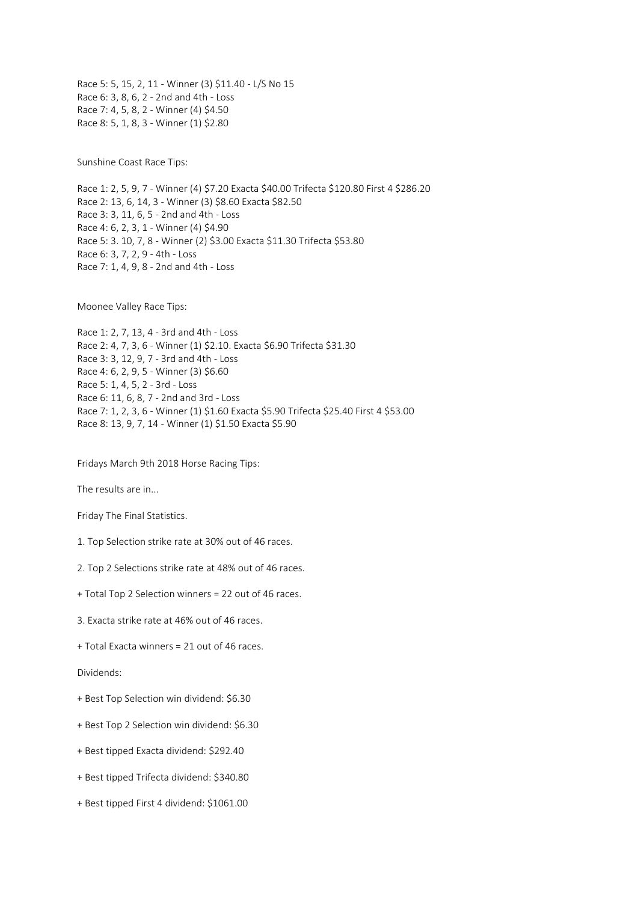Race 5: 5, 15, 2, 11 - Winner (3) \$11.40 - L/S No 15 Race 6: 3, 8, 6, 2 - 2nd and 4th - Loss Race 7: 4, 5, 8, 2 - Winner (4) \$4.50 Race 8: 5, 1, 8, 3 - Winner (1) \$2.80

Sunshine Coast Race Tips:

Race 1: 2, 5, 9, 7 - Winner (4) \$7.20 Exacta \$40.00 Trifecta \$120.80 First 4 \$286.20 Race 2: 13, 6, 14, 3 - Winner (3) \$8.60 Exacta \$82.50 Race 3: 3, 11, 6, 5 - 2nd and 4th - Loss Race 4: 6, 2, 3, 1 - Winner (4) \$4.90 Race 5: 3. 10, 7, 8 - Winner (2) \$3.00 Exacta \$11.30 Trifecta \$53.80 Race 6: 3, 7, 2, 9 - 4th - Loss Race 7: 1, 4, 9, 8 - 2nd and 4th - Loss

Moonee Valley Race Tips:

Race 1: 2, 7, 13, 4 - 3rd and 4th - Loss Race 2: 4, 7, 3, 6 - Winner (1) \$2.10. Exacta \$6.90 Trifecta \$31.30 Race 3: 3, 12, 9, 7 - 3rd and 4th - Loss Race 4: 6, 2, 9, 5 - Winner (3) \$6.60 Race 5: 1, 4, 5, 2 - 3rd - Loss Race 6: 11, 6, 8, 7 - 2nd and 3rd - Loss Race 7: 1, 2, 3, 6 - Winner (1) \$1.60 Exacta \$5.90 Trifecta \$25.40 First 4 \$53.00 Race 8: 13, 9, 7, 14 - Winner (1) \$1.50 Exacta \$5.90

Fridays March 9th 2018 Horse Racing Tips:

The results are in...

Friday The Final Statistics.

1. Top Selection strike rate at 30% out of 46 races.

2. Top 2 Selections strike rate at 48% out of 46 races.

+ Total Top 2 Selection winners = 22 out of 46 races.

3. Exacta strike rate at 46% out of 46 races.

+ Total Exacta winners = 21 out of 46 races.

Dividends:

+ Best Top Selection win dividend: \$6.30

+ Best Top 2 Selection win dividend: \$6.30

+ Best tipped Exacta dividend: \$292.40

+ Best tipped Trifecta dividend: \$340.80

+ Best tipped First 4 dividend: \$1061.00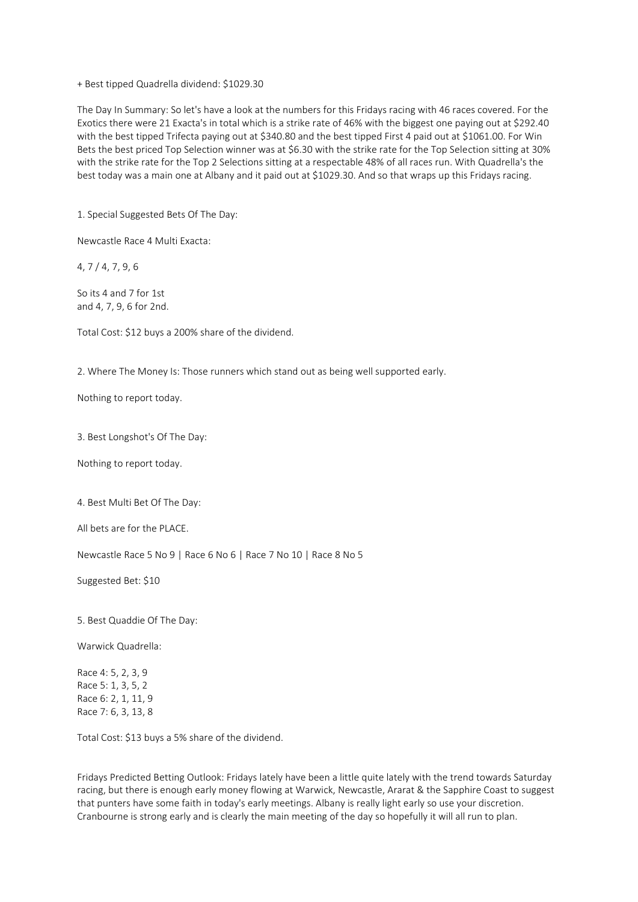+ Best tipped Quadrella dividend: \$1029.30

The Day In Summary: So let's have a look at the numbers for this Fridays racing with 46 races covered. For the Exotics there were 21 Exacta's in total which is a strike rate of 46% with the biggest one paying out at \$292.40 with the best tipped Trifecta paying out at \$340.80 and the best tipped First 4 paid out at \$1061.00. For Win Bets the best priced Top Selection winner was at \$6.30 with the strike rate for the Top Selection sitting at 30% with the strike rate for the Top 2 Selections sitting at a respectable 48% of all races run. With Quadrella's the best today was a main one at Albany and it paid out at \$1029.30. And so that wraps up this Fridays racing.

1. Special Suggested Bets Of The Day:

Newcastle Race 4 Multi Exacta:

4, 7 / 4, 7, 9, 6

So its 4 and 7 for 1st and 4, 7, 9, 6 for 2nd.

Total Cost: \$12 buys a 200% share of the dividend.

2. Where The Money Is: Those runners which stand out as being well supported early.

Nothing to report today.

3. Best Longshot's Of The Day:

Nothing to report today.

4. Best Multi Bet Of The Day:

All bets are for the PLACE.

Newcastle Race 5 No 9 | Race 6 No 6 | Race 7 No 10 | Race 8 No 5

Suggested Bet: \$10

5. Best Quaddie Of The Day:

Warwick Quadrella:

Race 4: 5, 2, 3, 9 Race 5: 1, 3, 5, 2 Race 6: 2, 1, 11, 9 Race 7: 6, 3, 13, 8

Total Cost: \$13 buys a 5% share of the dividend.

Fridays Predicted Betting Outlook: Fridays lately have been a little quite lately with the trend towards Saturday racing, but there is enough early money flowing at Warwick, Newcastle, Ararat & the Sapphire Coast to suggest that punters have some faith in today's early meetings. Albany is really light early so use your discretion. Cranbourne is strong early and is clearly the main meeting of the day so hopefully it will all run to plan.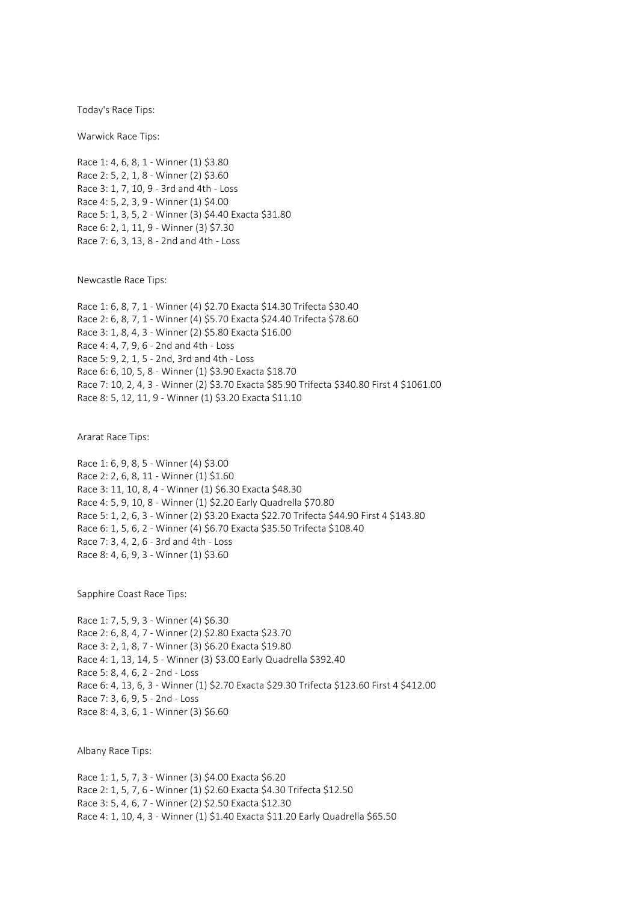Today's Race Tips:

Warwick Race Tips:

Race 1: 4, 6, 8, 1 - Winner (1) \$3.80 Race 2: 5, 2, 1, 8 - Winner (2) \$3.60 Race 3: 1, 7, 10, 9 - 3rd and 4th - Loss Race 4: 5, 2, 3, 9 - Winner (1) \$4.00 Race 5: 1, 3, 5, 2 - Winner (3) \$4.40 Exacta \$31.80 Race 6: 2, 1, 11, 9 - Winner (3) \$7.30 Race 7: 6, 3, 13, 8 - 2nd and 4th - Loss

Newcastle Race Tips:

Race 1: 6, 8, 7, 1 - Winner (4) \$2.70 Exacta \$14.30 Trifecta \$30.40 Race 2: 6, 8, 7, 1 - Winner (4) \$5.70 Exacta \$24.40 Trifecta \$78.60 Race 3: 1, 8, 4, 3 - Winner (2) \$5.80 Exacta \$16.00 Race 4: 4, 7, 9, 6 - 2nd and 4th - Loss Race 5: 9, 2, 1, 5 - 2nd, 3rd and 4th - Loss Race 6: 6, 10, 5, 8 - Winner (1) \$3.90 Exacta \$18.70 Race 7: 10, 2, 4, 3 - Winner (2) \$3.70 Exacta \$85.90 Trifecta \$340.80 First 4 \$1061.00 Race 8: 5, 12, 11, 9 - Winner (1) \$3.20 Exacta \$11.10

Ararat Race Tips:

Race 1: 6, 9, 8, 5 - Winner (4) \$3.00 Race 2: 2, 6, 8, 11 - Winner (1) \$1.60 Race 3: 11, 10, 8, 4 - Winner (1) \$6.30 Exacta \$48.30 Race 4: 5, 9, 10, 8 - Winner (1) \$2.20 Early Quadrella \$70.80 Race 5: 1, 2, 6, 3 - Winner (2) \$3.20 Exacta \$22.70 Trifecta \$44.90 First 4 \$143.80 Race 6: 1, 5, 6, 2 - Winner (4) \$6.70 Exacta \$35.50 Trifecta \$108.40 Race 7: 3, 4, 2, 6 - 3rd and 4th - Loss Race 8: 4, 6, 9, 3 - Winner (1) \$3.60

Sapphire Coast Race Tips:

Race 1: 7, 5, 9, 3 - Winner (4) \$6.30 Race 2: 6, 8, 4, 7 - Winner (2) \$2.80 Exacta \$23.70 Race 3: 2, 1, 8, 7 - Winner (3) \$6.20 Exacta \$19.80 Race 4: 1, 13, 14, 5 - Winner (3) \$3.00 Early Quadrella \$392.40 Race 5: 8, 4, 6, 2 - 2nd - Loss Race 6: 4, 13, 6, 3 - Winner (1) \$2.70 Exacta \$29.30 Trifecta \$123.60 First 4 \$412.00 Race 7: 3, 6, 9, 5 - 2nd - Loss Race 8: 4, 3, 6, 1 - Winner (3) \$6.60

Albany Race Tips:

Race 1: 1, 5, 7, 3 - Winner (3) \$4.00 Exacta \$6.20 Race 2: 1, 5, 7, 6 - Winner (1) \$2.60 Exacta \$4.30 Trifecta \$12.50 Race 3: 5, 4, 6, 7 - Winner (2) \$2.50 Exacta \$12.30 Race 4: 1, 10, 4, 3 - Winner (1) \$1.40 Exacta \$11.20 Early Quadrella \$65.50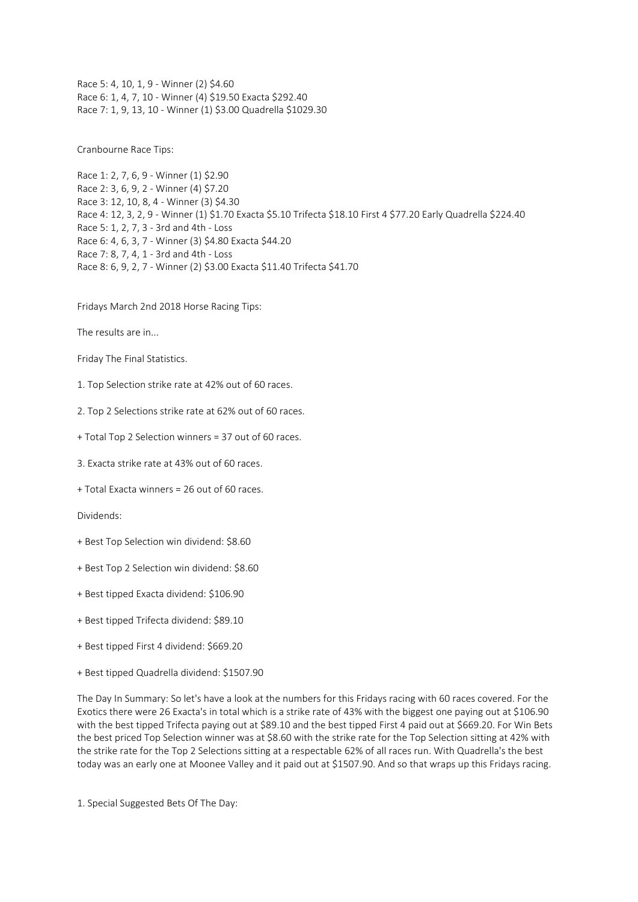Race 5: 4, 10, 1, 9 - Winner (2) \$4.60 Race 6: 1, 4, 7, 10 - Winner (4) \$19.50 Exacta \$292.40 Race 7: 1, 9, 13, 10 - Winner (1) \$3.00 Quadrella \$1029.30

Cranbourne Race Tips:

Race 1: 2, 7, 6, 9 - Winner (1) \$2.90 Race 2: 3, 6, 9, 2 - Winner (4) \$7.20 Race 3: 12, 10, 8, 4 - Winner (3) \$4.30 Race 4: 12, 3, 2, 9 - Winner (1) \$1.70 Exacta \$5.10 Trifecta \$18.10 First 4 \$77.20 Early Quadrella \$224.40 Race 5: 1, 2, 7, 3 - 3rd and 4th - Loss Race 6: 4, 6, 3, 7 - Winner (3) \$4.80 Exacta \$44.20 Race 7: 8, 7, 4, 1 - 3rd and 4th - Loss Race 8: 6, 9, 2, 7 - Winner (2) \$3.00 Exacta \$11.40 Trifecta \$41.70

Fridays March 2nd 2018 Horse Racing Tips:

The results are in...

Friday The Final Statistics.

1. Top Selection strike rate at 42% out of 60 races.

2. Top 2 Selections strike rate at 62% out of 60 races.

+ Total Top 2 Selection winners = 37 out of 60 races.

3. Exacta strike rate at 43% out of 60 races.

+ Total Exacta winners = 26 out of 60 races.

Dividends:

+ Best Top Selection win dividend: \$8.60

+ Best Top 2 Selection win dividend: \$8.60

+ Best tipped Exacta dividend: \$106.90

+ Best tipped Trifecta dividend: \$89.10

+ Best tipped First 4 dividend: \$669.20

+ Best tipped Quadrella dividend: \$1507.90

The Day In Summary: So let's have a look at the numbers for this Fridays racing with 60 races covered. For the Exotics there were 26 Exacta's in total which is a strike rate of 43% with the biggest one paying out at \$106.90 with the best tipped Trifecta paying out at \$89.10 and the best tipped First 4 paid out at \$669.20. For Win Bets the best priced Top Selection winner was at \$8.60 with the strike rate for the Top Selection sitting at 42% with the strike rate for the Top 2 Selections sitting at a respectable 62% of all races run. With Quadrella's the best today was an early one at Moonee Valley and it paid out at \$1507.90. And so that wraps up this Fridays racing.

1. Special Suggested Bets Of The Day: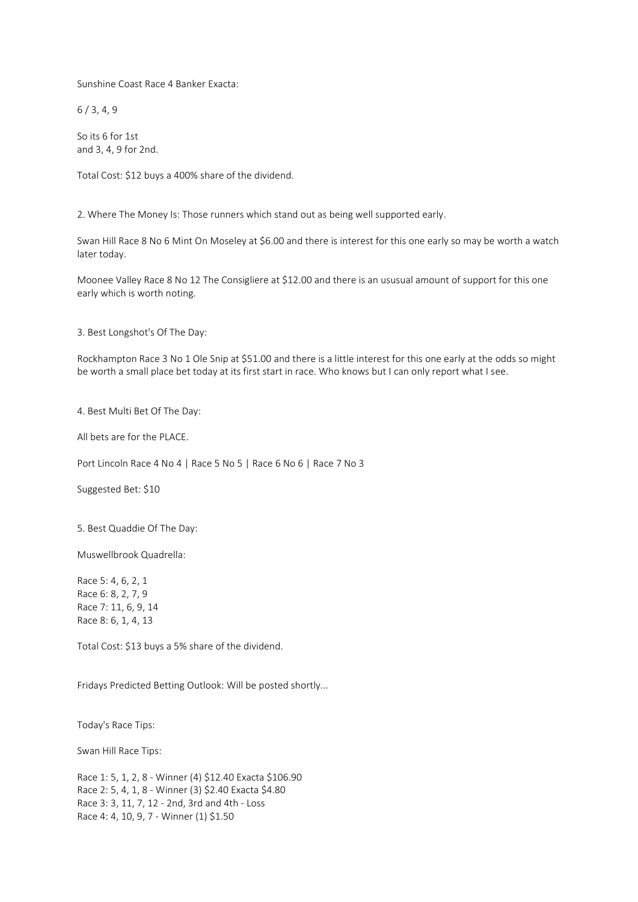Sunshine Coast Race 4 Banker Exacta:

6 / 3, 4, 9

So its 6 for 1st and 3, 4, 9 for 2nd.

Total Cost: \$12 buys a 400% share of the dividend.

2. Where The Money Is: Those runners which stand out as being well supported early.

Swan Hill Race 8 No 6 Mint On Moseley at \$6.00 and there is interest for this one early so may be worth a watch later today.

Moonee Valley Race 8 No 12 The Consigliere at \$12.00 and there is an ususual amount of support for this one early which is worth noting.

3. Best Longshot's Of The Day:

Rockhampton Race 3 No 1 Ole Snip at \$51.00 and there is a little interest for this one early at the odds so might be worth a small place bet today at its first start in race. Who knows but I can only report what I see.

4. Best Multi Bet Of The Day:

All bets are for the PLACE.

Port Lincoln Race 4 No 4 | Race 5 No 5 | Race 6 No 6 | Race 7 No 3

Suggested Bet: \$10

5. Best Quaddie Of The Day:

Muswellbrook Quadrella:

Race 5: 4, 6, 2, 1 Race 6: 8, 2, 7, 9 Race 7: 11, 6, 9, 14 Race 8: 6, 1, 4, 13

Total Cost: \$13 buys a 5% share of the dividend.

Fridays Predicted Betting Outlook: Will be posted shortly...

Today's Race Tips:

Swan Hill Race Tips:

Race 1: 5, 1, 2, 8 - Winner (4) \$12.40 Exacta \$106.90 Race 2: 5, 4, 1, 8 - Winner (3) \$2.40 Exacta \$4.80 Race 3: 3, 11, 7, 12 - 2nd, 3rd and 4th - Loss Race 4: 4, 10, 9, 7 - Winner (1) \$1.50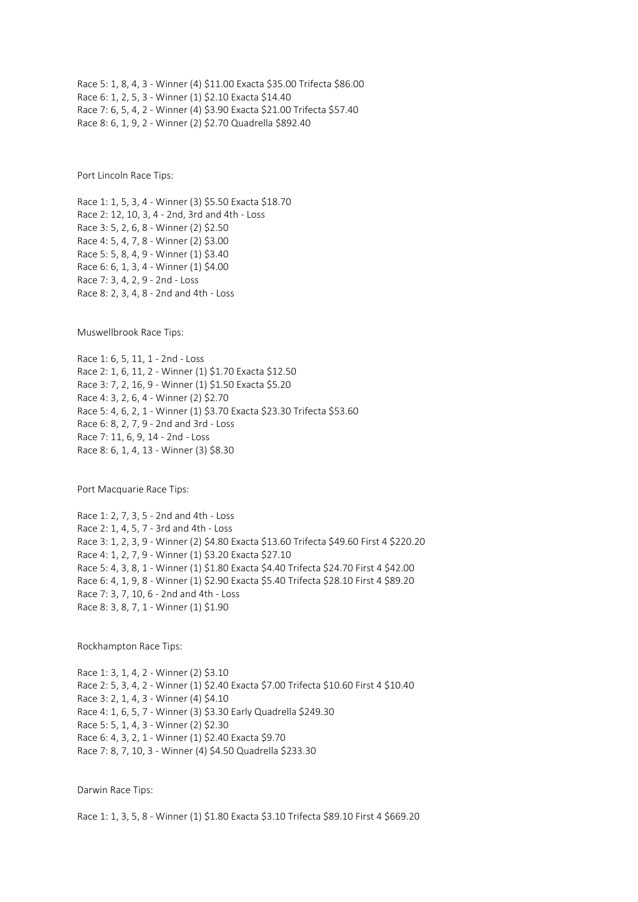Race 5: 1, 8, 4, 3 - Winner (4) \$11.00 Exacta \$35.00 Trifecta \$86.00 Race 6: 1, 2, 5, 3 - Winner (1) \$2.10 Exacta \$14.40 Race 7: 6, 5, 4, 2 - Winner (4) \$3.90 Exacta \$21.00 Trifecta \$57.40 Race 8: 6, 1, 9, 2 - Winner (2) \$2.70 Quadrella \$892.40

Port Lincoln Race Tips:

Race 1: 1, 5, 3, 4 - Winner (3) \$5.50 Exacta \$18.70 Race 2: 12, 10, 3, 4 - 2nd, 3rd and 4th - Loss Race 3: 5, 2, 6, 8 - Winner (2) \$2.50 Race 4: 5, 4, 7, 8 - Winner (2) \$3.00 Race 5: 5, 8, 4, 9 - Winner (1) \$3.40 Race 6: 6, 1, 3, 4 - Winner (1) \$4.00 Race 7: 3, 4, 2, 9 - 2nd - Loss Race 8: 2, 3, 4, 8 - 2nd and 4th - Loss

Muswellbrook Race Tips:

Race 1: 6, 5, 11, 1 - 2nd - Loss Race 2: 1, 6, 11, 2 - Winner (1) \$1.70 Exacta \$12.50 Race 3: 7, 2, 16, 9 - Winner (1) \$1.50 Exacta \$5.20 Race 4: 3, 2, 6, 4 - Winner (2) \$2.70 Race 5: 4, 6, 2, 1 - Winner (1) \$3.70 Exacta \$23.30 Trifecta \$53.60 Race 6: 8, 2, 7, 9 - 2nd and 3rd - Loss Race 7: 11, 6, 9, 14 - 2nd - Loss Race 8: 6, 1, 4, 13 - Winner (3) \$8.30

Port Macquarie Race Tips:

Race 1: 2, 7, 3, 5 - 2nd and 4th - Loss Race 2: 1, 4, 5, 7 - 3rd and 4th - Loss Race 3: 1, 2, 3, 9 - Winner (2) \$4.80 Exacta \$13.60 Trifecta \$49.60 First 4 \$220.20 Race 4: 1, 2, 7, 9 - Winner (1) \$3.20 Exacta \$27.10 Race 5: 4, 3, 8, 1 - Winner (1) \$1.80 Exacta \$4.40 Trifecta \$24.70 First 4 \$42.00 Race 6: 4, 1, 9, 8 - Winner (1) \$2.90 Exacta \$5.40 Trifecta \$28.10 First 4 \$89.20 Race 7: 3, 7, 10, 6 - 2nd and 4th - Loss Race 8: 3, 8, 7, 1 - Winner (1) \$1.90

Rockhampton Race Tips:

Race 1: 3, 1, 4, 2 - Winner (2) \$3.10 Race 2: 5, 3, 4, 2 - Winner (1) \$2.40 Exacta \$7.00 Trifecta \$10.60 First 4 \$10.40 Race 3: 2, 1, 4, 3 - Winner (4) \$4.10 Race 4: 1, 6, 5, 7 - Winner (3) \$3.30 Early Quadrella \$249.30 Race 5: 5, 1, 4, 3 - Winner (2) \$2.30 Race 6: 4, 3, 2, 1 - Winner (1) \$2.40 Exacta \$9.70 Race 7: 8, 7, 10, 3 - Winner (4) \$4.50 Quadrella \$233.30

Darwin Race Tips:

Race 1: 1, 3, 5, 8 - Winner (1) \$1.80 Exacta \$3.10 Trifecta \$89.10 First 4 \$669.20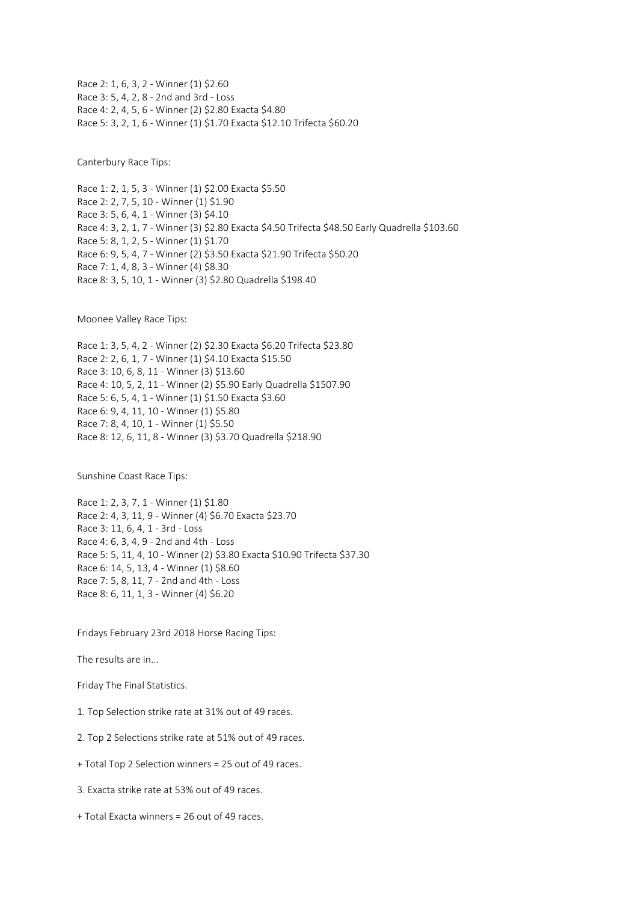Race 2: 1, 6, 3, 2 - Winner (1) \$2.60 Race 3: 5, 4, 2, 8 - 2nd and 3rd - Loss Race 4: 2, 4, 5, 6 - Winner (2) \$2.80 Exacta \$4.80 Race 5: 3, 2, 1, 6 - Winner (1) \$1.70 Exacta \$12.10 Trifecta \$60.20

Canterbury Race Tips:

Race 1: 2, 1, 5, 3 - Winner (1) \$2.00 Exacta \$5.50 Race 2: 2, 7, 5, 10 - Winner (1) \$1.90 Race 3: 5, 6, 4, 1 - Winner (3) \$4.10 Race 4: 3, 2, 1, 7 - Winner (3) \$2.80 Exacta \$4.50 Trifecta \$48.50 Early Quadrella \$103.60 Race 5: 8, 1, 2, 5 - Winner (1) \$1.70 Race 6: 9, 5, 4, 7 - Winner (2) \$3.50 Exacta \$21.90 Trifecta \$50.20 Race 7: 1, 4, 8, 3 - Winner (4) \$8.30 Race 8: 3, 5, 10, 1 - Winner (3) \$2.80 Quadrella \$198.40

Moonee Valley Race Tips:

Race 1: 3, 5, 4, 2 - Winner (2) \$2.30 Exacta \$6.20 Trifecta \$23.80 Race 2: 2, 6, 1, 7 - Winner (1) \$4.10 Exacta \$15.50 Race 3: 10, 6, 8, 11 - Winner (3) \$13.60 Race 4: 10, 5, 2, 11 - Winner (2) \$5.90 Early Quadrella \$1507.90 Race 5: 6, 5, 4, 1 - Winner (1) \$1.50 Exacta \$3.60 Race 6: 9, 4, 11, 10 - Winner (1) \$5.80 Race 7: 8, 4, 10, 1 - Winner (1) \$5.50 Race 8: 12, 6, 11, 8 - Winner (3) \$3.70 Quadrella \$218.90

Sunshine Coast Race Tips:

Race 1: 2, 3, 7, 1 - Winner (1) \$1.80 Race 2: 4, 3, 11, 9 - Winner (4) \$6.70 Exacta \$23.70 Race 3: 11, 6, 4, 1 - 3rd - Loss Race 4: 6, 3, 4, 9 - 2nd and 4th - Loss Race 5: 5, 11, 4, 10 - Winner (2) \$3.80 Exacta \$10.90 Trifecta \$37.30 Race 6: 14, 5, 13, 4 - Winner (1) \$8.60 Race 7: 5, 8, 11, 7 - 2nd and 4th - Loss Race 8: 6, 11, 1, 3 - Winner (4) \$6.20

Fridays February 23rd 2018 Horse Racing Tips:

The results are in...

Friday The Final Statistics.

- 1. Top Selection strike rate at 31% out of 49 races.
- 2. Top 2 Selections strike rate at 51% out of 49 races.
- + Total Top 2 Selection winners = 25 out of 49 races.
- 3. Exacta strike rate at 53% out of 49 races.
- + Total Exacta winners = 26 out of 49 races.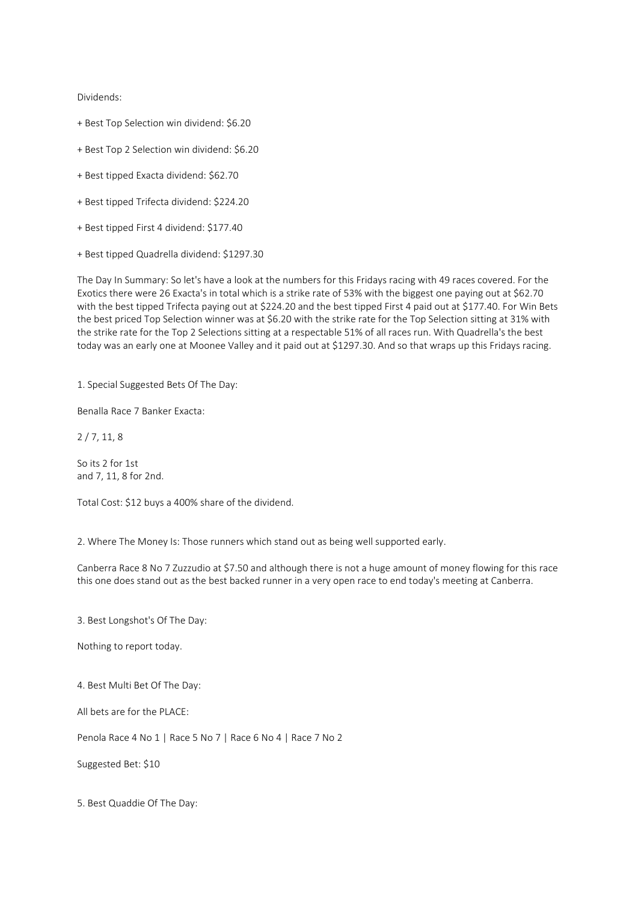Dividends:

- + Best Top Selection win dividend: \$6.20
- + Best Top 2 Selection win dividend: \$6.20
- + Best tipped Exacta dividend: \$62.70
- + Best tipped Trifecta dividend: \$224.20
- + Best tipped First 4 dividend: \$177.40
- + Best tipped Quadrella dividend: \$1297.30

The Day In Summary: So let's have a look at the numbers for this Fridays racing with 49 races covered. For the Exotics there were 26 Exacta's in total which is a strike rate of 53% with the biggest one paying out at \$62.70 with the best tipped Trifecta paying out at \$224.20 and the best tipped First 4 paid out at \$177.40. For Win Bets the best priced Top Selection winner was at \$6.20 with the strike rate for the Top Selection sitting at 31% with the strike rate for the Top 2 Selections sitting at a respectable 51% of all races run. With Quadrella's the best today was an early one at Moonee Valley and it paid out at \$1297.30. And so that wraps up this Fridays racing.

1. Special Suggested Bets Of The Day:

Benalla Race 7 Banker Exacta:

2 / 7, 11, 8

So its 2 for 1st and 7, 11, 8 for 2nd.

Total Cost: \$12 buys a 400% share of the dividend.

2. Where The Money Is: Those runners which stand out as being well supported early.

Canberra Race 8 No 7 Zuzzudio at \$7.50 and although there is not a huge amount of money flowing for this race this one does stand out as the best backed runner in a very open race to end today's meeting at Canberra.

3. Best Longshot's Of The Day:

Nothing to report today.

4. Best Multi Bet Of The Day:

All bets are for the PLACE:

Penola Race 4 No 1 | Race 5 No 7 | Race 6 No 4 | Race 7 No 2

Suggested Bet: \$10

5. Best Quaddie Of The Day: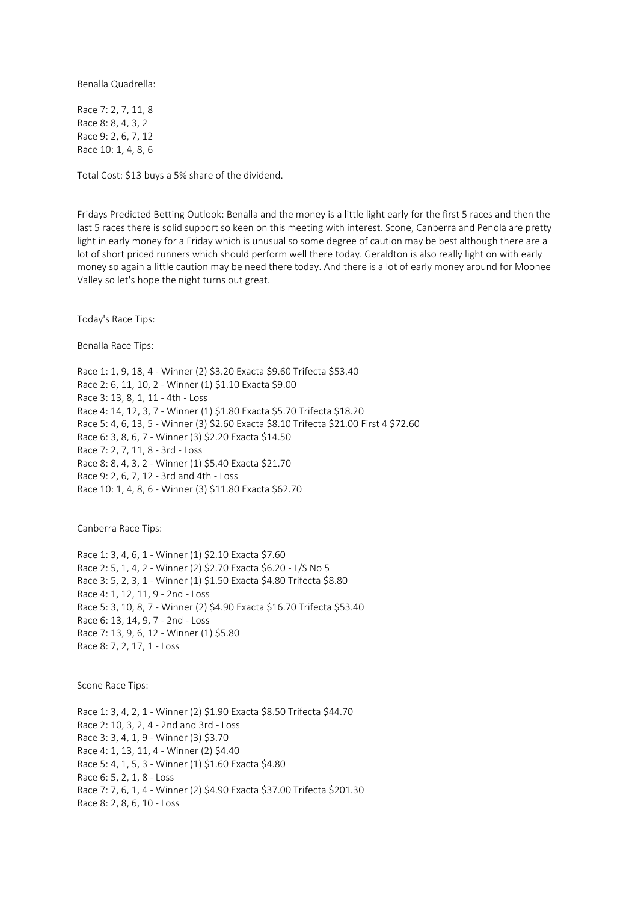Benalla Quadrella:

Race 7: 2, 7, 11, 8 Race 8: 8, 4, 3, 2 Race 9: 2, 6, 7, 12 Race 10: 1, 4, 8, 6

Total Cost: \$13 buys a 5% share of the dividend.

Fridays Predicted Betting Outlook: Benalla and the money is a little light early for the first 5 races and then the last 5 races there is solid support so keen on this meeting with interest. Scone, Canberra and Penola are pretty light in early money for a Friday which is unusual so some degree of caution may be best although there are a lot of short priced runners which should perform well there today. Geraldton is also really light on with early money so again a little caution may be need there today. And there is a lot of early money around for Moonee Valley so let's hope the night turns out great.

Today's Race Tips:

Benalla Race Tips:

Race 1: 1, 9, 18, 4 - Winner (2) \$3.20 Exacta \$9.60 Trifecta \$53.40 Race 2: 6, 11, 10, 2 - Winner (1) \$1.10 Exacta \$9.00 Race 3: 13, 8, 1, 11 - 4th - Loss Race 4: 14, 12, 3, 7 - Winner (1) \$1.80 Exacta \$5.70 Trifecta \$18.20 Race 5: 4, 6, 13, 5 - Winner (3) \$2.60 Exacta \$8.10 Trifecta \$21.00 First 4 \$72.60 Race 6: 3, 8, 6, 7 - Winner (3) \$2.20 Exacta \$14.50 Race 7: 2, 7, 11, 8 - 3rd - Loss Race 8: 8, 4, 3, 2 - Winner (1) \$5.40 Exacta \$21.70 Race 9: 2, 6, 7, 12 - 3rd and 4th - Loss Race 10: 1, 4, 8, 6 - Winner (3) \$11.80 Exacta \$62.70

Canberra Race Tips:

Race 1: 3, 4, 6, 1 - Winner (1) \$2.10 Exacta \$7.60 Race 2: 5, 1, 4, 2 - Winner (2) \$2.70 Exacta \$6.20 - L/S No 5 Race 3: 5, 2, 3, 1 - Winner (1) \$1.50 Exacta \$4.80 Trifecta \$8.80 Race 4: 1, 12, 11, 9 - 2nd - Loss Race 5: 3, 10, 8, 7 - Winner (2) \$4.90 Exacta \$16.70 Trifecta \$53.40 Race 6: 13, 14, 9, 7 - 2nd - Loss Race 7: 13, 9, 6, 12 - Winner (1) \$5.80 Race 8: 7, 2, 17, 1 - Loss

Scone Race Tips:

Race 1: 3, 4, 2, 1 - Winner (2) \$1.90 Exacta \$8.50 Trifecta \$44.70 Race 2: 10, 3, 2, 4 - 2nd and 3rd - Loss Race 3: 3, 4, 1, 9 - Winner (3) \$3.70 Race 4: 1, 13, 11, 4 - Winner (2) \$4.40 Race 5: 4, 1, 5, 3 - Winner (1) \$1.60 Exacta \$4.80 Race 6: 5, 2, 1, 8 - Loss Race 7: 7, 6, 1, 4 - Winner (2) \$4.90 Exacta \$37.00 Trifecta \$201.30 Race 8: 2, 8, 6, 10 - Loss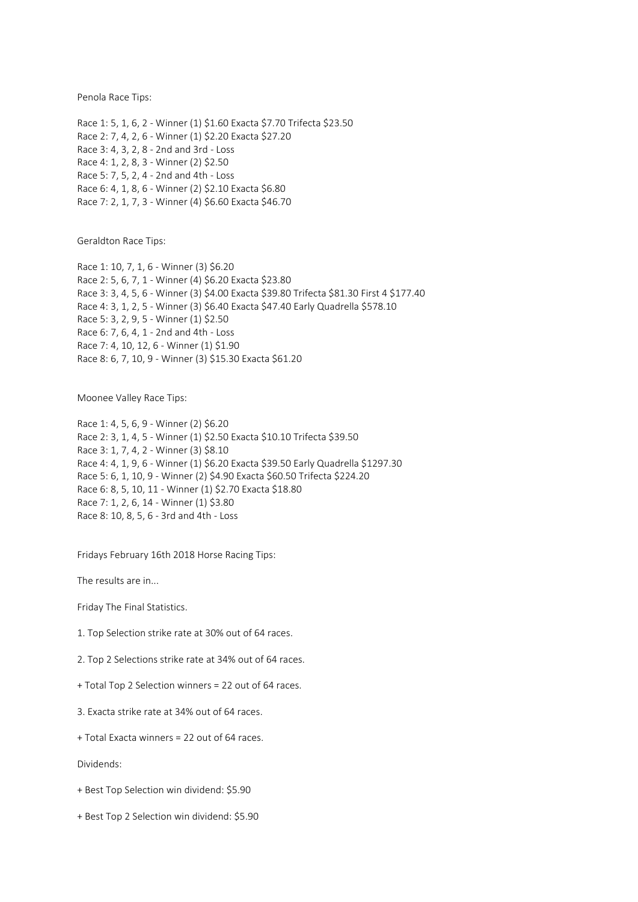Penola Race Tips:

Race 1: 5, 1, 6, 2 - Winner (1) \$1.60 Exacta \$7.70 Trifecta \$23.50 Race 2: 7, 4, 2, 6 - Winner (1) \$2.20 Exacta \$27.20 Race 3: 4, 3, 2, 8 - 2nd and 3rd - Loss Race 4: 1, 2, 8, 3 - Winner (2) \$2.50 Race 5: 7, 5, 2, 4 - 2nd and 4th - Loss Race 6: 4, 1, 8, 6 - Winner (2) \$2.10 Exacta \$6.80 Race 7: 2, 1, 7, 3 - Winner (4) \$6.60 Exacta \$46.70

Geraldton Race Tips:

Race 1: 10, 7, 1, 6 - Winner (3) \$6.20 Race 2: 5, 6, 7, 1 - Winner (4) \$6.20 Exacta \$23.80 Race 3: 3, 4, 5, 6 - Winner (3) \$4.00 Exacta \$39.80 Trifecta \$81.30 First 4 \$177.40 Race 4: 3, 1, 2, 5 - Winner (3) \$6.40 Exacta \$47.40 Early Quadrella \$578.10 Race 5: 3, 2, 9, 5 - Winner (1) \$2.50 Race 6: 7, 6, 4, 1 - 2nd and 4th - Loss Race 7: 4, 10, 12, 6 - Winner (1) \$1.90 Race 8: 6, 7, 10, 9 - Winner (3) \$15.30 Exacta \$61.20

Moonee Valley Race Tips:

Race 1: 4, 5, 6, 9 - Winner (2) \$6.20 Race 2: 3, 1, 4, 5 - Winner (1) \$2.50 Exacta \$10.10 Trifecta \$39.50 Race 3: 1, 7, 4, 2 - Winner (3) \$8.10 Race 4: 4, 1, 9, 6 - Winner (1) \$6.20 Exacta \$39.50 Early Quadrella \$1297.30 Race 5: 6, 1, 10, 9 - Winner (2) \$4.90 Exacta \$60.50 Trifecta \$224.20 Race 6: 8, 5, 10, 11 - Winner (1) \$2.70 Exacta \$18.80 Race 7: 1, 2, 6, 14 - Winner (1) \$3.80 Race 8: 10, 8, 5, 6 - 3rd and 4th - Loss

Fridays February 16th 2018 Horse Racing Tips:

The results are in...

Friday The Final Statistics.

1. Top Selection strike rate at 30% out of 64 races.

2. Top 2 Selections strike rate at 34% out of 64 races.

+ Total Top 2 Selection winners = 22 out of 64 races.

3. Exacta strike rate at 34% out of 64 races.

+ Total Exacta winners = 22 out of 64 races.

Dividends:

+ Best Top Selection win dividend: \$5.90

+ Best Top 2 Selection win dividend: \$5.90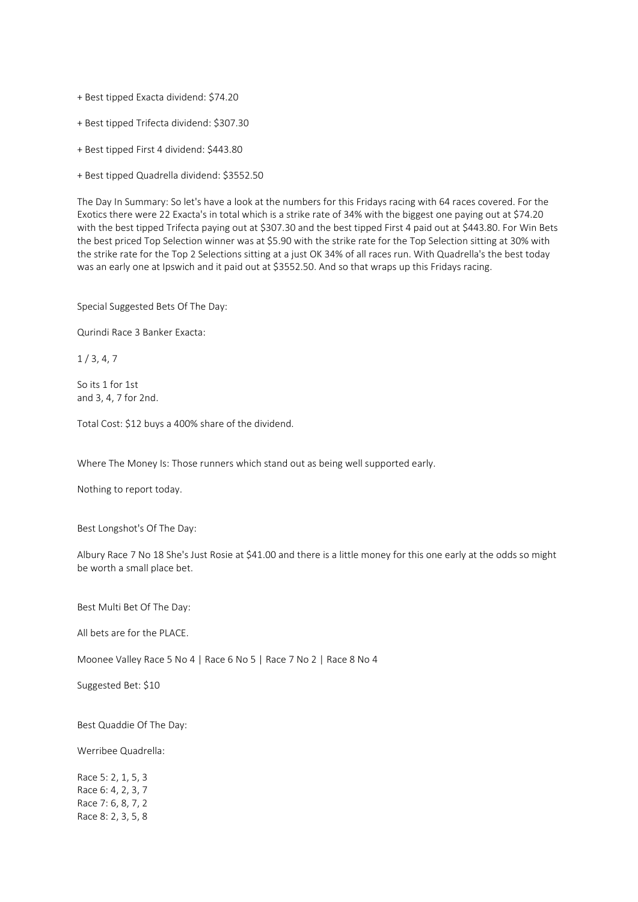+ Best tipped Exacta dividend: \$74.20

+ Best tipped Trifecta dividend: \$307.30

+ Best tipped First 4 dividend: \$443.80

+ Best tipped Quadrella dividend: \$3552.50

The Day In Summary: So let's have a look at the numbers for this Fridays racing with 64 races covered. For the Exotics there were 22 Exacta's in total which is a strike rate of 34% with the biggest one paying out at \$74.20 with the best tipped Trifecta paying out at \$307.30 and the best tipped First 4 paid out at \$443.80. For Win Bets the best priced Top Selection winner was at \$5.90 with the strike rate for the Top Selection sitting at 30% with the strike rate for the Top 2 Selections sitting at a just OK 34% of all races run. With Quadrella's the best today was an early one at Ipswich and it paid out at \$3552.50. And so that wraps up this Fridays racing.

Special Suggested Bets Of The Day:

Qurindi Race 3 Banker Exacta:

 $1/3, 4, 7$ 

So its 1 for 1st and 3, 4, 7 for 2nd.

Total Cost: \$12 buys a 400% share of the dividend.

Where The Money Is: Those runners which stand out as being well supported early.

Nothing to report today.

Best Longshot's Of The Day:

Albury Race 7 No 18 She's Just Rosie at \$41.00 and there is a little money for this one early at the odds so might be worth a small place bet.

Best Multi Bet Of The Day:

All bets are for the PLACE.

Moonee Valley Race 5 No 4 | Race 6 No 5 | Race 7 No 2 | Race 8 No 4

Suggested Bet: \$10

Best Quaddie Of The Day:

Werribee Quadrella:

Race 5: 2, 1, 5, 3 Race 6: 4, 2, 3, 7 Race 7: 6, 8, 7, 2 Race 8: 2, 3, 5, 8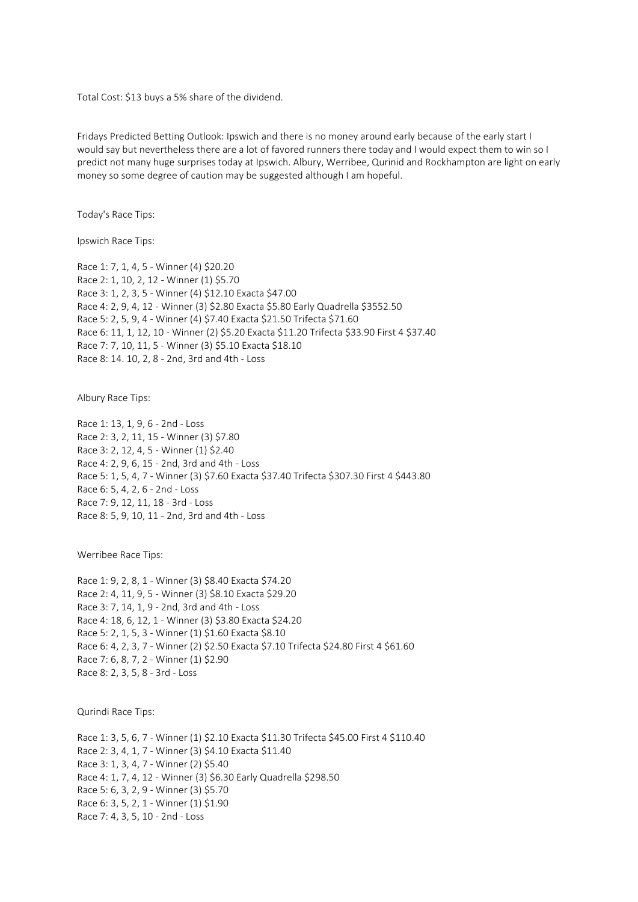Total Cost: \$13 buys a 5% share of the dividend.

Fridays Predicted Betting Outlook: Ipswich and there is no money around early because of the early start I would say but nevertheless there are a lot of favored runners there today and I would expect them to win so I predict not many huge surprises today at Ipswich. Albury, Werribee, Qurinid and Rockhampton are light on early money so some degree of caution may be suggested although I am hopeful.

Today's Race Tips:

Ipswich Race Tips:

Race 1: 7, 1, 4, 5 - Winner (4) \$20.20 Race 2: 1, 10, 2, 12 - Winner (1) \$5.70 Race 3: 1, 2, 3, 5 - Winner (4) \$12.10 Exacta \$47.00 Race 4: 2, 9, 4, 12 - Winner (3) \$2.80 Exacta \$5.80 Early Quadrella \$3552.50 Race 5: 2, 5, 9, 4 - Winner (4) \$7.40 Exacta \$21.50 Trifecta \$71.60 Race 6: 11, 1, 12, 10 - Winner (2) \$5.20 Exacta \$11.20 Trifecta \$33.90 First 4 \$37.40 Race 7: 7, 10, 11, 5 - Winner (3) \$5.10 Exacta \$18.10 Race 8: 14. 10, 2, 8 - 2nd, 3rd and 4th - Loss

Albury Race Tips:

Race 1: 13, 1, 9, 6 - 2nd - Loss Race 2: 3, 2, 11, 15 - Winner (3) \$7.80 Race 3: 2, 12, 4, 5 - Winner (1) \$2.40 Race 4: 2, 9, 6, 15 - 2nd, 3rd and 4th - Loss Race 5: 1, 5, 4, 7 - Winner (3) \$7.60 Exacta \$37.40 Trifecta \$307.30 First 4 \$443.80 Race 6: 5, 4, 2, 6 - 2nd - Loss Race 7: 9, 12, 11, 18 - 3rd - Loss Race 8: 5, 9, 10, 11 - 2nd, 3rd and 4th - Loss

Werribee Race Tips:

Race 1: 9, 2, 8, 1 - Winner (3) \$8.40 Exacta \$74.20 Race 2: 4, 11, 9, 5 - Winner (3) \$8.10 Exacta \$29.20 Race 3: 7, 14, 1, 9 - 2nd, 3rd and 4th - Loss Race 4: 18, 6, 12, 1 - Winner (3) \$3.80 Exacta \$24.20 Race 5: 2, 1, 5, 3 - Winner (1) \$1.60 Exacta \$8.10 Race 6: 4, 2, 3, 7 - Winner (2) \$2.50 Exacta \$7.10 Trifecta \$24.80 First 4 \$61.60 Race 7: 6, 8, 7, 2 - Winner (1) \$2.90 Race 8: 2, 3, 5, 8 - 3rd - Loss

Qurindi Race Tips:

Race 1: 3, 5, 6, 7 - Winner (1) \$2.10 Exacta \$11.30 Trifecta \$45.00 First 4 \$110.40 Race 2: 3, 4, 1, 7 - Winner (3) \$4.10 Exacta \$11.40 Race 3: 1, 3, 4, 7 - Winner (2) \$5.40 Race 4: 1, 7, 4, 12 - Winner (3) \$6.30 Early Quadrella \$298.50 Race 5: 6, 3, 2, 9 - Winner (3) \$5.70 Race 6: 3, 5, 2, 1 - Winner (1) \$1.90 Race 7: 4, 3, 5, 10 - 2nd - Loss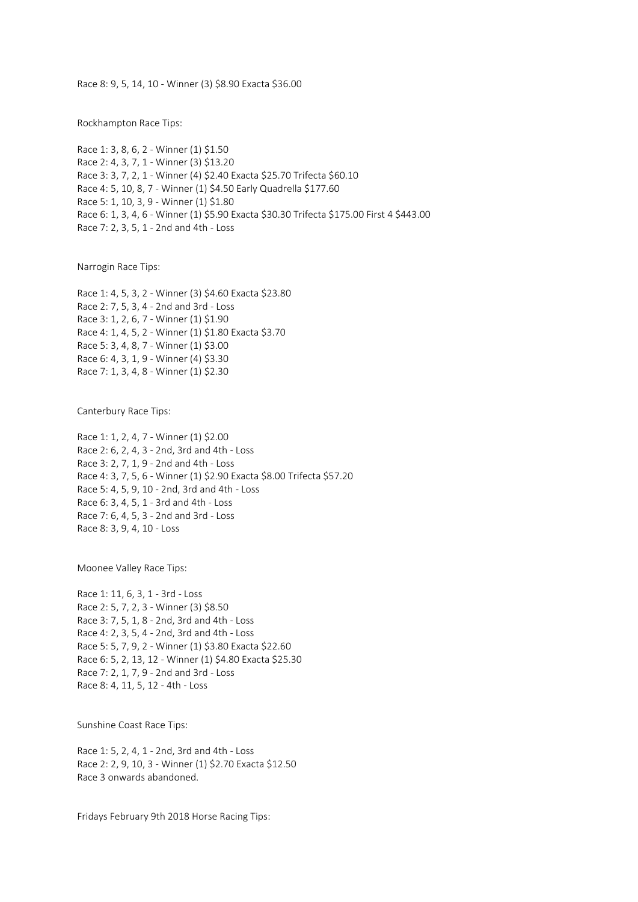Race 8: 9, 5, 14, 10 - Winner (3) \$8.90 Exacta \$36.00

Rockhampton Race Tips:

Race 1: 3, 8, 6, 2 - Winner (1) \$1.50 Race 2: 4, 3, 7, 1 - Winner (3) \$13.20 Race 3: 3, 7, 2, 1 - Winner (4) \$2.40 Exacta \$25.70 Trifecta \$60.10 Race 4: 5, 10, 8, 7 - Winner (1) \$4.50 Early Quadrella \$177.60 Race 5: 1, 10, 3, 9 - Winner (1) \$1.80 Race 6: 1, 3, 4, 6 - Winner (1) \$5.90 Exacta \$30.30 Trifecta \$175.00 First 4 \$443.00 Race 7: 2, 3, 5, 1 - 2nd and 4th - Loss

Narrogin Race Tips:

Race 1: 4, 5, 3, 2 - Winner (3) \$4.60 Exacta \$23.80 Race 2: 7, 5, 3, 4 - 2nd and 3rd - Loss Race 3: 1, 2, 6, 7 - Winner (1) \$1.90 Race 4: 1, 4, 5, 2 - Winner (1) \$1.80 Exacta \$3.70 Race 5: 3, 4, 8, 7 - Winner (1) \$3.00 Race 6: 4, 3, 1, 9 - Winner (4) \$3.30 Race 7: 1, 3, 4, 8 - Winner (1) \$2.30

Canterbury Race Tips:

Race 1: 1, 2, 4, 7 - Winner (1) \$2.00 Race 2: 6, 2, 4, 3 - 2nd, 3rd and 4th - Loss Race 3: 2, 7, 1, 9 - 2nd and 4th - Loss Race 4: 3, 7, 5, 6 - Winner (1) \$2.90 Exacta \$8.00 Trifecta \$57.20 Race 5: 4, 5, 9, 10 - 2nd, 3rd and 4th - Loss Race 6: 3, 4, 5, 1 - 3rd and 4th - Loss Race 7: 6, 4, 5, 3 - 2nd and 3rd - Loss Race 8: 3, 9, 4, 10 - Loss

Moonee Valley Race Tips:

Race 1: 11, 6, 3, 1 - 3rd - Loss Race 2: 5, 7, 2, 3 - Winner (3) \$8.50 Race 3: 7, 5, 1, 8 - 2nd, 3rd and 4th - Loss Race 4: 2, 3, 5, 4 - 2nd, 3rd and 4th - Loss Race 5: 5, 7, 9, 2 - Winner (1) \$3.80 Exacta \$22.60 Race 6: 5, 2, 13, 12 - Winner (1) \$4.80 Exacta \$25.30 Race 7: 2, 1, 7, 9 - 2nd and 3rd - Loss Race 8: 4, 11, 5, 12 - 4th - Loss

Sunshine Coast Race Tips:

Race 1: 5, 2, 4, 1 - 2nd, 3rd and 4th - Loss Race 2: 2, 9, 10, 3 - Winner (1) \$2.70 Exacta \$12.50 Race 3 onwards abandoned.

Fridays February 9th 2018 Horse Racing Tips: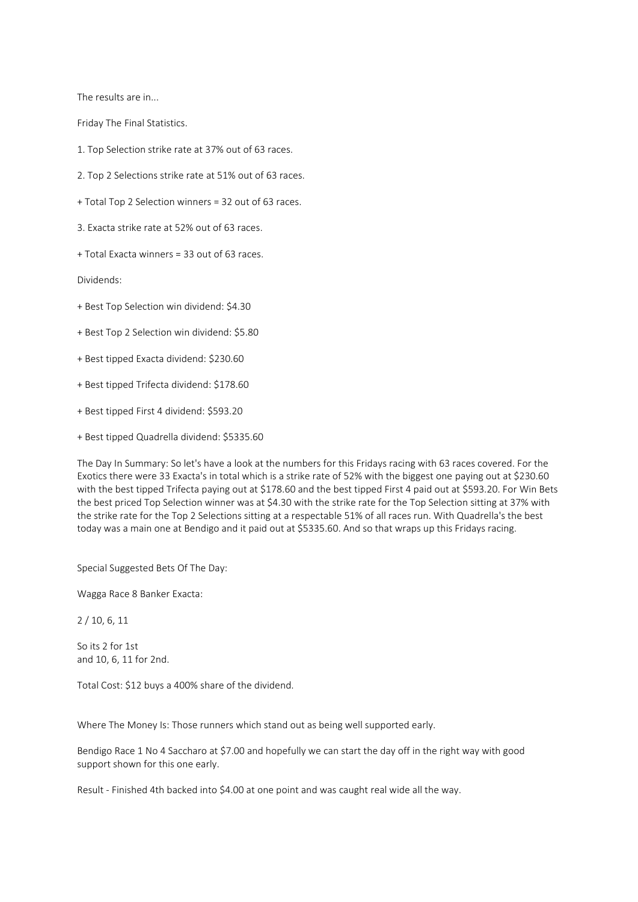The results are in...

Friday The Final Statistics.

1. Top Selection strike rate at 37% out of 63 races.

2. Top 2 Selections strike rate at 51% out of 63 races.

+ Total Top 2 Selection winners = 32 out of 63 races.

3. Exacta strike rate at 52% out of 63 races.

+ Total Exacta winners = 33 out of 63 races.

Dividends:

+ Best Top Selection win dividend: \$4.30

+ Best Top 2 Selection win dividend: \$5.80

+ Best tipped Exacta dividend: \$230.60

+ Best tipped Trifecta dividend: \$178.60

+ Best tipped First 4 dividend: \$593.20

+ Best tipped Quadrella dividend: \$5335.60

The Day In Summary: So let's have a look at the numbers for this Fridays racing with 63 races covered. For the Exotics there were 33 Exacta's in total which is a strike rate of 52% with the biggest one paying out at \$230.60 with the best tipped Trifecta paying out at \$178.60 and the best tipped First 4 paid out at \$593.20. For Win Bets the best priced Top Selection winner was at \$4.30 with the strike rate for the Top Selection sitting at 37% with the strike rate for the Top 2 Selections sitting at a respectable 51% of all races run. With Quadrella's the best today was a main one at Bendigo and it paid out at \$5335.60. And so that wraps up this Fridays racing.

Special Suggested Bets Of The Day:

Wagga Race 8 Banker Exacta:

2 / 10, 6, 11

So its 2 for 1st and 10, 6, 11 for 2nd.

Total Cost: \$12 buys a 400% share of the dividend.

Where The Money Is: Those runners which stand out as being well supported early.

Bendigo Race 1 No 4 Saccharo at \$7.00 and hopefully we can start the day off in the right way with good support shown for this one early.

Result - Finished 4th backed into \$4.00 at one point and was caught real wide all the way.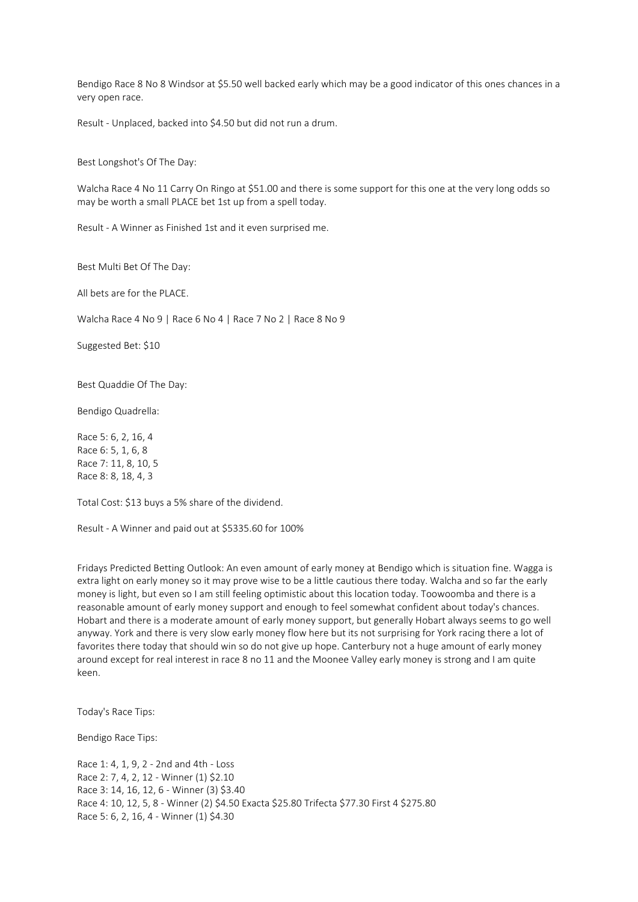Bendigo Race 8 No 8 Windsor at \$5.50 well backed early which may be a good indicator of this ones chances in a very open race.

Result - Unplaced, backed into \$4.50 but did not run a drum.

Best Longshot's Of The Day:

Walcha Race 4 No 11 Carry On Ringo at \$51.00 and there is some support for this one at the very long odds so may be worth a small PLACE bet 1st up from a spell today.

Result - A Winner as Finished 1st and it even surprised me.

Best Multi Bet Of The Day:

All bets are for the PLACE.

Walcha Race 4 No 9 | Race 6 No 4 | Race 7 No 2 | Race 8 No 9

Suggested Bet: \$10

Best Quaddie Of The Day:

Bendigo Quadrella:

Race 5: 6, 2, 16, 4 Race 6: 5, 1, 6, 8 Race 7: 11, 8, 10, 5 Race 8: 8, 18, 4, 3

Total Cost: \$13 buys a 5% share of the dividend.

Result - A Winner and paid out at \$5335.60 for 100%

Fridays Predicted Betting Outlook: An even amount of early money at Bendigo which is situation fine. Wagga is extra light on early money so it may prove wise to be a little cautious there today. Walcha and so far the early money is light, but even so I am still feeling optimistic about this location today. Toowoomba and there is a reasonable amount of early money support and enough to feel somewhat confident about today's chances. Hobart and there is a moderate amount of early money support, but generally Hobart always seems to go well anyway. York and there is very slow early money flow here but its not surprising for York racing there a lot of favorites there today that should win so do not give up hope. Canterbury not a huge amount of early money around except for real interest in race 8 no 11 and the Moonee Valley early money is strong and I am quite keen.

Today's Race Tips:

Bendigo Race Tips:

Race 1: 4, 1, 9, 2 - 2nd and 4th - Loss Race 2: 7, 4, 2, 12 - Winner (1) \$2.10 Race 3: 14, 16, 12, 6 - Winner (3) \$3.40 Race 4: 10, 12, 5, 8 - Winner (2) \$4.50 Exacta \$25.80 Trifecta \$77.30 First 4 \$275.80 Race 5: 6, 2, 16, 4 - Winner (1) \$4.30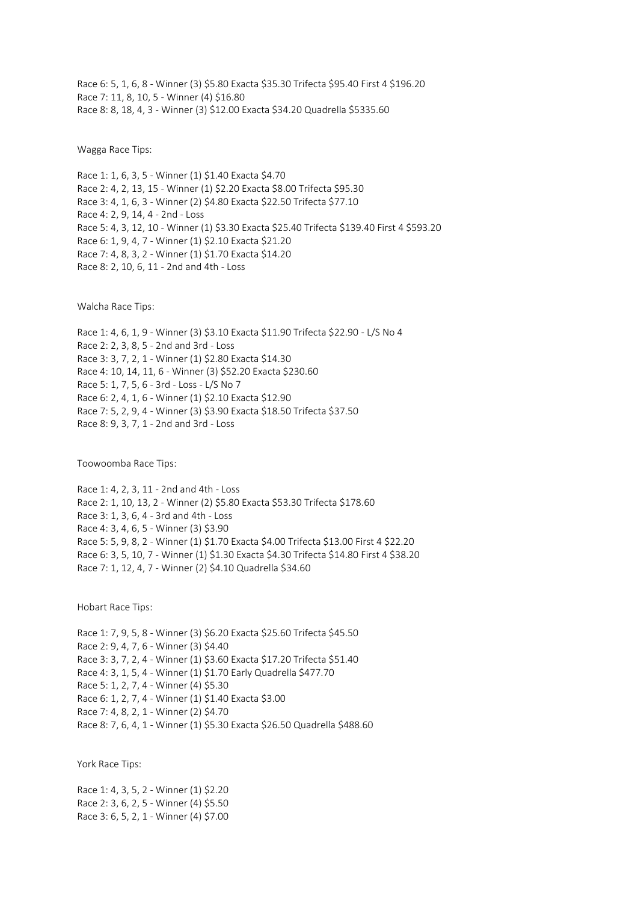Race 6: 5, 1, 6, 8 - Winner (3) \$5.80 Exacta \$35.30 Trifecta \$95.40 First 4 \$196.20 Race 7: 11, 8, 10, 5 - Winner (4) \$16.80 Race 8: 8, 18, 4, 3 - Winner (3) \$12.00 Exacta \$34.20 Quadrella \$5335.60

Wagga Race Tips:

Race 1: 1, 6, 3, 5 - Winner (1) \$1.40 Exacta \$4.70 Race 2: 4, 2, 13, 15 - Winner (1) \$2.20 Exacta \$8.00 Trifecta \$95.30 Race 3: 4, 1, 6, 3 - Winner (2) \$4.80 Exacta \$22.50 Trifecta \$77.10 Race 4: 2, 9, 14, 4 - 2nd - Loss Race 5: 4, 3, 12, 10 - Winner (1) \$3.30 Exacta \$25.40 Trifecta \$139.40 First 4 \$593.20 Race 6: 1, 9, 4, 7 - Winner (1) \$2.10 Exacta \$21.20 Race 7: 4, 8, 3, 2 - Winner (1) \$1.70 Exacta \$14.20 Race 8: 2, 10, 6, 11 - 2nd and 4th - Loss

Walcha Race Tips:

Race 1: 4, 6, 1, 9 - Winner (3) \$3.10 Exacta \$11.90 Trifecta \$22.90 - L/S No 4 Race 2: 2, 3, 8, 5 - 2nd and 3rd - Loss Race 3: 3, 7, 2, 1 - Winner (1) \$2.80 Exacta \$14.30 Race 4: 10, 14, 11, 6 - Winner (3) \$52.20 Exacta \$230.60 Race 5: 1, 7, 5, 6 - 3rd - Loss - L/S No 7 Race 6: 2, 4, 1, 6 - Winner (1) \$2.10 Exacta \$12.90 Race 7: 5, 2, 9, 4 - Winner (3) \$3.90 Exacta \$18.50 Trifecta \$37.50 Race 8: 9, 3, 7, 1 - 2nd and 3rd - Loss

Toowoomba Race Tips:

Race 1: 4, 2, 3, 11 - 2nd and 4th - Loss Race 2: 1, 10, 13, 2 - Winner (2) \$5.80 Exacta \$53.30 Trifecta \$178.60 Race 3: 1, 3, 6, 4 - 3rd and 4th - Loss Race 4: 3, 4, 6, 5 - Winner (3) \$3.90 Race 5: 5, 9, 8, 2 - Winner (1) \$1.70 Exacta \$4.00 Trifecta \$13.00 First 4 \$22.20 Race 6: 3, 5, 10, 7 - Winner (1) \$1.30 Exacta \$4.30 Trifecta \$14.80 First 4 \$38.20 Race 7: 1, 12, 4, 7 - Winner (2) \$4.10 Quadrella \$34.60

Hobart Race Tips:

Race 1: 7, 9, 5, 8 - Winner (3) \$6.20 Exacta \$25.60 Trifecta \$45.50 Race 2: 9, 4, 7, 6 - Winner (3) \$4.40 Race 3: 3, 7, 2, 4 - Winner (1) \$3.60 Exacta \$17.20 Trifecta \$51.40 Race 4: 3, 1, 5, 4 - Winner (1) \$1.70 Early Quadrella \$477.70 Race 5: 1, 2, 7, 4 - Winner (4) \$5.30 Race 6: 1, 2, 7, 4 - Winner (1) \$1.40 Exacta \$3.00 Race 7: 4, 8, 2, 1 - Winner (2) \$4.70 Race 8: 7, 6, 4, 1 - Winner (1) \$5.30 Exacta \$26.50 Quadrella \$488.60

York Race Tips:

Race 1: 4, 3, 5, 2 - Winner (1) \$2.20 Race 2: 3, 6, 2, 5 - Winner (4) \$5.50 Race 3: 6, 5, 2, 1 - Winner (4) \$7.00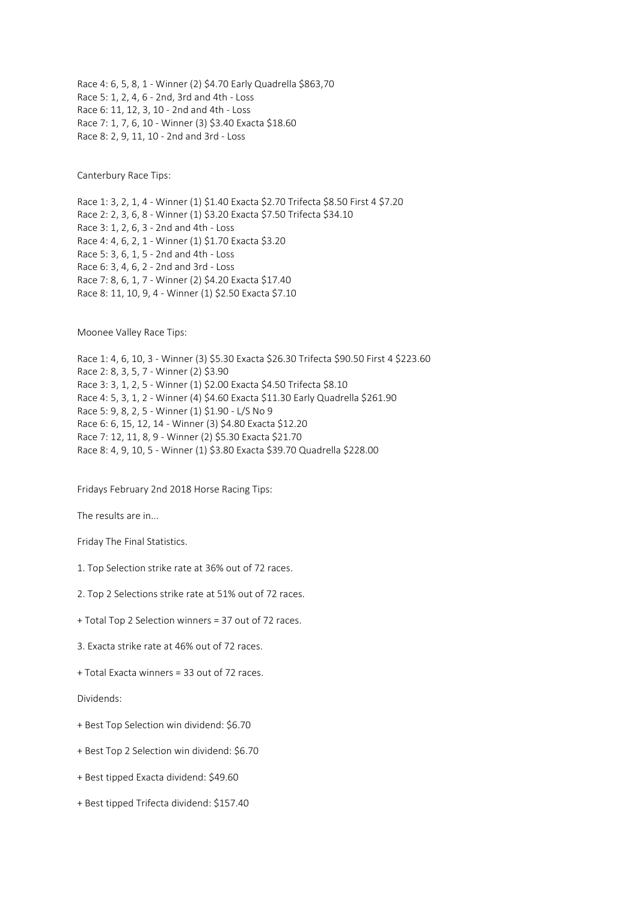Race 4: 6, 5, 8, 1 - Winner (2) \$4.70 Early Quadrella \$863,70 Race 5: 1, 2, 4, 6 - 2nd, 3rd and 4th - Loss Race 6: 11, 12, 3, 10 - 2nd and 4th - Loss Race 7: 1, 7, 6, 10 - Winner (3) \$3.40 Exacta \$18.60 Race 8: 2, 9, 11, 10 - 2nd and 3rd - Loss

Canterbury Race Tips:

Race 1: 3, 2, 1, 4 - Winner (1) \$1.40 Exacta \$2.70 Trifecta \$8.50 First 4 \$7.20 Race 2: 2, 3, 6, 8 - Winner (1) \$3.20 Exacta \$7.50 Trifecta \$34.10 Race 3: 1, 2, 6, 3 - 2nd and 4th - Loss Race 4: 4, 6, 2, 1 - Winner (1) \$1.70 Exacta \$3.20 Race 5: 3, 6, 1, 5 - 2nd and 4th - Loss Race 6: 3, 4, 6, 2 - 2nd and 3rd - Loss Race 7: 8, 6, 1, 7 - Winner (2) \$4.20 Exacta \$17.40 Race 8: 11, 10, 9, 4 - Winner (1) \$2.50 Exacta \$7.10

Moonee Valley Race Tips:

Race 1: 4, 6, 10, 3 - Winner (3) \$5.30 Exacta \$26.30 Trifecta \$90.50 First 4 \$223.60 Race 2: 8, 3, 5, 7 - Winner (2) \$3.90 Race 3: 3, 1, 2, 5 - Winner (1) \$2.00 Exacta \$4.50 Trifecta \$8.10 Race 4: 5, 3, 1, 2 - Winner (4) \$4.60 Exacta \$11.30 Early Quadrella \$261.90 Race 5: 9, 8, 2, 5 - Winner (1) \$1.90 - L/S No 9 Race 6: 6, 15, 12, 14 - Winner (3) \$4.80 Exacta \$12.20 Race 7: 12, 11, 8, 9 - Winner (2) \$5.30 Exacta \$21.70 Race 8: 4, 9, 10, 5 - Winner (1) \$3.80 Exacta \$39.70 Quadrella \$228.00

Fridays February 2nd 2018 Horse Racing Tips:

The results are in...

Friday The Final Statistics.

- 1. Top Selection strike rate at 36% out of 72 races.
- 2. Top 2 Selections strike rate at 51% out of 72 races.
- + Total Top 2 Selection winners = 37 out of 72 races.
- 3. Exacta strike rate at 46% out of 72 races.
- + Total Exacta winners = 33 out of 72 races.

Dividends:

- + Best Top Selection win dividend: \$6.70
- + Best Top 2 Selection win dividend: \$6.70
- + Best tipped Exacta dividend: \$49.60
- + Best tipped Trifecta dividend: \$157.40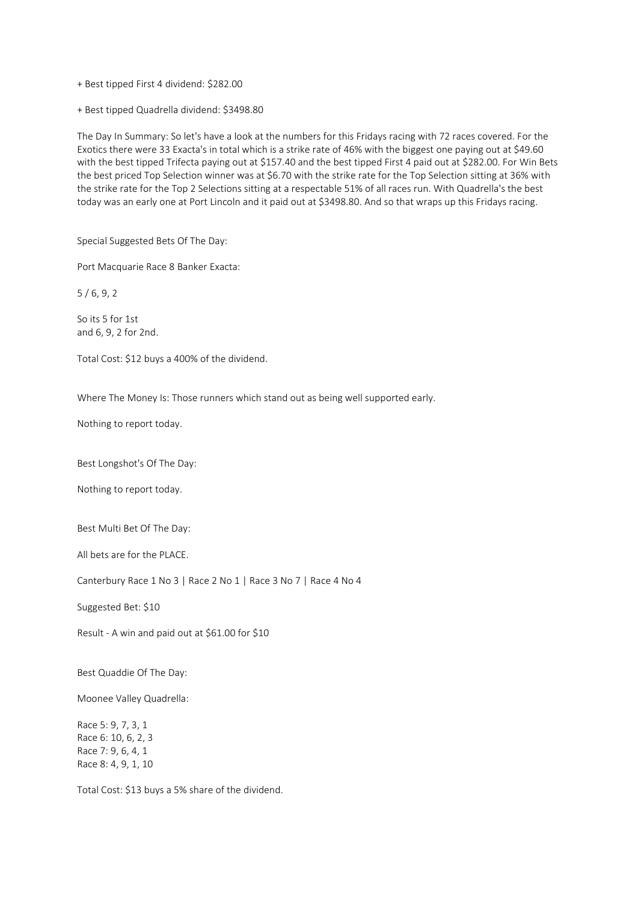- + Best tipped First 4 dividend: \$282.00
- + Best tipped Quadrella dividend: \$3498.80

The Day In Summary: So let's have a look at the numbers for this Fridays racing with 72 races covered. For the Exotics there were 33 Exacta's in total which is a strike rate of 46% with the biggest one paying out at \$49.60 with the best tipped Trifecta paying out at \$157.40 and the best tipped First 4 paid out at \$282.00. For Win Bets the best priced Top Selection winner was at \$6.70 with the strike rate for the Top Selection sitting at 36% with the strike rate for the Top 2 Selections sitting at a respectable 51% of all races run. With Quadrella's the best today was an early one at Port Lincoln and it paid out at \$3498.80. And so that wraps up this Fridays racing.

Special Suggested Bets Of The Day:

Port Macquarie Race 8 Banker Exacta:

5 / 6, 9, 2

So its 5 for 1st and 6, 9, 2 for 2nd.

Total Cost: \$12 buys a 400% of the dividend.

Where The Money Is: Those runners which stand out as being well supported early.

Nothing to report today.

Best Longshot's Of The Day:

Nothing to report today.

Best Multi Bet Of The Day:

All bets are for the PLACE.

Canterbury Race 1 No 3 | Race 2 No 1 | Race 3 No 7 | Race 4 No 4

Suggested Bet: \$10

Result - A win and paid out at \$61.00 for \$10

Best Quaddie Of The Day:

Moonee Valley Quadrella:

Race 5: 9, 7, 3, 1 Race 6: 10, 6, 2, 3 Race 7: 9, 6, 4, 1 Race 8: 4, 9, 1, 10

Total Cost: \$13 buys a 5% share of the dividend.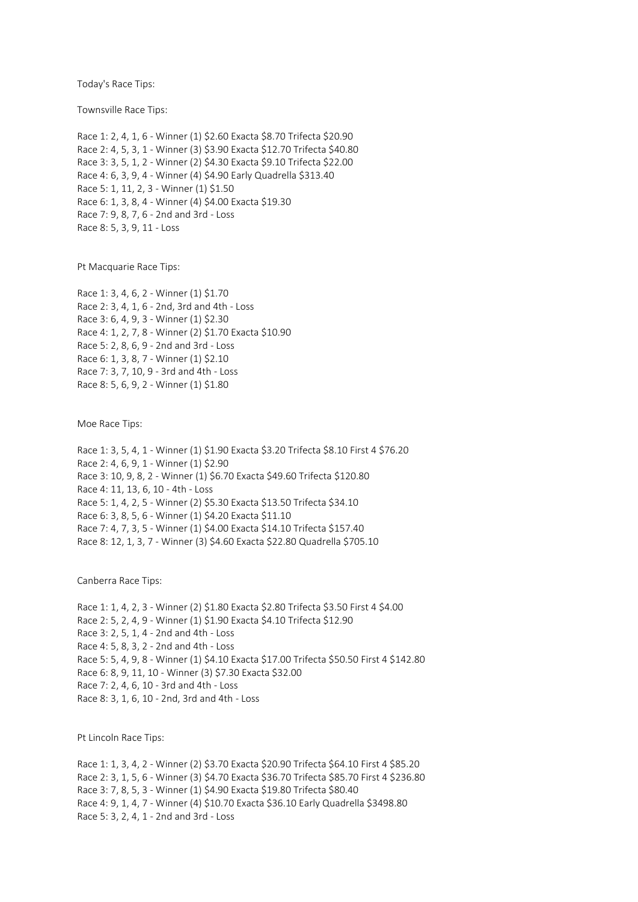Today's Race Tips:

Townsville Race Tips:

Race 1: 2, 4, 1, 6 - Winner (1) \$2.60 Exacta \$8.70 Trifecta \$20.90 Race 2: 4, 5, 3, 1 - Winner (3) \$3.90 Exacta \$12.70 Trifecta \$40.80 Race 3: 3, 5, 1, 2 - Winner (2) \$4.30 Exacta \$9.10 Trifecta \$22.00 Race 4: 6, 3, 9, 4 - Winner (4) \$4.90 Early Quadrella \$313.40 Race 5: 1, 11, 2, 3 - Winner (1) \$1.50 Race 6: 1, 3, 8, 4 - Winner (4) \$4.00 Exacta \$19.30 Race 7: 9, 8, 7, 6 - 2nd and 3rd - Loss Race 8: 5, 3, 9, 11 - Loss

Pt Macquarie Race Tips:

Race 1: 3, 4, 6, 2 - Winner (1) \$1.70 Race 2: 3, 4, 1, 6 - 2nd, 3rd and 4th - Loss Race 3: 6, 4, 9, 3 - Winner (1) \$2.30 Race 4: 1, 2, 7, 8 - Winner (2) \$1.70 Exacta \$10.90 Race 5: 2, 8, 6, 9 - 2nd and 3rd - Loss Race 6: 1, 3, 8, 7 - Winner (1) \$2.10 Race 7: 3, 7, 10, 9 - 3rd and 4th - Loss Race 8: 5, 6, 9, 2 - Winner (1) \$1.80

Moe Race Tips:

Race 1: 3, 5, 4, 1 - Winner (1) \$1.90 Exacta \$3.20 Trifecta \$8.10 First 4 \$76.20 Race 2: 4, 6, 9, 1 - Winner (1) \$2.90 Race 3: 10, 9, 8, 2 - Winner (1) \$6.70 Exacta \$49.60 Trifecta \$120.80 Race 4: 11, 13, 6, 10 - 4th - Loss Race 5: 1, 4, 2, 5 - Winner (2) \$5.30 Exacta \$13.50 Trifecta \$34.10 Race 6: 3, 8, 5, 6 - Winner (1) \$4.20 Exacta \$11.10 Race 7: 4, 7, 3, 5 - Winner (1) \$4.00 Exacta \$14.10 Trifecta \$157.40 Race 8: 12, 1, 3, 7 - Winner (3) \$4.60 Exacta \$22.80 Quadrella \$705.10

Canberra Race Tips:

Race 1: 1, 4, 2, 3 - Winner (2) \$1.80 Exacta \$2.80 Trifecta \$3.50 First 4 \$4.00 Race 2: 5, 2, 4, 9 - Winner (1) \$1.90 Exacta \$4.10 Trifecta \$12.90 Race 3: 2, 5, 1, 4 - 2nd and 4th - Loss Race 4: 5, 8, 3, 2 - 2nd and 4th - Loss Race 5: 5, 4, 9, 8 - Winner (1) \$4.10 Exacta \$17.00 Trifecta \$50.50 First 4 \$142.80 Race 6: 8, 9, 11, 10 - Winner (3) \$7.30 Exacta \$32.00 Race 7: 2, 4, 6, 10 - 3rd and 4th - Loss Race 8: 3, 1, 6, 10 - 2nd, 3rd and 4th - Loss

Pt Lincoln Race Tips:

Race 1: 1, 3, 4, 2 - Winner (2) \$3.70 Exacta \$20.90 Trifecta \$64.10 First 4 \$85.20 Race 2: 3, 1, 5, 6 - Winner (3) \$4.70 Exacta \$36.70 Trifecta \$85.70 First 4 \$236.80 Race 3: 7, 8, 5, 3 - Winner (1) \$4.90 Exacta \$19.80 Trifecta \$80.40 Race 4: 9, 1, 4, 7 - Winner (4) \$10.70 Exacta \$36.10 Early Quadrella \$3498.80 Race 5: 3, 2, 4, 1 - 2nd and 3rd - Loss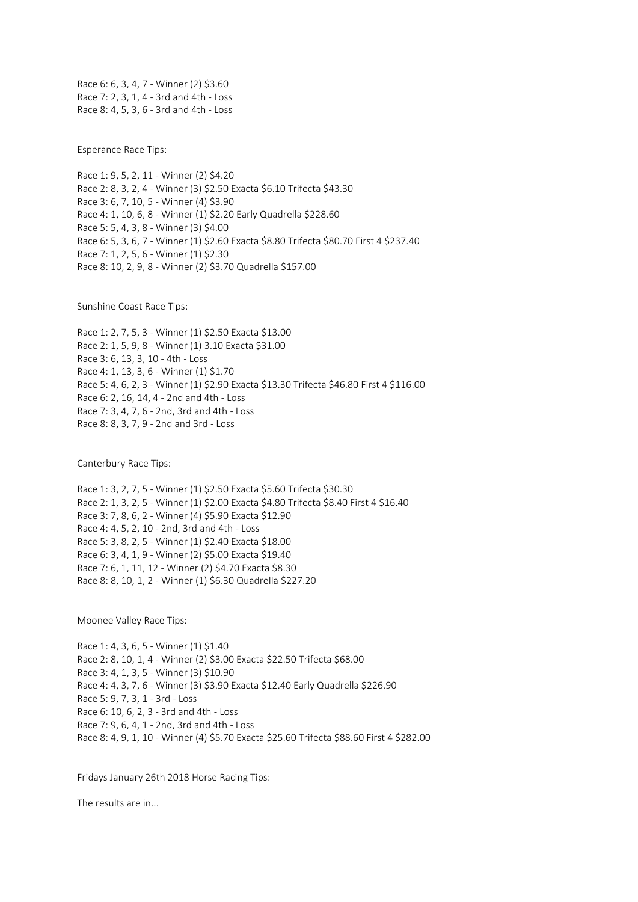Race 6: 6, 3, 4, 7 - Winner (2) \$3.60 Race 7: 2, 3, 1, 4 - 3rd and 4th - Loss Race 8: 4, 5, 3, 6 - 3rd and 4th - Loss

Esperance Race Tips:

Race 1: 9, 5, 2, 11 - Winner (2) \$4.20 Race 2: 8, 3, 2, 4 - Winner (3) \$2.50 Exacta \$6.10 Trifecta \$43.30 Race 3: 6, 7, 10, 5 - Winner (4) \$3.90 Race 4: 1, 10, 6, 8 - Winner (1) \$2.20 Early Quadrella \$228.60 Race 5: 5, 4, 3, 8 - Winner (3) \$4.00 Race 6: 5, 3, 6, 7 - Winner (1) \$2.60 Exacta \$8.80 Trifecta \$80.70 First 4 \$237.40 Race 7: 1, 2, 5, 6 - Winner (1) \$2.30 Race 8: 10, 2, 9, 8 - Winner (2) \$3.70 Quadrella \$157.00

Sunshine Coast Race Tips:

Race 1: 2, 7, 5, 3 - Winner (1) \$2.50 Exacta \$13.00 Race 2: 1, 5, 9, 8 - Winner (1) 3.10 Exacta \$31.00 Race 3: 6, 13, 3, 10 - 4th - Loss Race 4: 1, 13, 3, 6 - Winner (1) \$1.70 Race 5: 4, 6, 2, 3 - Winner (1) \$2.90 Exacta \$13.30 Trifecta \$46.80 First 4 \$116.00 Race 6: 2, 16, 14, 4 - 2nd and 4th - Loss Race 7: 3, 4, 7, 6 - 2nd, 3rd and 4th - Loss Race 8: 8, 3, 7, 9 - 2nd and 3rd - Loss

Canterbury Race Tips:

Race 1: 3, 2, 7, 5 - Winner (1) \$2.50 Exacta \$5.60 Trifecta \$30.30 Race 2: 1, 3, 2, 5 - Winner (1) \$2.00 Exacta \$4.80 Trifecta \$8.40 First 4 \$16.40 Race 3: 7, 8, 6, 2 - Winner (4) \$5.90 Exacta \$12.90 Race 4: 4, 5, 2, 10 - 2nd, 3rd and 4th - Loss Race 5: 3, 8, 2, 5 - Winner (1) \$2.40 Exacta \$18.00 Race 6: 3, 4, 1, 9 - Winner (2) \$5.00 Exacta \$19.40 Race 7: 6, 1, 11, 12 - Winner (2) \$4.70 Exacta \$8.30 Race 8: 8, 10, 1, 2 - Winner (1) \$6.30 Quadrella \$227.20

Moonee Valley Race Tips:

Race 1: 4, 3, 6, 5 - Winner (1) \$1.40 Race 2: 8, 10, 1, 4 - Winner (2) \$3.00 Exacta \$22.50 Trifecta \$68.00 Race 3: 4, 1, 3, 5 - Winner (3) \$10.90 Race 4: 4, 3, 7, 6 - Winner (3) \$3.90 Exacta \$12.40 Early Quadrella \$226.90 Race 5: 9, 7, 3, 1 - 3rd - Loss Race 6: 10, 6, 2, 3 - 3rd and 4th - Loss Race 7: 9, 6, 4, 1 - 2nd, 3rd and 4th - Loss Race 8: 4, 9, 1, 10 - Winner (4) \$5.70 Exacta \$25.60 Trifecta \$88.60 First 4 \$282.00

Fridays January 26th 2018 Horse Racing Tips:

The results are in...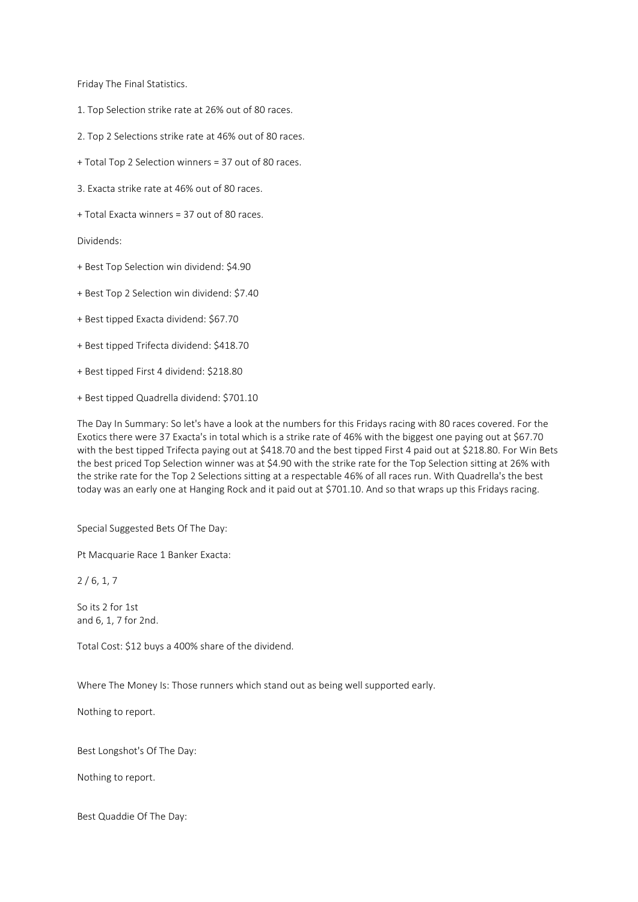Friday The Final Statistics.

- 1. Top Selection strike rate at 26% out of 80 races.
- 2. Top 2 Selections strike rate at 46% out of 80 races.
- + Total Top 2 Selection winners = 37 out of 80 races.
- 3. Exacta strike rate at 46% out of 80 races.
- + Total Exacta winners = 37 out of 80 races.

Dividends:

- + Best Top Selection win dividend: \$4.90
- + Best Top 2 Selection win dividend: \$7.40
- + Best tipped Exacta dividend: \$67.70
- + Best tipped Trifecta dividend: \$418.70
- + Best tipped First 4 dividend: \$218.80
- + Best tipped Quadrella dividend: \$701.10

The Day In Summary: So let's have a look at the numbers for this Fridays racing with 80 races covered. For the Exotics there were 37 Exacta's in total which is a strike rate of 46% with the biggest one paying out at \$67.70 with the best tipped Trifecta paying out at \$418.70 and the best tipped First 4 paid out at \$218.80. For Win Bets the best priced Top Selection winner was at \$4.90 with the strike rate for the Top Selection sitting at 26% with the strike rate for the Top 2 Selections sitting at a respectable 46% of all races run. With Quadrella's the best today was an early one at Hanging Rock and it paid out at \$701.10. And so that wraps up this Fridays racing.

Special Suggested Bets Of The Day:

Pt Macquarie Race 1 Banker Exacta:

 $2/6, 1, 7$ 

So its 2 for 1st and 6, 1, 7 for 2nd.

Total Cost: \$12 buys a 400% share of the dividend.

Where The Money Is: Those runners which stand out as being well supported early.

Nothing to report.

Best Longshot's Of The Day:

Nothing to report.

Best Quaddie Of The Day: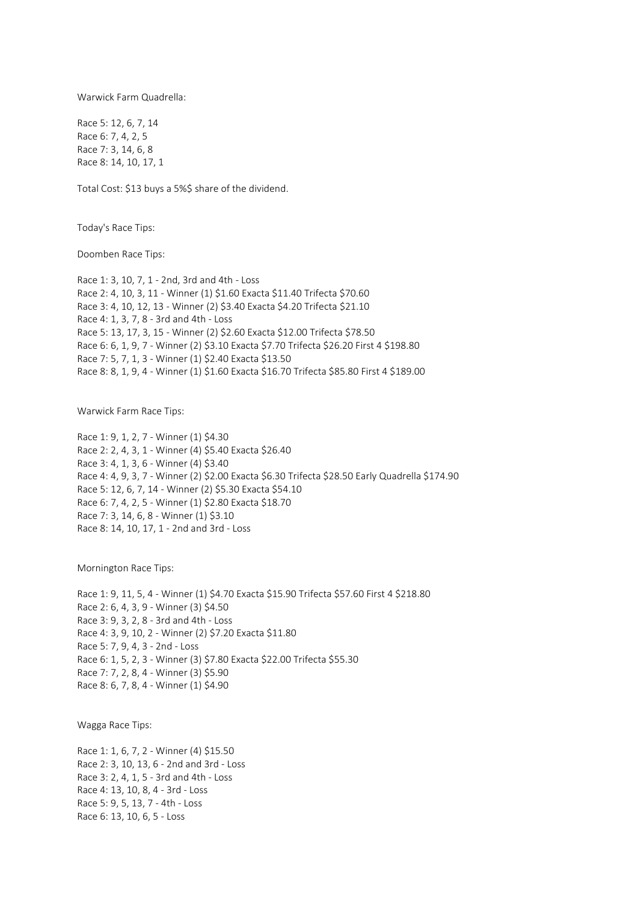Warwick Farm Quadrella:

Race 5: 12, 6, 7, 14 Race 6: 7, 4, 2, 5 Race 7: 3, 14, 6, 8 Race 8: 14, 10, 17, 1

Total Cost: \$13 buys a 5%\$ share of the dividend.

Today's Race Tips:

Doomben Race Tips:

Race 1: 3, 10, 7, 1 - 2nd, 3rd and 4th - Loss Race 2: 4, 10, 3, 11 - Winner (1) \$1.60 Exacta \$11.40 Trifecta \$70.60 Race 3: 4, 10, 12, 13 - Winner (2) \$3.40 Exacta \$4.20 Trifecta \$21.10 Race 4: 1, 3, 7, 8 - 3rd and 4th - Loss Race 5: 13, 17, 3, 15 - Winner (2) \$2.60 Exacta \$12.00 Trifecta \$78.50 Race 6: 6, 1, 9, 7 - Winner (2) \$3.10 Exacta \$7.70 Trifecta \$26.20 First 4 \$198.80 Race 7: 5, 7, 1, 3 - Winner (1) \$2.40 Exacta \$13.50 Race 8: 8, 1, 9, 4 - Winner (1) \$1.60 Exacta \$16.70 Trifecta \$85.80 First 4 \$189.00

Warwick Farm Race Tips:

Race 1: 9, 1, 2, 7 - Winner (1) \$4.30 Race 2: 2, 4, 3, 1 - Winner (4) \$5.40 Exacta \$26.40 Race 3: 4, 1, 3, 6 - Winner (4) \$3.40 Race 4: 4, 9, 3, 7 - Winner (2) \$2.00 Exacta \$6.30 Trifecta \$28.50 Early Quadrella \$174.90 Race 5: 12, 6, 7, 14 - Winner (2) \$5.30 Exacta \$54.10 Race 6: 7, 4, 2, 5 - Winner (1) \$2.80 Exacta \$18.70 Race 7: 3, 14, 6, 8 - Winner (1) \$3.10 Race 8: 14, 10, 17, 1 - 2nd and 3rd - Loss

Mornington Race Tips:

Race 1: 9, 11, 5, 4 - Winner (1) \$4.70 Exacta \$15.90 Trifecta \$57.60 First 4 \$218.80 Race 2: 6, 4, 3, 9 - Winner (3) \$4.50 Race 3: 9, 3, 2, 8 - 3rd and 4th - Loss Race 4: 3, 9, 10, 2 - Winner (2) \$7.20 Exacta \$11.80 Race 5: 7, 9, 4, 3 - 2nd - Loss Race 6: 1, 5, 2, 3 - Winner (3) \$7.80 Exacta \$22.00 Trifecta \$55.30 Race 7: 7, 2, 8, 4 - Winner (3) \$5.90 Race 8: 6, 7, 8, 4 - Winner (1) \$4.90

Wagga Race Tips:

Race 1: 1, 6, 7, 2 - Winner (4) \$15.50 Race 2: 3, 10, 13, 6 - 2nd and 3rd - Loss Race 3: 2, 4, 1, 5 - 3rd and 4th - Loss Race 4: 13, 10, 8, 4 - 3rd - Loss Race 5: 9, 5, 13, 7 - 4th - Loss Race 6: 13, 10, 6, 5 - Loss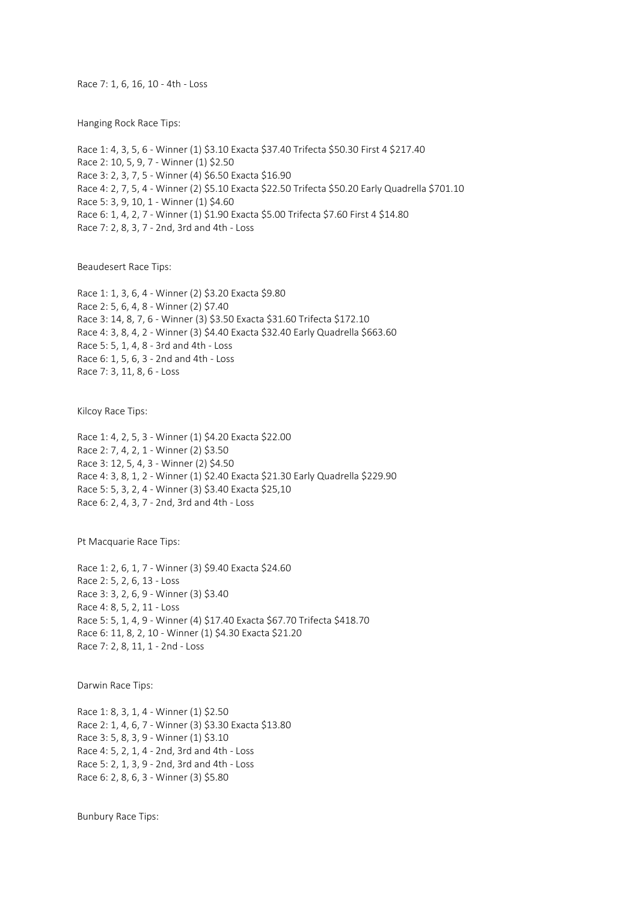Race 7: 1, 6, 16, 10 - 4th - Loss

Hanging Rock Race Tips:

Race 1: 4, 3, 5, 6 - Winner (1) \$3.10 Exacta \$37.40 Trifecta \$50.30 First 4 \$217.40 Race 2: 10, 5, 9, 7 - Winner (1) \$2.50 Race 3: 2, 3, 7, 5 - Winner (4) \$6.50 Exacta \$16.90 Race 4: 2, 7, 5, 4 - Winner (2) \$5.10 Exacta \$22.50 Trifecta \$50.20 Early Quadrella \$701.10 Race 5: 3, 9, 10, 1 - Winner (1) \$4.60 Race 6: 1, 4, 2, 7 - Winner (1) \$1.90 Exacta \$5.00 Trifecta \$7.60 First 4 \$14.80 Race 7: 2, 8, 3, 7 - 2nd, 3rd and 4th - Loss

Beaudesert Race Tips:

Race 1: 1, 3, 6, 4 - Winner (2) \$3.20 Exacta \$9.80 Race 2: 5, 6, 4, 8 - Winner (2) \$7.40 Race 3: 14, 8, 7, 6 - Winner (3) \$3.50 Exacta \$31.60 Trifecta \$172.10 Race 4: 3, 8, 4, 2 - Winner (3) \$4.40 Exacta \$32.40 Early Quadrella \$663.60 Race 5: 5, 1, 4, 8 - 3rd and 4th - Loss Race 6: 1, 5, 6, 3 - 2nd and 4th - Loss Race 7: 3, 11, 8, 6 - Loss

Kilcoy Race Tips:

Race 1: 4, 2, 5, 3 - Winner (1) \$4.20 Exacta \$22.00 Race 2: 7, 4, 2, 1 - Winner (2) \$3.50 Race 3: 12, 5, 4, 3 - Winner (2) \$4.50 Race 4: 3, 8, 1, 2 - Winner (1) \$2.40 Exacta \$21.30 Early Quadrella \$229.90 Race 5: 5, 3, 2, 4 - Winner (3) \$3.40 Exacta \$25,10 Race 6: 2, 4, 3, 7 - 2nd, 3rd and 4th - Loss

Pt Macquarie Race Tips:

Race 1: 2, 6, 1, 7 - Winner (3) \$9.40 Exacta \$24.60 Race 2: 5, 2, 6, 13 - Loss Race 3: 3, 2, 6, 9 - Winner (3) \$3.40 Race 4: 8, 5, 2, 11 - Loss Race 5: 5, 1, 4, 9 - Winner (4) \$17.40 Exacta \$67.70 Trifecta \$418.70 Race 6: 11, 8, 2, 10 - Winner (1) \$4.30 Exacta \$21.20 Race 7: 2, 8, 11, 1 - 2nd - Loss

Darwin Race Tips:

Race 1: 8, 3, 1, 4 - Winner (1) \$2.50 Race 2: 1, 4, 6, 7 - Winner (3) \$3.30 Exacta \$13.80 Race 3: 5, 8, 3, 9 - Winner (1) \$3.10 Race 4: 5, 2, 1, 4 - 2nd, 3rd and 4th - Loss Race 5: 2, 1, 3, 9 - 2nd, 3rd and 4th - Loss Race 6: 2, 8, 6, 3 - Winner (3) \$5.80

Bunbury Race Tips: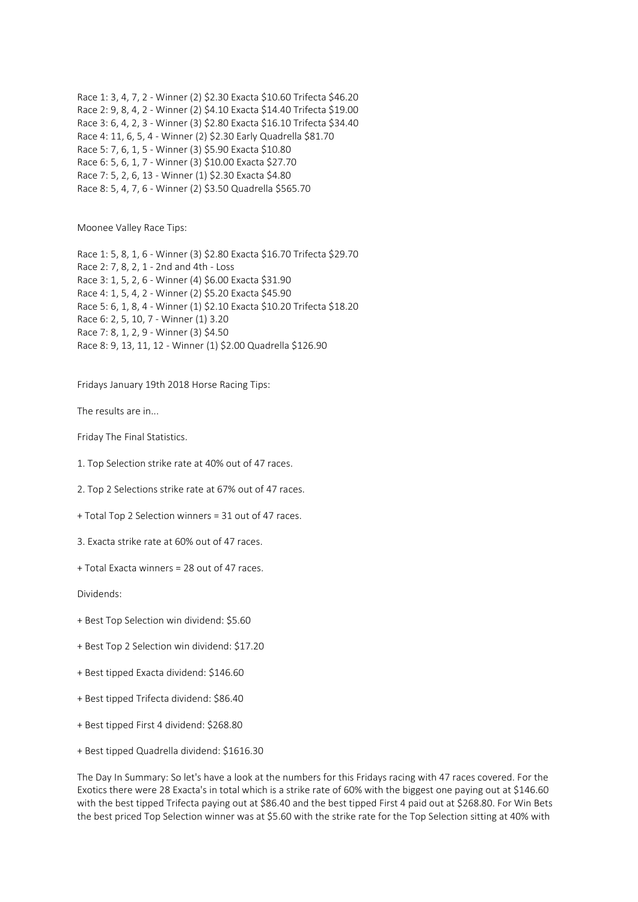Race 1: 3, 4, 7, 2 - Winner (2) \$2.30 Exacta \$10.60 Trifecta \$46.20 Race 2: 9, 8, 4, 2 - Winner (2) \$4.10 Exacta \$14.40 Trifecta \$19.00 Race 3: 6, 4, 2, 3 - Winner (3) \$2.80 Exacta \$16.10 Trifecta \$34.40 Race 4: 11, 6, 5, 4 - Winner (2) \$2.30 Early Quadrella \$81.70 Race 5: 7, 6, 1, 5 - Winner (3) \$5.90 Exacta \$10.80 Race 6: 5, 6, 1, 7 - Winner (3) \$10.00 Exacta \$27.70 Race 7: 5, 2, 6, 13 - Winner (1) \$2.30 Exacta \$4.80 Race 8: 5, 4, 7, 6 - Winner (2) \$3.50 Quadrella \$565.70

Moonee Valley Race Tips:

Race 1: 5, 8, 1, 6 - Winner (3) \$2.80 Exacta \$16.70 Trifecta \$29.70 Race 2: 7, 8, 2, 1 - 2nd and 4th - Loss Race 3: 1, 5, 2, 6 - Winner (4) \$6.00 Exacta \$31.90 Race 4: 1, 5, 4, 2 - Winner (2) \$5.20 Exacta \$45.90 Race 5: 6, 1, 8, 4 - Winner (1) \$2.10 Exacta \$10.20 Trifecta \$18.20 Race 6: 2, 5, 10, 7 - Winner (1) 3.20 Race 7: 8, 1, 2, 9 - Winner (3) \$4.50 Race 8: 9, 13, 11, 12 - Winner (1) \$2.00 Quadrella \$126.90

Fridays January 19th 2018 Horse Racing Tips:

The results are in...

Friday The Final Statistics.

1. Top Selection strike rate at 40% out of 47 races.

2. Top 2 Selections strike rate at 67% out of 47 races.

+ Total Top 2 Selection winners = 31 out of 47 races.

3. Exacta strike rate at 60% out of 47 races.

+ Total Exacta winners = 28 out of 47 races.

Dividends:

- + Best Top Selection win dividend: \$5.60
- + Best Top 2 Selection win dividend: \$17.20
- + Best tipped Exacta dividend: \$146.60
- + Best tipped Trifecta dividend: \$86.40
- + Best tipped First 4 dividend: \$268.80
- + Best tipped Quadrella dividend: \$1616.30

The Day In Summary: So let's have a look at the numbers for this Fridays racing with 47 races covered. For the Exotics there were 28 Exacta's in total which is a strike rate of 60% with the biggest one paying out at \$146.60 with the best tipped Trifecta paying out at \$86.40 and the best tipped First 4 paid out at \$268.80. For Win Bets the best priced Top Selection winner was at \$5.60 with the strike rate for the Top Selection sitting at 40% with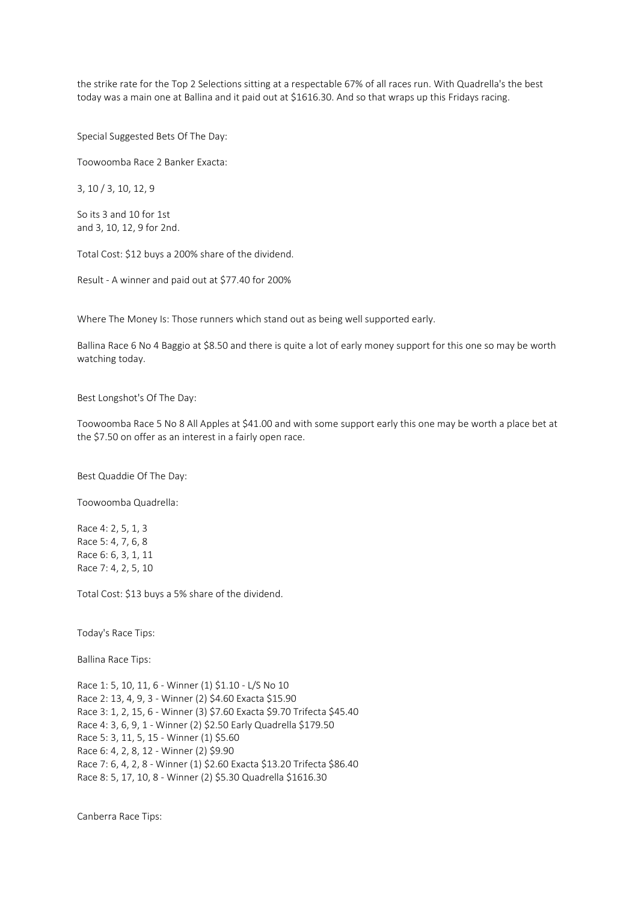the strike rate for the Top 2 Selections sitting at a respectable 67% of all races run. With Quadrella's the best today was a main one at Ballina and it paid out at \$1616.30. And so that wraps up this Fridays racing.

Special Suggested Bets Of The Day:

Toowoomba Race 2 Banker Exacta:

3, 10 / 3, 10, 12, 9

So its 3 and 10 for 1st and 3, 10, 12, 9 for 2nd.

Total Cost: \$12 buys a 200% share of the dividend.

Result - A winner and paid out at \$77.40 for 200%

Where The Money Is: Those runners which stand out as being well supported early.

Ballina Race 6 No 4 Baggio at \$8.50 and there is quite a lot of early money support for this one so may be worth watching today.

Best Longshot's Of The Day:

Toowoomba Race 5 No 8 All Apples at \$41.00 and with some support early this one may be worth a place bet at the \$7.50 on offer as an interest in a fairly open race.

Best Quaddie Of The Day:

Toowoomba Quadrella:

Race 4: 2, 5, 1, 3 Race 5: 4, 7, 6, 8 Race 6: 6, 3, 1, 11 Race 7: 4, 2, 5, 10

Total Cost: \$13 buys a 5% share of the dividend.

Today's Race Tips:

Ballina Race Tips:

Race 1: 5, 10, 11, 6 - Winner (1) \$1.10 - L/S No 10 Race 2: 13, 4, 9, 3 - Winner (2) \$4.60 Exacta \$15.90 Race 3: 1, 2, 15, 6 - Winner (3) \$7.60 Exacta \$9.70 Trifecta \$45.40 Race 4: 3, 6, 9, 1 - Winner (2) \$2.50 Early Quadrella \$179.50 Race 5: 3, 11, 5, 15 - Winner (1) \$5.60 Race 6: 4, 2, 8, 12 - Winner (2) \$9.90 Race 7: 6, 4, 2, 8 - Winner (1) \$2.60 Exacta \$13.20 Trifecta \$86.40 Race 8: 5, 17, 10, 8 - Winner (2) \$5.30 Quadrella \$1616.30

Canberra Race Tips: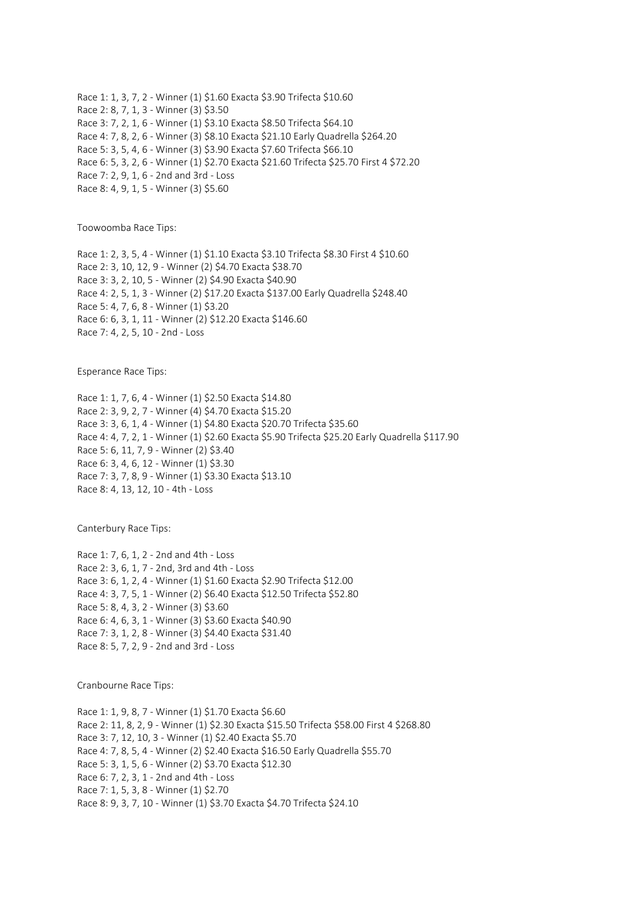Race 1: 1, 3, 7, 2 - Winner (1) \$1.60 Exacta \$3.90 Trifecta \$10.60 Race 2: 8, 7, 1, 3 - Winner (3) \$3.50 Race 3: 7, 2, 1, 6 - Winner (1) \$3.10 Exacta \$8.50 Trifecta \$64.10 Race 4: 7, 8, 2, 6 - Winner (3) \$8.10 Exacta \$21.10 Early Quadrella \$264.20 Race 5: 3, 5, 4, 6 - Winner (3) \$3.90 Exacta \$7.60 Trifecta \$66.10 Race 6: 5, 3, 2, 6 - Winner (1) \$2.70 Exacta \$21.60 Trifecta \$25.70 First 4 \$72.20 Race 7: 2, 9, 1, 6 - 2nd and 3rd - Loss Race 8: 4, 9, 1, 5 - Winner (3) \$5.60

Toowoomba Race Tips:

Race 1: 2, 3, 5, 4 - Winner (1) \$1.10 Exacta \$3.10 Trifecta \$8.30 First 4 \$10.60 Race 2: 3, 10, 12, 9 - Winner (2) \$4.70 Exacta \$38.70 Race 3: 3, 2, 10, 5 - Winner (2) \$4.90 Exacta \$40.90 Race 4: 2, 5, 1, 3 - Winner (2) \$17.20 Exacta \$137.00 Early Quadrella \$248.40 Race 5: 4, 7, 6, 8 - Winner (1) \$3.20 Race 6: 6, 3, 1, 11 - Winner (2) \$12.20 Exacta \$146.60 Race 7: 4, 2, 5, 10 - 2nd - Loss

Esperance Race Tips:

Race 1: 1, 7, 6, 4 - Winner (1) \$2.50 Exacta \$14.80 Race 2: 3, 9, 2, 7 - Winner (4) \$4.70 Exacta \$15.20 Race 3: 3, 6, 1, 4 - Winner (1) \$4.80 Exacta \$20.70 Trifecta \$35.60 Race 4: 4, 7, 2, 1 - Winner (1) \$2.60 Exacta \$5.90 Trifecta \$25.20 Early Quadrella \$117.90 Race 5: 6, 11, 7, 9 - Winner (2) \$3.40 Race 6: 3, 4, 6, 12 - Winner (1) \$3.30 Race 7: 3, 7, 8, 9 - Winner (1) \$3.30 Exacta \$13.10 Race 8: 4, 13, 12, 10 - 4th - Loss

Canterbury Race Tips:

Race 1: 7, 6, 1, 2 - 2nd and 4th - Loss Race 2: 3, 6, 1, 7 - 2nd, 3rd and 4th - Loss Race 3: 6, 1, 2, 4 - Winner (1) \$1.60 Exacta \$2.90 Trifecta \$12.00 Race 4: 3, 7, 5, 1 - Winner (2) \$6.40 Exacta \$12.50 Trifecta \$52.80 Race 5: 8, 4, 3, 2 - Winner (3) \$3.60 Race 6: 4, 6, 3, 1 - Winner (3) \$3.60 Exacta \$40.90 Race 7: 3, 1, 2, 8 - Winner (3) \$4.40 Exacta \$31.40 Race 8: 5, 7, 2, 9 - 2nd and 3rd - Loss

Cranbourne Race Tips:

Race 1: 1, 9, 8, 7 - Winner (1) \$1.70 Exacta \$6.60 Race 2: 11, 8, 2, 9 - Winner (1) \$2.30 Exacta \$15.50 Trifecta \$58.00 First 4 \$268.80 Race 3: 7, 12, 10, 3 - Winner (1) \$2.40 Exacta \$5.70 Race 4: 7, 8, 5, 4 - Winner (2) \$2.40 Exacta \$16.50 Early Quadrella \$55.70 Race 5: 3, 1, 5, 6 - Winner (2) \$3.70 Exacta \$12.30 Race 6: 7, 2, 3, 1 - 2nd and 4th - Loss Race 7: 1, 5, 3, 8 - Winner (1) \$2.70 Race 8: 9, 3, 7, 10 - Winner (1) \$3.70 Exacta \$4.70 Trifecta \$24.10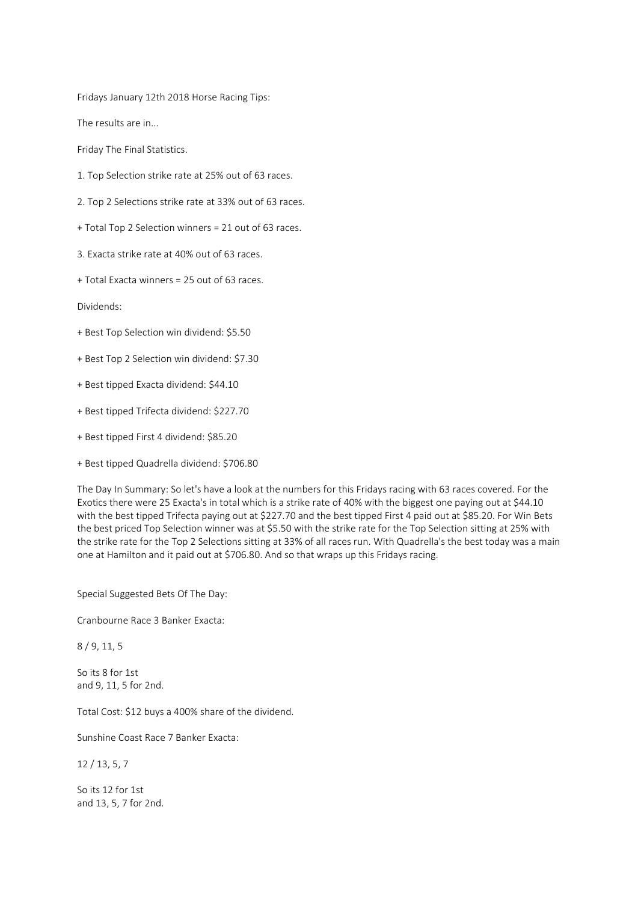Fridays January 12th 2018 Horse Racing Tips:

The results are in...

Friday The Final Statistics.

- 1. Top Selection strike rate at 25% out of 63 races.
- 2. Top 2 Selections strike rate at 33% out of 63 races.
- + Total Top 2 Selection winners = 21 out of 63 races.
- 3. Exacta strike rate at 40% out of 63 races.
- + Total Exacta winners = 25 out of 63 races.

Dividends:

- + Best Top Selection win dividend: \$5.50
- + Best Top 2 Selection win dividend: \$7.30
- + Best tipped Exacta dividend: \$44.10
- + Best tipped Trifecta dividend: \$227.70
- + Best tipped First 4 dividend: \$85.20
- + Best tipped Quadrella dividend: \$706.80

The Day In Summary: So let's have a look at the numbers for this Fridays racing with 63 races covered. For the Exotics there were 25 Exacta's in total which is a strike rate of 40% with the biggest one paying out at \$44.10 with the best tipped Trifecta paying out at \$227.70 and the best tipped First 4 paid out at \$85.20. For Win Bets the best priced Top Selection winner was at \$5.50 with the strike rate for the Top Selection sitting at 25% with the strike rate for the Top 2 Selections sitting at 33% of all races run. With Quadrella's the best today was a main one at Hamilton and it paid out at \$706.80. And so that wraps up this Fridays racing.

Special Suggested Bets Of The Day:

Cranbourne Race 3 Banker Exacta:

8 / 9, 11, 5

So its 8 for 1st and 9, 11, 5 for 2nd.

Total Cost: \$12 buys a 400% share of the dividend.

Sunshine Coast Race 7 Banker Exacta:

12 / 13, 5, 7

So its 12 for 1st and 13, 5, 7 for 2nd.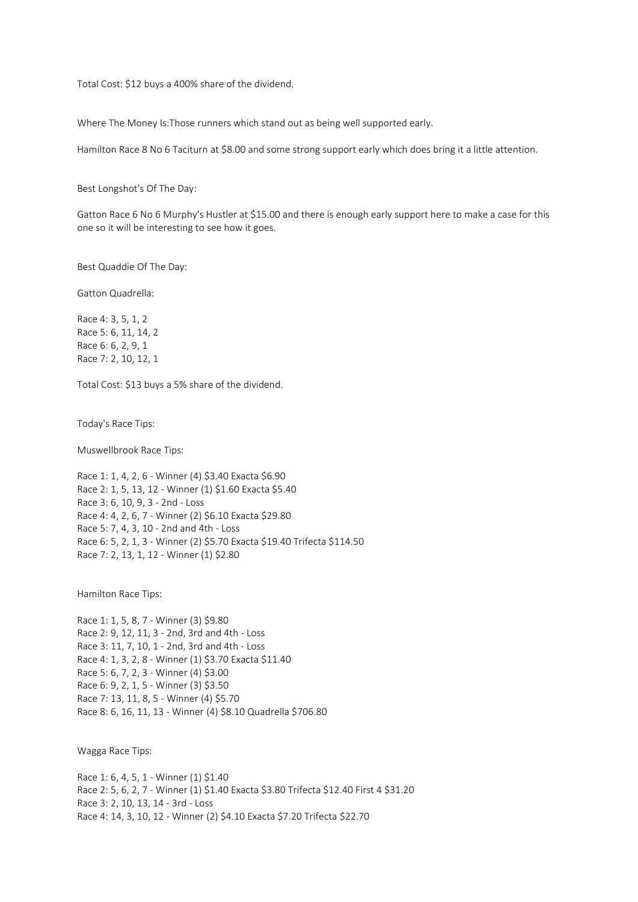Total Cost: \$12 buys a 400% share of the dividend.

Where The Money Is:Those runners which stand out as being well supported early.

Hamilton Race 8 No 6 Taciturn at \$8.00 and some strong support early which does bring it a little attention.

Best Longshot's Of The Day:

Gatton Race 6 No 6 Murphy's Hustler at \$15.00 and there is enough early support here to make a case for this one so it will be interesting to see how it goes.

Best Quaddie Of The Day:

Gatton Quadrella:

Race 4: 3, 5, 1, 2 Race 5: 6, 11, 14, 2 Race 6: 6, 2, 9, 1 Race 7: 2, 10, 12, 1

Total Cost: \$13 buys a 5% share of the dividend.

Today's Race Tips:

Muswellbrook Race Tips:

Race 1: 1, 4, 2, 6 - Winner (4) \$3.40 Exacta \$6.90 Race 2: 1, 5, 13, 12 - Winner (1) \$1.60 Exacta \$5.40 Race 3: 6, 10, 9, 3 - 2nd - Loss Race 4: 4, 2, 6, 7 - Winner (2) \$6.10 Exacta \$29.80 Race 5: 7, 4, 3, 10 - 2nd and 4th - Loss Race 6: 5, 2, 1, 3 - Winner (2) \$5.70 Exacta \$19.40 Trifecta \$114.50 Race 7: 2, 13, 1, 12 - Winner (1) \$2.80

Hamilton Race Tips:

Race 1: 1, 5, 8, 7 - Winner (3) \$9.80 Race 2: 9, 12, 11, 3 - 2nd, 3rd and 4th - Loss Race 3: 11, 7, 10, 1 - 2nd, 3rd and 4th - Loss Race 4: 1, 3, 2, 8 - Winner (1) \$3.70 Exacta \$11.40 Race 5: 6, 7, 2, 3 - Winner (4) \$3.00 Race 6: 9, 2, 1, 5 - Winner (3) \$3.50 Race 7: 13, 11, 8, 5 - Winner (4) \$5.70 Race 8: 6, 16, 11, 13 - Winner (4) \$8.10 Quadrella \$706.80

Wagga Race Tips:

Race 1: 6, 4, 5, 1 - Winner (1) \$1.40 Race 2: 5, 6, 2, 7 - Winner (1) \$1.40 Exacta \$3.80 Trifecta \$12.40 First 4 \$31.20 Race 3: 2, 10, 13, 14 - 3rd - Loss Race 4: 14, 3, 10, 12 - Winner (2) \$4.10 Exacta \$7.20 Trifecta \$22.70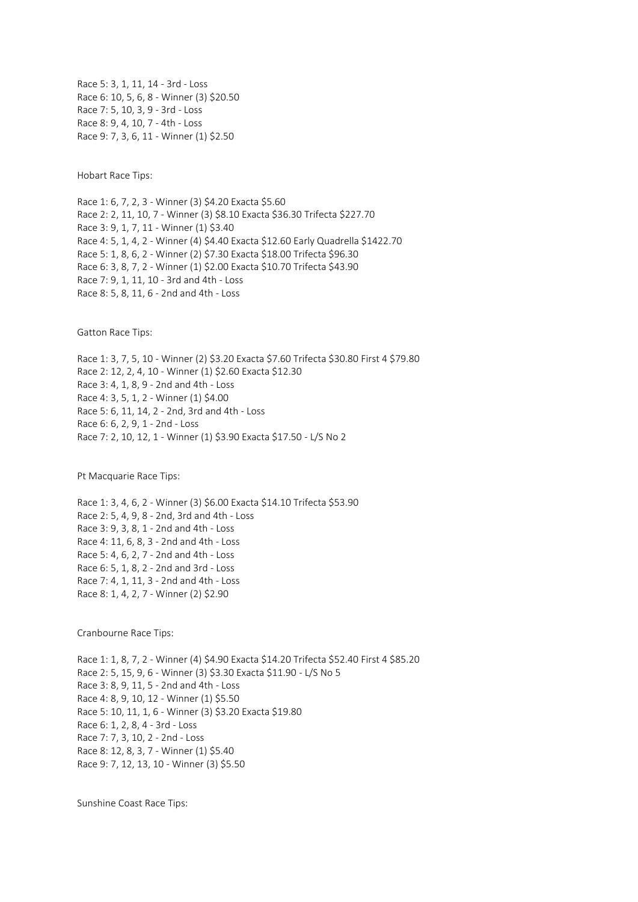Race 5: 3, 1, 11, 14 - 3rd - Loss Race 6: 10, 5, 6, 8 - Winner (3) \$20.50 Race 7: 5, 10, 3, 9 - 3rd - Loss Race 8: 9, 4, 10, 7 - 4th - Loss Race 9: 7, 3, 6, 11 - Winner (1) \$2.50

Hobart Race Tips:

Race 1: 6, 7, 2, 3 - Winner (3) \$4.20 Exacta \$5.60 Race 2: 2, 11, 10, 7 - Winner (3) \$8.10 Exacta \$36.30 Trifecta \$227.70 Race 3: 9, 1, 7, 11 - Winner (1) \$3.40 Race 4: 5, 1, 4, 2 - Winner (4) \$4.40 Exacta \$12.60 Early Quadrella \$1422.70 Race 5: 1, 8, 6, 2 - Winner (2) \$7.30 Exacta \$18.00 Trifecta \$96.30 Race 6: 3, 8, 7, 2 - Winner (1) \$2.00 Exacta \$10.70 Trifecta \$43.90 Race 7: 9, 1, 11, 10 - 3rd and 4th - Loss Race 8: 5, 8, 11, 6 - 2nd and 4th - Loss

Gatton Race Tips:

Race 1: 3, 7, 5, 10 - Winner (2) \$3.20 Exacta \$7.60 Trifecta \$30.80 First 4 \$79.80 Race 2: 12, 2, 4, 10 - Winner (1) \$2.60 Exacta \$12.30 Race 3: 4, 1, 8, 9 - 2nd and 4th - Loss Race 4: 3, 5, 1, 2 - Winner (1) \$4.00 Race 5: 6, 11, 14, 2 - 2nd, 3rd and 4th - Loss Race 6: 6, 2, 9, 1 - 2nd - Loss Race 7: 2, 10, 12, 1 - Winner (1) \$3.90 Exacta \$17.50 - L/S No 2

Pt Macquarie Race Tips:

Race 1: 3, 4, 6, 2 - Winner (3) \$6.00 Exacta \$14.10 Trifecta \$53.90 Race 2: 5, 4, 9, 8 - 2nd, 3rd and 4th - Loss Race 3: 9, 3, 8, 1 - 2nd and 4th - Loss Race 4: 11, 6, 8, 3 - 2nd and 4th - Loss Race 5: 4, 6, 2, 7 - 2nd and 4th - Loss Race 6: 5, 1, 8, 2 - 2nd and 3rd - Loss Race 7: 4, 1, 11, 3 - 2nd and 4th - Loss Race 8: 1, 4, 2, 7 - Winner (2) \$2.90

Cranbourne Race Tips:

Race 1: 1, 8, 7, 2 - Winner (4) \$4.90 Exacta \$14.20 Trifecta \$52.40 First 4 \$85.20 Race 2: 5, 15, 9, 6 - Winner (3) \$3.30 Exacta \$11.90 - L/S No 5 Race 3: 8, 9, 11, 5 - 2nd and 4th - Loss Race 4: 8, 9, 10, 12 - Winner (1) \$5.50 Race 5: 10, 11, 1, 6 - Winner (3) \$3.20 Exacta \$19.80 Race 6: 1, 2, 8, 4 - 3rd - Loss Race 7: 7, 3, 10, 2 - 2nd - Loss Race 8: 12, 8, 3, 7 - Winner (1) \$5.40 Race 9: 7, 12, 13, 10 - Winner (3) \$5.50

Sunshine Coast Race Tips: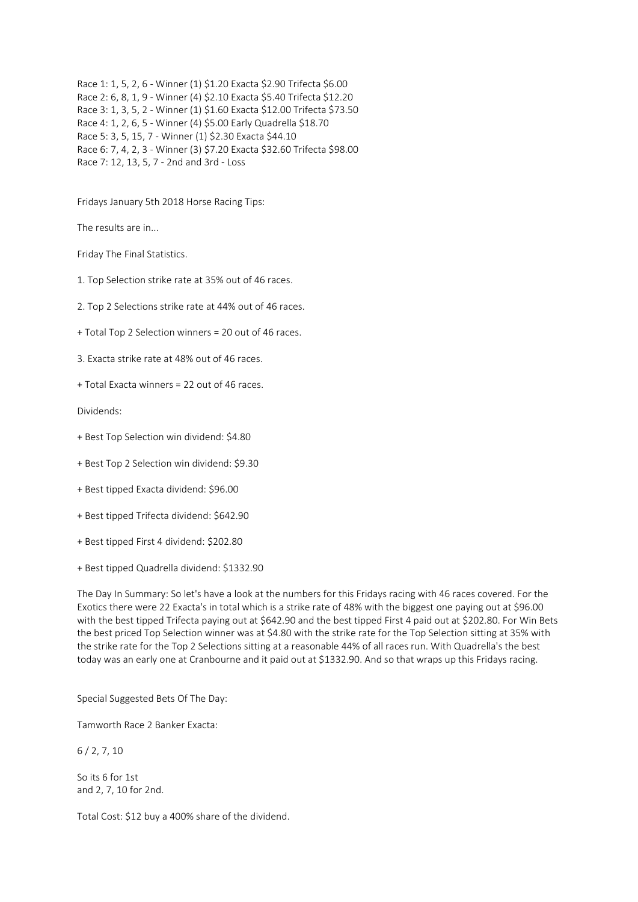Race 1: 1, 5, 2, 6 - Winner (1) \$1.20 Exacta \$2.90 Trifecta \$6.00 Race 2: 6, 8, 1, 9 - Winner (4) \$2.10 Exacta \$5.40 Trifecta \$12.20 Race 3: 1, 3, 5, 2 - Winner (1) \$1.60 Exacta \$12.00 Trifecta \$73.50 Race 4: 1, 2, 6, 5 - Winner (4) \$5.00 Early Quadrella \$18.70 Race 5: 3, 5, 15, 7 - Winner (1) \$2.30 Exacta \$44.10 Race 6: 7, 4, 2, 3 - Winner (3) \$7.20 Exacta \$32.60 Trifecta \$98.00 Race 7: 12, 13, 5, 7 - 2nd and 3rd - Loss

Fridays January 5th 2018 Horse Racing Tips:

The results are in...

Friday The Final Statistics.

1. Top Selection strike rate at 35% out of 46 races.

2. Top 2 Selections strike rate at 44% out of 46 races.

+ Total Top 2 Selection winners = 20 out of 46 races.

3. Exacta strike rate at 48% out of 46 races.

+ Total Exacta winners = 22 out of 46 races.

Dividends:

- + Best Top Selection win dividend: \$4.80
- + Best Top 2 Selection win dividend: \$9.30
- + Best tipped Exacta dividend: \$96.00
- + Best tipped Trifecta dividend: \$642.90
- + Best tipped First 4 dividend: \$202.80
- + Best tipped Quadrella dividend: \$1332.90

The Day In Summary: So let's have a look at the numbers for this Fridays racing with 46 races covered. For the Exotics there were 22 Exacta's in total which is a strike rate of 48% with the biggest one paying out at \$96.00 with the best tipped Trifecta paying out at \$642.90 and the best tipped First 4 paid out at \$202.80. For Win Bets the best priced Top Selection winner was at \$4.80 with the strike rate for the Top Selection sitting at 35% with the strike rate for the Top 2 Selections sitting at a reasonable 44% of all races run. With Quadrella's the best today was an early one at Cranbourne and it paid out at \$1332.90. And so that wraps up this Fridays racing.

Special Suggested Bets Of The Day:

Tamworth Race 2 Banker Exacta:

6 / 2, 7, 10

So its 6 for 1st and 2, 7, 10 for 2nd.

Total Cost: \$12 buy a 400% share of the dividend.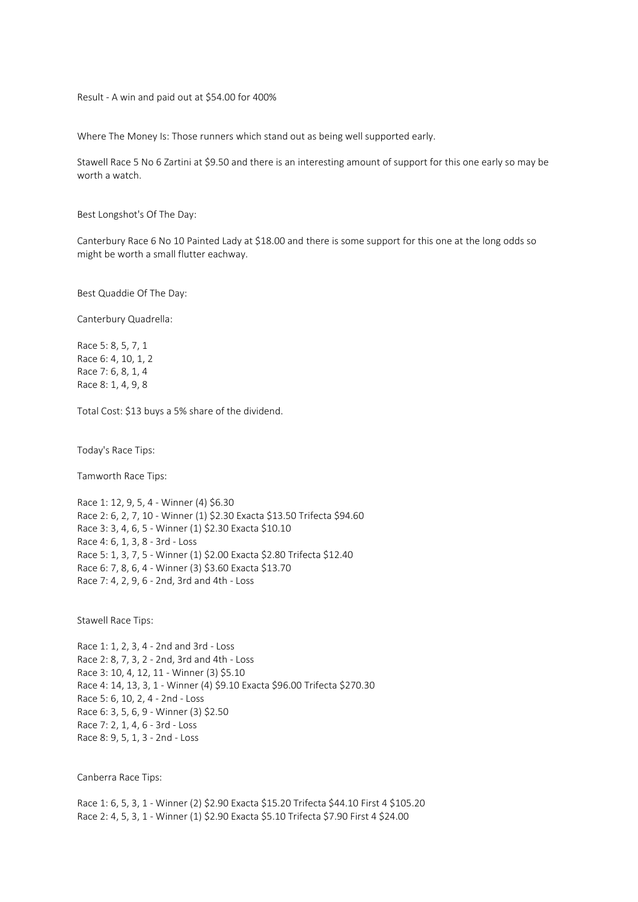Result - A win and paid out at \$54.00 for 400%

Where The Money Is: Those runners which stand out as being well supported early.

Stawell Race 5 No 6 Zartini at \$9.50 and there is an interesting amount of support for this one early so may be worth a watch.

Best Longshot's Of The Day:

Canterbury Race 6 No 10 Painted Lady at \$18.00 and there is some support for this one at the long odds so might be worth a small flutter eachway.

Best Quaddie Of The Day:

Canterbury Quadrella:

Race 5: 8, 5, 7, 1 Race 6: 4, 10, 1, 2 Race 7: 6, 8, 1, 4 Race 8: 1, 4, 9, 8

Total Cost: \$13 buys a 5% share of the dividend.

Today's Race Tips:

Tamworth Race Tips:

Race 1: 12, 9, 5, 4 - Winner (4) \$6.30 Race 2: 6, 2, 7, 10 - Winner (1) \$2.30 Exacta \$13.50 Trifecta \$94.60 Race 3: 3, 4, 6, 5 - Winner (1) \$2.30 Exacta \$10.10 Race 4: 6, 1, 3, 8 - 3rd - Loss Race 5: 1, 3, 7, 5 - Winner (1) \$2.00 Exacta \$2.80 Trifecta \$12.40 Race 6: 7, 8, 6, 4 - Winner (3) \$3.60 Exacta \$13.70 Race 7: 4, 2, 9, 6 - 2nd, 3rd and 4th - Loss

Stawell Race Tips:

Race 1: 1, 2, 3, 4 - 2nd and 3rd - Loss Race 2: 8, 7, 3, 2 - 2nd, 3rd and 4th - Loss Race 3: 10, 4, 12, 11 - Winner (3) \$5.10 Race 4: 14, 13, 3, 1 - Winner (4) \$9.10 Exacta \$96.00 Trifecta \$270.30 Race 5: 6, 10, 2, 4 - 2nd - Loss Race 6: 3, 5, 6, 9 - Winner (3) \$2.50 Race 7: 2, 1, 4, 6 - 3rd - Loss Race 8: 9, 5, 1, 3 - 2nd - Loss

Canberra Race Tips:

Race 1: 6, 5, 3, 1 - Winner (2) \$2.90 Exacta \$15.20 Trifecta \$44.10 First 4 \$105.20 Race 2: 4, 5, 3, 1 - Winner (1) \$2.90 Exacta \$5.10 Trifecta \$7.90 First 4 \$24.00